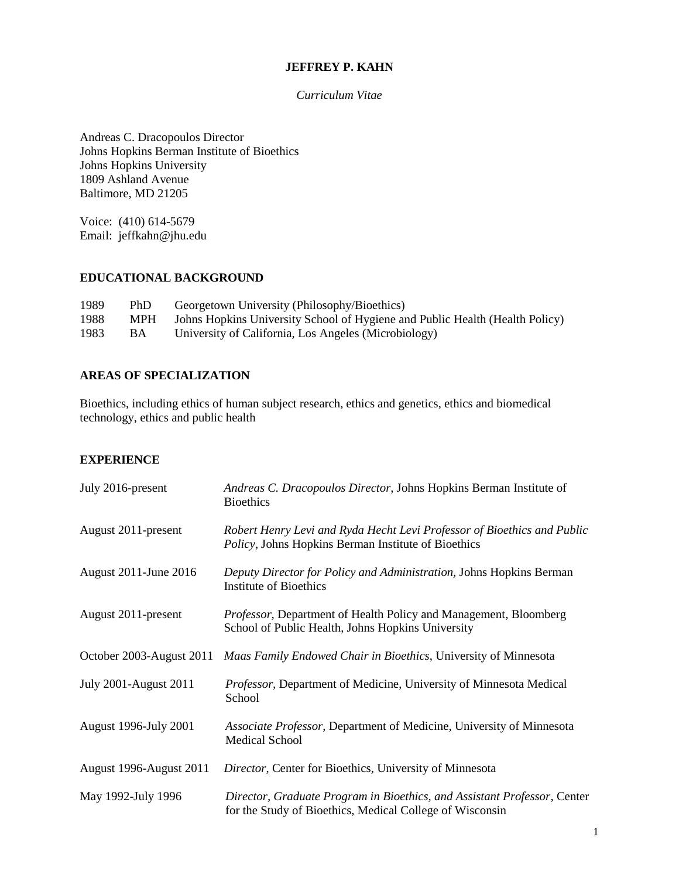### **JEFFREY P. KAHN**

*Curriculum Vitae*

Andreas C. Dracopoulos Director Johns Hopkins Berman Institute of Bioethics Johns Hopkins University 1809 Ashland Avenue Baltimore, MD 21205

Voice: (410) 614-5679 Email: jeffkahn@jhu.edu

### **EDUCATIONAL BACKGROUND**

| 1989 | PhD        | Georgetown University (Philosophy/Bioethics)                                 |
|------|------------|------------------------------------------------------------------------------|
| 1988 | <b>MPH</b> | Johns Hopkins University School of Hygiene and Public Health (Health Policy) |
| 1983 | BA.        | University of California, Los Angeles (Microbiology)                         |

## **AREAS OF SPECIALIZATION**

Bioethics, including ethics of human subject research, ethics and genetics, ethics and biomedical technology, ethics and public health

### **EXPERIENCE**

| July 2016-present            | Andreas C. Dracopoulos Director, Johns Hopkins Berman Institute of<br><b>Bioethics</b>                                               |
|------------------------------|--------------------------------------------------------------------------------------------------------------------------------------|
| August 2011-present          | Robert Henry Levi and Ryda Hecht Levi Professor of Bioethics and Public<br>Policy, Johns Hopkins Berman Institute of Bioethics       |
| August 2011-June 2016        | Deputy Director for Policy and Administration, Johns Hopkins Berman<br>Institute of Bioethics                                        |
| August 2011-present          | Professor, Department of Health Policy and Management, Bloomberg<br>School of Public Health, Johns Hopkins University                |
| October 2003-August 2011     | Maas Family Endowed Chair in Bioethics, University of Minnesota                                                                      |
| <b>July 2001-August 2011</b> | Professor, Department of Medicine, University of Minnesota Medical<br>School                                                         |
| <b>August 1996-July 2001</b> | Associate Professor, Department of Medicine, University of Minnesota<br><b>Medical School</b>                                        |
| August 1996-August 2011      | Director, Center for Bioethics, University of Minnesota                                                                              |
| May 1992-July 1996           | Director, Graduate Program in Bioethics, and Assistant Professor, Center<br>for the Study of Bioethics, Medical College of Wisconsin |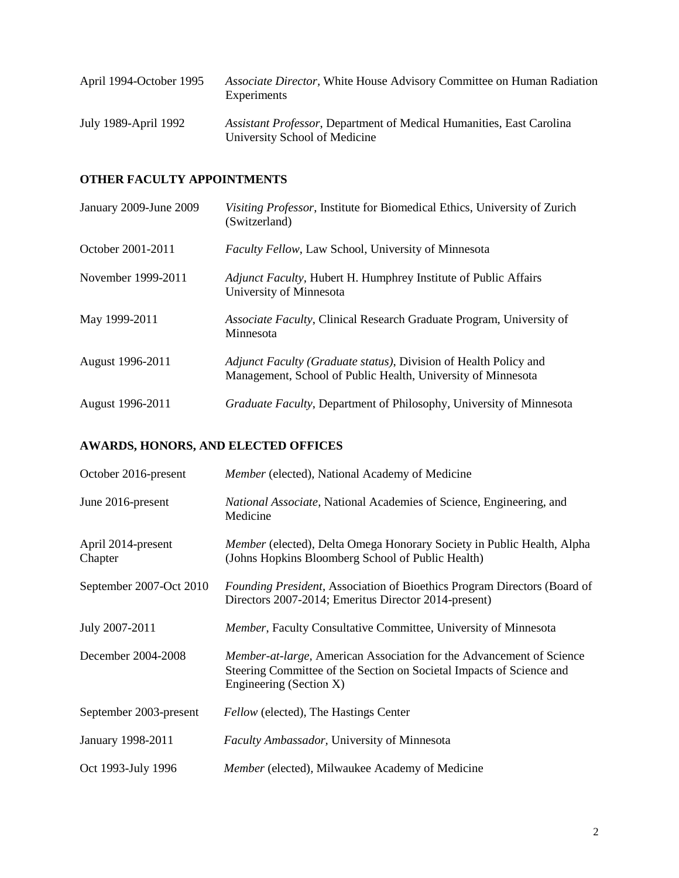| April 1994-October 1995 | Associate Director, White House Advisory Committee on Human Radiation<br>Experiments                          |
|-------------------------|---------------------------------------------------------------------------------------------------------------|
| July 1989-April 1992    | <i>Assistant Professor</i> , Department of Medical Humanities, East Carolina<br>University School of Medicine |

# **OTHER FACULTY APPOINTMENTS**

| January 2009-June 2009 | Visiting Professor, Institute for Biomedical Ethics, University of Zurich<br>(Switzerland)                                       |
|------------------------|----------------------------------------------------------------------------------------------------------------------------------|
| October 2001-2011      | Faculty Fellow, Law School, University of Minnesota                                                                              |
| November 1999-2011     | <i>Adjunct Faculty, Hubert H. Humphrey Institute of Public Affairs</i><br>University of Minnesota                                |
| May 1999-2011          | Associate Faculty, Clinical Research Graduate Program, University of<br>Minnesota                                                |
| August 1996-2011       | Adjunct Faculty (Graduate status), Division of Health Policy and<br>Management, School of Public Health, University of Minnesota |
| August 1996-2011       | Graduate Faculty, Department of Philosophy, University of Minnesota                                                              |

# **AWARDS, HONORS, AND ELECTED OFFICES**

| October 2016-present          | <i>Member</i> (elected), National Academy of Medicine                                                                                                                   |
|-------------------------------|-------------------------------------------------------------------------------------------------------------------------------------------------------------------------|
| June 2016-present             | National Associate, National Academies of Science, Engineering, and<br>Medicine                                                                                         |
| April 2014-present<br>Chapter | Member (elected), Delta Omega Honorary Society in Public Health, Alpha<br>(Johns Hopkins Bloomberg School of Public Health)                                             |
| September 2007-Oct 2010       | <i>Founding President, Association of Bioethics Program Directors (Board of</i><br>Directors 2007-2014; Emeritus Director 2014-present)                                 |
| July 2007-2011                | Member, Faculty Consultative Committee, University of Minnesota                                                                                                         |
| December 2004-2008            | Member-at-large, American Association for the Advancement of Science<br>Steering Committee of the Section on Societal Impacts of Science and<br>Engineering (Section X) |
| September 2003-present        | Fellow (elected), The Hastings Center                                                                                                                                   |
| January 1998-2011             | <b>Faculty Ambassador</b> , University of Minnesota                                                                                                                     |
| Oct 1993-July 1996            | Member (elected), Milwaukee Academy of Medicine                                                                                                                         |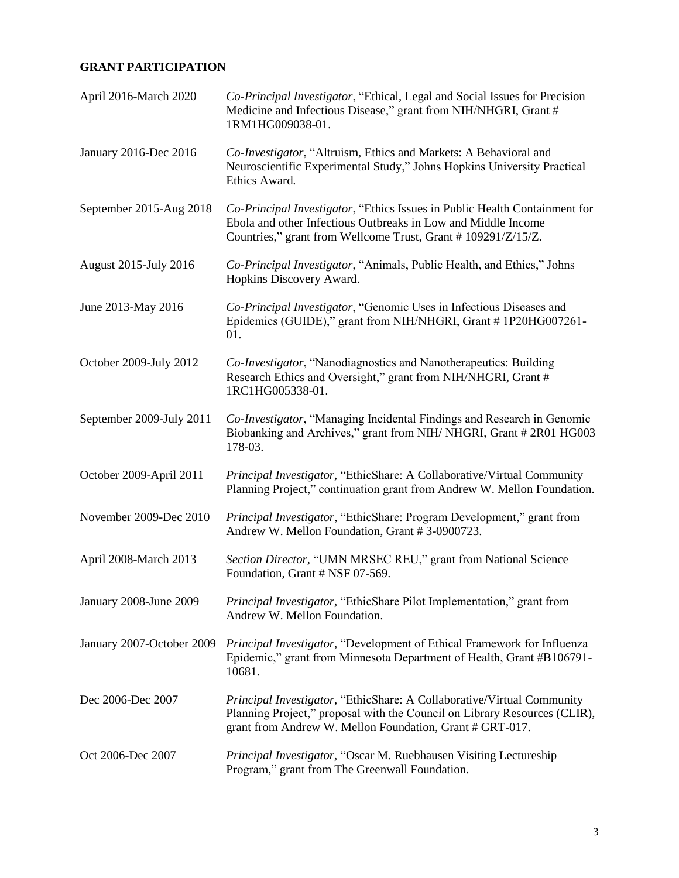# **GRANT PARTICIPATION**

| April 2016-March 2020        | Co-Principal Investigator, "Ethical, Legal and Social Issues for Precision<br>Medicine and Infectious Disease," grant from NIH/NHGRI, Grant #<br>1RM1HG009038-01.                                               |
|------------------------------|-----------------------------------------------------------------------------------------------------------------------------------------------------------------------------------------------------------------|
| January 2016-Dec 2016        | Co-Investigator, "Altruism, Ethics and Markets: A Behavioral and<br>Neuroscientific Experimental Study," Johns Hopkins University Practical<br>Ethics Award.                                                    |
| September 2015-Aug 2018      | Co-Principal Investigator, "Ethics Issues in Public Health Containment for<br>Ebola and other Infectious Outbreaks in Low and Middle Income<br>Countries," grant from Wellcome Trust, Grant #109291/Z/15/Z.     |
| <b>August 2015-July 2016</b> | Co-Principal Investigator, "Animals, Public Health, and Ethics," Johns<br>Hopkins Discovery Award.                                                                                                              |
| June 2013-May 2016           | Co-Principal Investigator, "Genomic Uses in Infectious Diseases and<br>Epidemics (GUIDE)," grant from NIH/NHGRI, Grant #1P20HG007261-<br>01.                                                                    |
| October 2009-July 2012       | Co-Investigator, "Nanodiagnostics and Nanotherapeutics: Building<br>Research Ethics and Oversight," grant from NIH/NHGRI, Grant #<br>1RC1HG005338-01.                                                           |
| September 2009-July 2011     | Co-Investigator, "Managing Incidental Findings and Research in Genomic<br>Biobanking and Archives," grant from NIH/ NHGRI, Grant #2R01 HG003<br>178-03.                                                         |
| October 2009-April 2011      | Principal Investigator, "EthicShare: A Collaborative/Virtual Community<br>Planning Project," continuation grant from Andrew W. Mellon Foundation.                                                               |
| November 2009-Dec 2010       | Principal Investigator, "EthicShare: Program Development," grant from<br>Andrew W. Mellon Foundation, Grant #3-0900723.                                                                                         |
| April 2008-March 2013        | Section Director, "UMN MRSEC REU," grant from National Science<br>Foundation, Grant # NSF 07-569.                                                                                                               |
| January 2008-June 2009       | Principal Investigator, "EthicShare Pilot Implementation," grant from<br>Andrew W. Mellon Foundation.                                                                                                           |
| January 2007-October 2009    | Principal Investigator, "Development of Ethical Framework for Influenza<br>Epidemic," grant from Minnesota Department of Health, Grant #B106791-<br>10681.                                                      |
| Dec 2006-Dec 2007            | Principal Investigator, "EthicShare: A Collaborative/Virtual Community<br>Planning Project," proposal with the Council on Library Resources (CLIR),<br>grant from Andrew W. Mellon Foundation, Grant # GRT-017. |
| Oct 2006-Dec 2007            | Principal Investigator, "Oscar M. Ruebhausen Visiting Lectureship<br>Program," grant from The Greenwall Foundation.                                                                                             |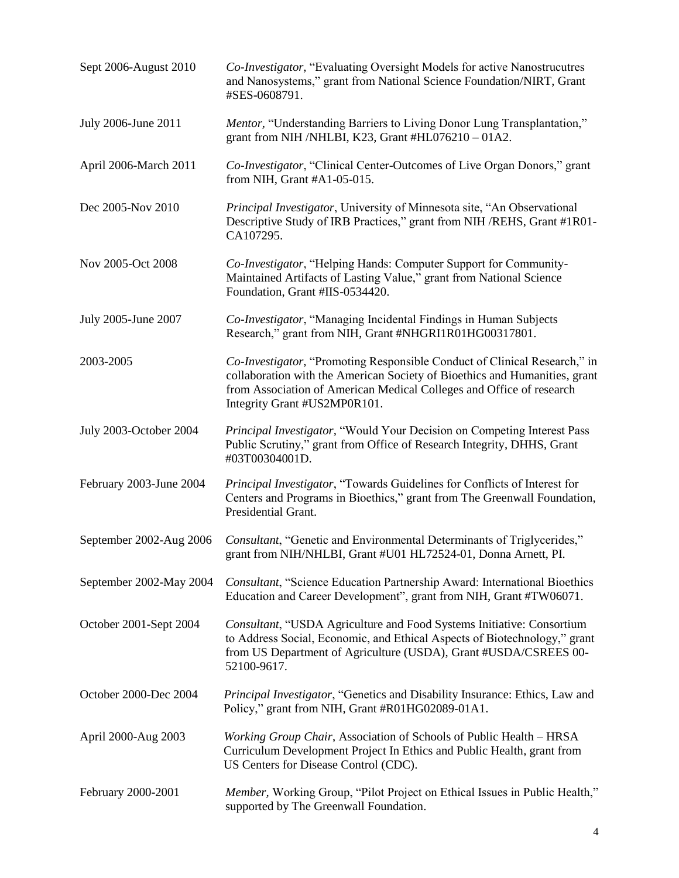| Sept 2006-August 2010   | Co-Investigator, "Evaluating Oversight Models for active Nanostrucutres"<br>and Nanosystems," grant from National Science Foundation/NIRT, Grant<br>#SES-0608791.                                                                                               |
|-------------------------|-----------------------------------------------------------------------------------------------------------------------------------------------------------------------------------------------------------------------------------------------------------------|
| July 2006-June 2011     | Mentor, "Understanding Barriers to Living Donor Lung Transplantation,"<br>grant from NIH /NHLBI, K23, Grant #HL076210 $-$ 01A2.                                                                                                                                 |
| April 2006-March 2011   | Co-Investigator, "Clinical Center-Outcomes of Live Organ Donors," grant<br>from NIH, Grant $#A1-05-015$ .                                                                                                                                                       |
| Dec 2005-Nov 2010       | Principal Investigator, University of Minnesota site, "An Observational<br>Descriptive Study of IRB Practices," grant from NIH / REHS, Grant #1R01-<br>CA107295.                                                                                                |
| Nov 2005-Oct 2008       | Co-Investigator, "Helping Hands: Computer Support for Community-<br>Maintained Artifacts of Lasting Value," grant from National Science<br>Foundation, Grant #IIS-0534420.                                                                                      |
| July 2005-June 2007     | Co-Investigator, "Managing Incidental Findings in Human Subjects<br>Research," grant from NIH, Grant #NHGRI1R01HG00317801.                                                                                                                                      |
| 2003-2005               | Co-Investigator, "Promoting Responsible Conduct of Clinical Research," in<br>collaboration with the American Society of Bioethics and Humanities, grant<br>from Association of American Medical Colleges and Office of research<br>Integrity Grant #US2MP0R101. |
| July 2003-October 2004  | Principal Investigator, "Would Your Decision on Competing Interest Pass<br>Public Scrutiny," grant from Office of Research Integrity, DHHS, Grant<br>#03T00304001D.                                                                                             |
| February 2003-June 2004 | Principal Investigator, "Towards Guidelines for Conflicts of Interest for<br>Centers and Programs in Bioethics," grant from The Greenwall Foundation,<br>Presidential Grant.                                                                                    |
| September 2002-Aug 2006 | Consultant, "Genetic and Environmental Determinants of Triglycerides,"<br>grant from NIH/NHLBI, Grant #U01 HL72524-01, Donna Arnett, PI.                                                                                                                        |
| September 2002-May 2004 | Consultant, "Science Education Partnership Award: International Bioethics<br>Education and Career Development", grant from NIH, Grant #TW06071.                                                                                                                 |
| October 2001-Sept 2004  | Consultant, "USDA Agriculture and Food Systems Initiative: Consortium<br>to Address Social, Economic, and Ethical Aspects of Biotechnology," grant<br>from US Department of Agriculture (USDA), Grant #USDA/CSREES 00-<br>52100-9617.                           |
| October 2000-Dec 2004   | Principal Investigator, "Genetics and Disability Insurance: Ethics, Law and<br>Policy," grant from NIH, Grant #R01HG02089-01A1.                                                                                                                                 |
| April 2000-Aug 2003     | Working Group Chair, Association of Schools of Public Health - HRSA<br>Curriculum Development Project In Ethics and Public Health, grant from<br>US Centers for Disease Control (CDC).                                                                          |
| February 2000-2001      | Member, Working Group, "Pilot Project on Ethical Issues in Public Health,"<br>supported by The Greenwall Foundation.                                                                                                                                            |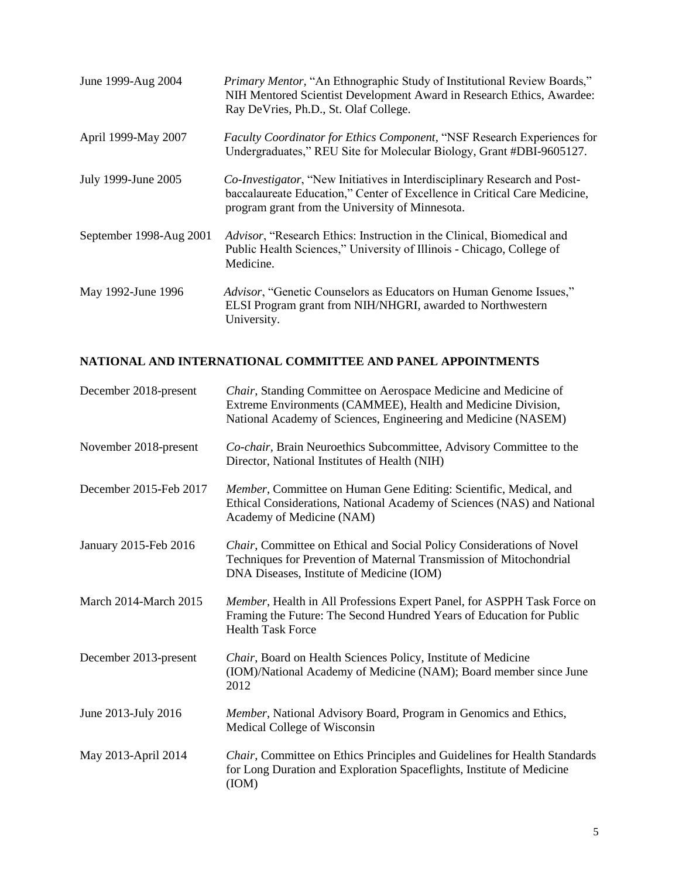| June 1999-Aug 2004      | Primary Mentor, "An Ethnographic Study of Institutional Review Boards,"<br>NIH Mentored Scientist Development Award in Research Ethics, Awardee:<br>Ray DeVries, Ph.D., St. Olaf College.                 |
|-------------------------|-----------------------------------------------------------------------------------------------------------------------------------------------------------------------------------------------------------|
| April 1999-May 2007     | Faculty Coordinator for Ethics Component, "NSF Research Experiences for<br>Undergraduates," REU Site for Molecular Biology, Grant #DBI-9605127.                                                           |
| July 1999-June 2005     | Co-Investigator, "New Initiatives in Interdisciplinary Research and Post-<br>baccalaureate Education," Center of Excellence in Critical Care Medicine,<br>program grant from the University of Minnesota. |
| September 1998-Aug 2001 | Advisor, "Research Ethics: Instruction in the Clinical, Biomedical and<br>Public Health Sciences," University of Illinois - Chicago, College of<br>Medicine.                                              |
| May 1992-June 1996      | Advisor, "Genetic Counselors as Educators on Human Genome Issues,"<br>ELSI Program grant from NIH/NHGRI, awarded to Northwestern<br>University.                                                           |

# **NATIONAL AND INTERNATIONAL COMMITTEE AND PANEL APPOINTMENTS**

| December 2018-present  | Chair, Standing Committee on Aerospace Medicine and Medicine of<br>Extreme Environments (CAMMEE), Health and Medicine Division,<br>National Academy of Sciences, Engineering and Medicine (NASEM) |
|------------------------|---------------------------------------------------------------------------------------------------------------------------------------------------------------------------------------------------|
| November 2018-present  | Co-chair, Brain Neuroethics Subcommittee, Advisory Committee to the<br>Director, National Institutes of Health (NIH)                                                                              |
| December 2015-Feb 2017 | Member, Committee on Human Gene Editing: Scientific, Medical, and<br>Ethical Considerations, National Academy of Sciences (NAS) and National<br>Academy of Medicine (NAM)                         |
| January 2015-Feb 2016  | Chair, Committee on Ethical and Social Policy Considerations of Novel<br>Techniques for Prevention of Maternal Transmission of Mitochondrial<br>DNA Diseases, Institute of Medicine (IOM)         |
| March 2014-March 2015  | Member, Health in All Professions Expert Panel, for ASPPH Task Force on<br>Framing the Future: The Second Hundred Years of Education for Public<br><b>Health Task Force</b>                       |
| December 2013-present  | Chair, Board on Health Sciences Policy, Institute of Medicine<br>(IOM)/National Academy of Medicine (NAM); Board member since June<br>2012                                                        |
| June 2013-July 2016    | Member, National Advisory Board, Program in Genomics and Ethics,<br>Medical College of Wisconsin                                                                                                  |
| May 2013-April 2014    | Chair, Committee on Ethics Principles and Guidelines for Health Standards<br>for Long Duration and Exploration Spaceflights, Institute of Medicine<br>(ION)                                       |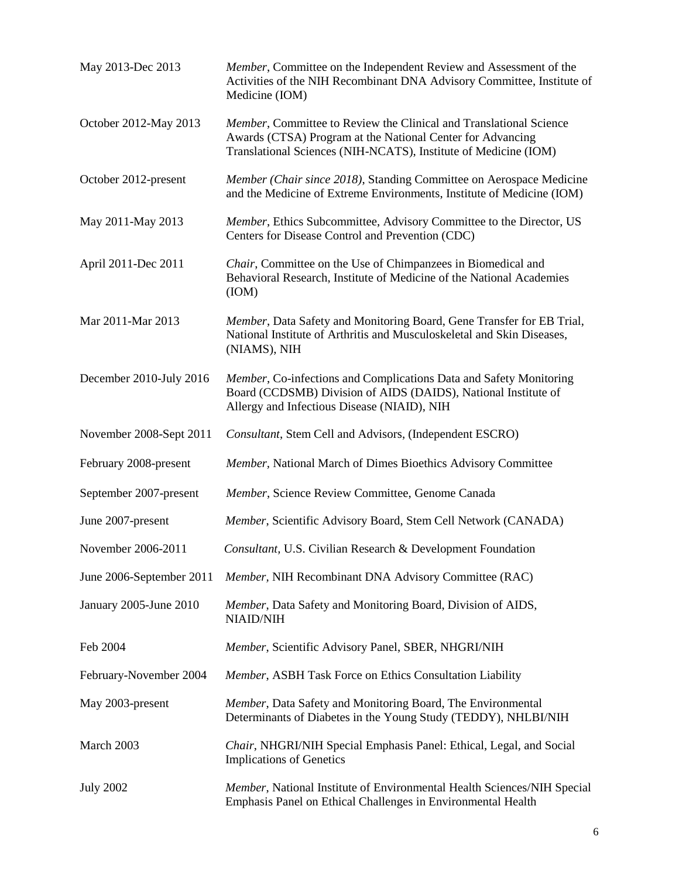| May 2013-Dec 2013        | Member, Committee on the Independent Review and Assessment of the<br>Activities of the NIH Recombinant DNA Advisory Committee, Institute of<br>Medicine (IOM)                                       |
|--------------------------|-----------------------------------------------------------------------------------------------------------------------------------------------------------------------------------------------------|
| October 2012-May 2013    | Member, Committee to Review the Clinical and Translational Science<br>Awards (CTSA) Program at the National Center for Advancing<br>Translational Sciences (NIH-NCATS), Institute of Medicine (IOM) |
| October 2012-present     | Member (Chair since 2018), Standing Committee on Aerospace Medicine<br>and the Medicine of Extreme Environments, Institute of Medicine (IOM)                                                        |
| May 2011-May 2013        | Member, Ethics Subcommittee, Advisory Committee to the Director, US<br>Centers for Disease Control and Prevention (CDC)                                                                             |
| April 2011-Dec 2011      | Chair, Committee on the Use of Chimpanzees in Biomedical and<br>Behavioral Research, Institute of Medicine of the National Academies<br>(ION)                                                       |
| Mar 2011-Mar 2013        | Member, Data Safety and Monitoring Board, Gene Transfer for EB Trial,<br>National Institute of Arthritis and Musculoskeletal and Skin Diseases,<br>(NIAMS), NIH                                     |
| December 2010-July 2016  | Member, Co-infections and Complications Data and Safety Monitoring<br>Board (CCDSMB) Division of AIDS (DAIDS), National Institute of<br>Allergy and Infectious Disease (NIAID), NIH                 |
| November 2008-Sept 2011  | Consultant, Stem Cell and Advisors, (Independent ESCRO)                                                                                                                                             |
| February 2008-present    | Member, National March of Dimes Bioethics Advisory Committee                                                                                                                                        |
| September 2007-present   | Member, Science Review Committee, Genome Canada                                                                                                                                                     |
| June 2007-present        | Member, Scientific Advisory Board, Stem Cell Network (CANADA)                                                                                                                                       |
| November 2006-2011       | <i>Consultant</i> , U.S. Civilian Research & Development Foundation                                                                                                                                 |
| June 2006-September 2011 | Member, NIH Recombinant DNA Advisory Committee (RAC)                                                                                                                                                |
| January 2005-June 2010   | Member, Data Safety and Monitoring Board, Division of AIDS,<br><b>NIAID/NIH</b>                                                                                                                     |
| Feb 2004                 | Member, Scientific Advisory Panel, SBER, NHGRI/NIH                                                                                                                                                  |
| February-November 2004   | Member, ASBH Task Force on Ethics Consultation Liability                                                                                                                                            |
| May 2003-present         | Member, Data Safety and Monitoring Board, The Environmental<br>Determinants of Diabetes in the Young Study (TEDDY), NHLBI/NIH                                                                       |
| March 2003               | Chair, NHGRI/NIH Special Emphasis Panel: Ethical, Legal, and Social<br><b>Implications of Genetics</b>                                                                                              |
| <b>July 2002</b>         | Member, National Institute of Environmental Health Sciences/NIH Special<br>Emphasis Panel on Ethical Challenges in Environmental Health                                                             |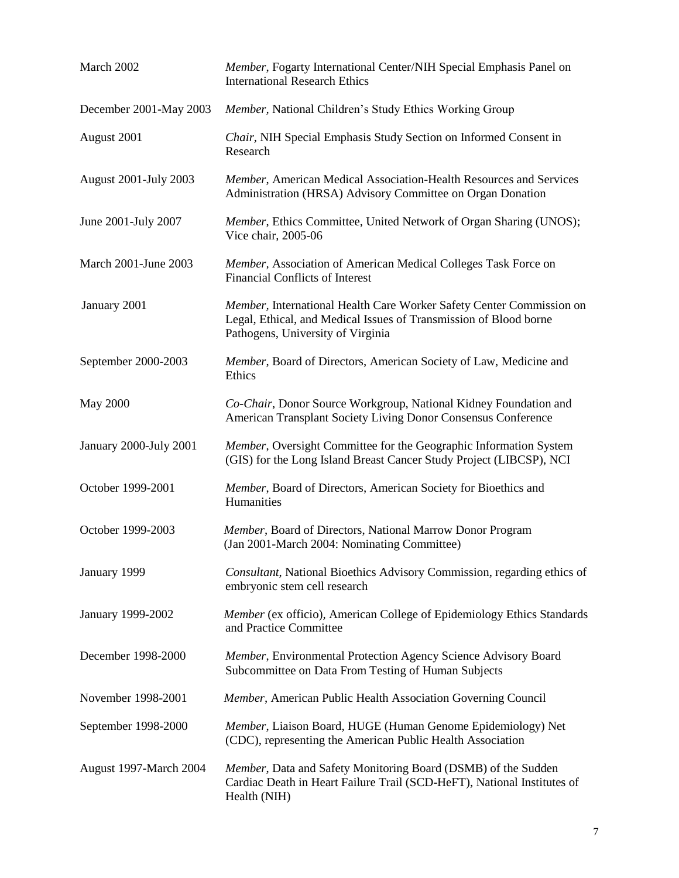| March 2002                   | Member, Fogarty International Center/NIH Special Emphasis Panel on<br><b>International Research Ethics</b>                                                                     |
|------------------------------|--------------------------------------------------------------------------------------------------------------------------------------------------------------------------------|
| December 2001-May 2003       | Member, National Children's Study Ethics Working Group                                                                                                                         |
| August 2001                  | Chair, NIH Special Emphasis Study Section on Informed Consent in<br>Research                                                                                                   |
| <b>August 2001-July 2003</b> | Member, American Medical Association-Health Resources and Services<br>Administration (HRSA) Advisory Committee on Organ Donation                                               |
| June 2001-July 2007          | Member, Ethics Committee, United Network of Organ Sharing (UNOS);<br>Vice chair, 2005-06                                                                                       |
| March 2001-June 2003         | Member, Association of American Medical Colleges Task Force on<br><b>Financial Conflicts of Interest</b>                                                                       |
| January 2001                 | Member, International Health Care Worker Safety Center Commission on<br>Legal, Ethical, and Medical Issues of Transmission of Blood borne<br>Pathogens, University of Virginia |
| September 2000-2003          | Member, Board of Directors, American Society of Law, Medicine and<br>Ethics                                                                                                    |
| <b>May 2000</b>              | Co-Chair, Donor Source Workgroup, National Kidney Foundation and<br>American Transplant Society Living Donor Consensus Conference                                              |
| January 2000-July 2001       | Member, Oversight Committee for the Geographic Information System<br>(GIS) for the Long Island Breast Cancer Study Project (LIBCSP), NCI                                       |
| October 1999-2001            | Member, Board of Directors, American Society for Bioethics and<br>Humanities                                                                                                   |
| October 1999-2003            | Member, Board of Directors, National Marrow Donor Program<br>(Jan 2001-March 2004: Nominating Committee)                                                                       |
| January 1999                 | Consultant, National Bioethics Advisory Commission, regarding ethics of<br>embryonic stem cell research                                                                        |
| January 1999-2002            | Member (ex officio), American College of Epidemiology Ethics Standards<br>and Practice Committee                                                                               |
| December 1998-2000           | Member, Environmental Protection Agency Science Advisory Board<br>Subcommittee on Data From Testing of Human Subjects                                                          |
| November 1998-2001           | Member, American Public Health Association Governing Council                                                                                                                   |
| September 1998-2000          | Member, Liaison Board, HUGE (Human Genome Epidemiology) Net<br>(CDC), representing the American Public Health Association                                                      |
| August 1997-March 2004       | Member, Data and Safety Monitoring Board (DSMB) of the Sudden<br>Cardiac Death in Heart Failure Trail (SCD-HeFT), National Institutes of<br>Health (NIH)                       |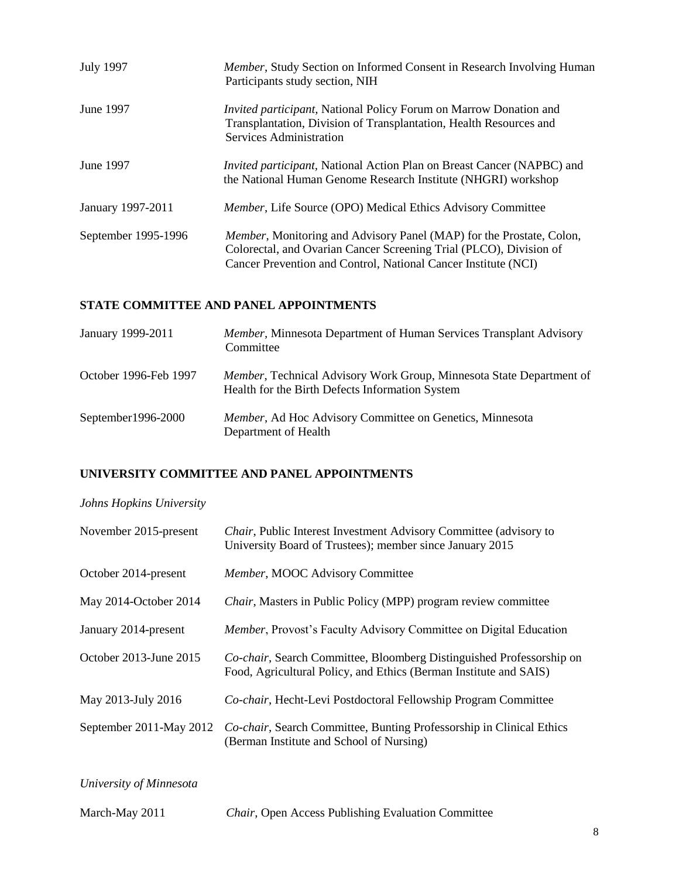| <b>July 1997</b>    | Member, Study Section on Informed Consent in Research Involving Human<br>Participants study section, NIH                                                                                                             |
|---------------------|----------------------------------------------------------------------------------------------------------------------------------------------------------------------------------------------------------------------|
| June 1997           | <i>Invited participant,</i> National Policy Forum on Marrow Donation and<br>Transplantation, Division of Transplantation, Health Resources and<br>Services Administration                                            |
| June 1997           | <i>Invited participant</i> , National Action Plan on Breast Cancer (NAPBC) and<br>the National Human Genome Research Institute (NHGRI) workshop                                                                      |
| January 1997-2011   | Member, Life Source (OPO) Medical Ethics Advisory Committee                                                                                                                                                          |
| September 1995-1996 | <i>Member</i> , Monitoring and Advisory Panel (MAP) for the Prostate, Colon,<br>Colorectal, and Ovarian Cancer Screening Trial (PLCO), Division of<br>Cancer Prevention and Control, National Cancer Institute (NCI) |

# **STATE COMMITTEE AND PANEL APPOINTMENTS**

| January 1999-2011     | Member, Minnesota Department of Human Services Transplant Advisory<br>Committee                                         |
|-----------------------|-------------------------------------------------------------------------------------------------------------------------|
| October 1996-Feb 1997 | Member, Technical Advisory Work Group, Minnesota State Department of<br>Health for the Birth Defects Information System |
| September1996-2000    | Member, Ad Hoc Advisory Committee on Genetics, Minnesota<br>Department of Health                                        |

# **UNIVERSITY COMMITTEE AND PANEL APPOINTMENTS**

# *Johns Hopkins University*

| November 2015-present   | <i>Chair</i> , Public Interest Investment Advisory Committee (advisory to<br>University Board of Trustees); member since January 2015     |
|-------------------------|-------------------------------------------------------------------------------------------------------------------------------------------|
| October 2014-present    | Member, MOOC Advisory Committee                                                                                                           |
| May 2014-October 2014   | <i>Chair</i> , Masters in Public Policy (MPP) program review committee                                                                    |
| January 2014-present    | Member, Provost's Faculty Advisory Committee on Digital Education                                                                         |
| October 2013-June 2015  | Co-chair, Search Committee, Bloomberg Distinguished Professorship on<br>Food, Agricultural Policy, and Ethics (Berman Institute and SAIS) |
| May 2013-July 2016      | Co-chair, Hecht-Levi Postdoctoral Fellowship Program Committee                                                                            |
| September 2011-May 2012 | Co-chair, Search Committee, Bunting Professorship in Clinical Ethics<br>(Berman Institute and School of Nursing)                          |

*University of Minnesota*

| March-May 2011 | <b>Chair, Open Access Publishing Evaluation Committee</b> |  |
|----------------|-----------------------------------------------------------|--|
|----------------|-----------------------------------------------------------|--|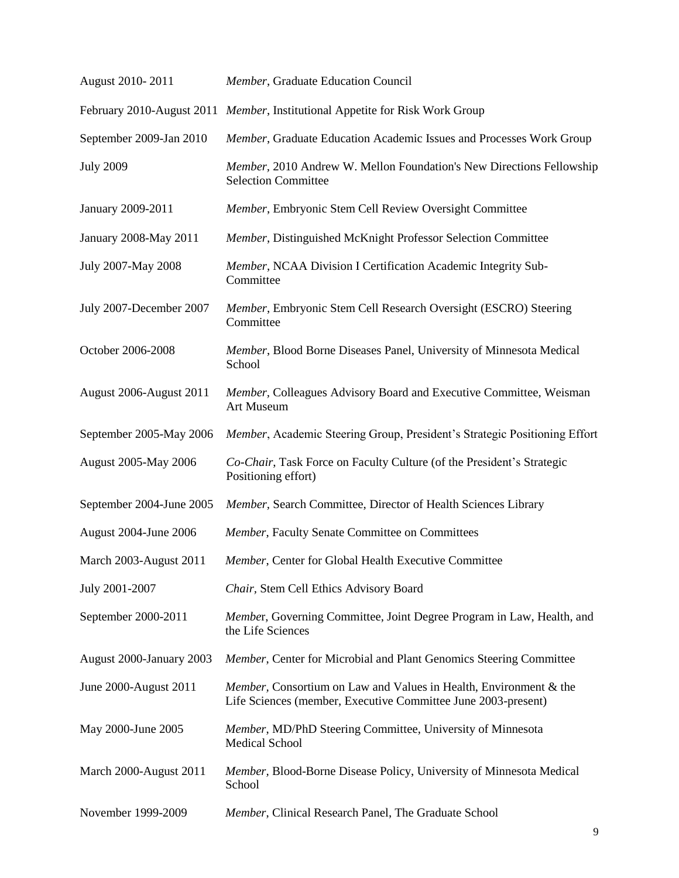| August 2010-2011             | Member, Graduate Education Council                                                                                                 |
|------------------------------|------------------------------------------------------------------------------------------------------------------------------------|
|                              | February 2010-August 2011 Member, Institutional Appetite for Risk Work Group                                                       |
| September 2009-Jan 2010      | Member, Graduate Education Academic Issues and Processes Work Group                                                                |
| <b>July 2009</b>             | Member, 2010 Andrew W. Mellon Foundation's New Directions Fellowship<br><b>Selection Committee</b>                                 |
| January 2009-2011            | Member, Embryonic Stem Cell Review Oversight Committee                                                                             |
| January 2008-May 2011        | Member, Distinguished McKnight Professor Selection Committee                                                                       |
| July 2007-May 2008           | Member, NCAA Division I Certification Academic Integrity Sub-<br>Committee                                                         |
| July 2007-December 2007      | Member, Embryonic Stem Cell Research Oversight (ESCRO) Steering<br>Committee                                                       |
| October 2006-2008            | Member, Blood Borne Diseases Panel, University of Minnesota Medical<br>School                                                      |
| August 2006-August 2011      | Member, Colleagues Advisory Board and Executive Committee, Weisman<br>Art Museum                                                   |
| September 2005-May 2006      | Member, Academic Steering Group, President's Strategic Positioning Effort                                                          |
| August 2005-May 2006         | Co-Chair, Task Force on Faculty Culture (of the President's Strategic<br>Positioning effort)                                       |
| September 2004-June 2005     | Member, Search Committee, Director of Health Sciences Library                                                                      |
| <b>August 2004-June 2006</b> | Member, Faculty Senate Committee on Committees                                                                                     |
| March 2003-August 2011       | Member, Center for Global Health Executive Committee                                                                               |
| July 2001-2007               | Chair, Stem Cell Ethics Advisory Board                                                                                             |
| September 2000-2011          | Member, Governing Committee, Joint Degree Program in Law, Health, and<br>the Life Sciences                                         |
| August 2000-January 2003     | Member, Center for Microbial and Plant Genomics Steering Committee                                                                 |
| June 2000-August 2011        | Member, Consortium on Law and Values in Health, Environment & the<br>Life Sciences (member, Executive Committee June 2003-present) |
| May 2000-June 2005           | Member, MD/PhD Steering Committee, University of Minnesota<br><b>Medical School</b>                                                |
| March 2000-August 2011       | Member, Blood-Borne Disease Policy, University of Minnesota Medical<br>School                                                      |
| November 1999-2009           | Member, Clinical Research Panel, The Graduate School                                                                               |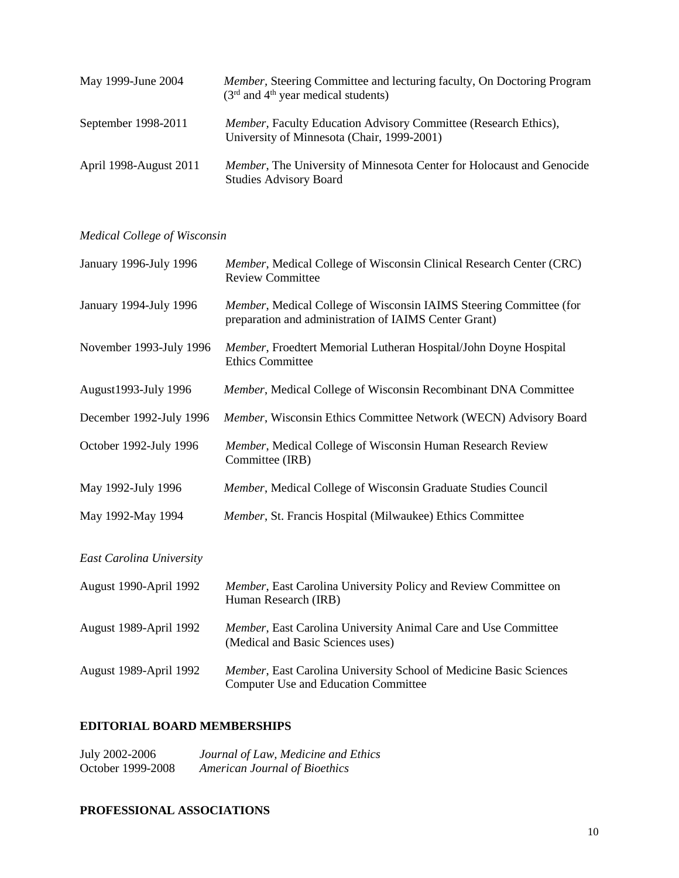| May 1999-June 2004     | <i>Member</i> , Steering Committee and lecturing faculty, On Doctoring Program<br>$(3rd$ and 4 <sup>th</sup> year medical students) |
|------------------------|-------------------------------------------------------------------------------------------------------------------------------------|
| September 1998-2011    | <i>Member</i> , Faculty Education Advisory Committee (Research Ethics),<br>University of Minnesota (Chair, 1999-2001)               |
| April 1998-August 2011 | Member, The University of Minnesota Center for Holocaust and Genocide<br><b>Studies Advisory Board</b>                              |

# *Medical College of Wisconsin*

| January 1996-July 1996   | Member, Medical College of Wisconsin Clinical Research Center (CRC)<br><b>Review Committee</b>                              |
|--------------------------|-----------------------------------------------------------------------------------------------------------------------------|
| January 1994-July 1996   | Member, Medical College of Wisconsin IAIMS Steering Committee (for<br>preparation and administration of IAIMS Center Grant) |
| November 1993-July 1996  | Member, Froedtert Memorial Lutheran Hospital/John Doyne Hospital<br><b>Ethics Committee</b>                                 |
| August1993-July 1996     | Member, Medical College of Wisconsin Recombinant DNA Committee                                                              |
| December 1992-July 1996  | Member, Wisconsin Ethics Committee Network (WECN) Advisory Board                                                            |
| October 1992-July 1996   | Member, Medical College of Wisconsin Human Research Review<br>Committee (IRB)                                               |
| May 1992-July 1996       | Member, Medical College of Wisconsin Graduate Studies Council                                                               |
| May 1992-May 1994        | Member, St. Francis Hospital (Milwaukee) Ethics Committee                                                                   |
| East Carolina University |                                                                                                                             |
| August 1990-April 1992   | Member, East Carolina University Policy and Review Committee on<br>Human Research (IRB)                                     |
| August 1989-April 1992   | Member, East Carolina University Animal Care and Use Committee<br>(Medical and Basic Sciences uses)                         |
| August 1989-April 1992   | Member, East Carolina University School of Medicine Basic Sciences<br><b>Computer Use and Education Committee</b>           |

# **EDITORIAL BOARD MEMBERSHIPS**

| July 2002-2006    | Journal of Law, Medicine and Ethics  |
|-------------------|--------------------------------------|
| October 1999-2008 | <b>American Journal of Bioethics</b> |

# **PROFESSIONAL ASSOCIATIONS**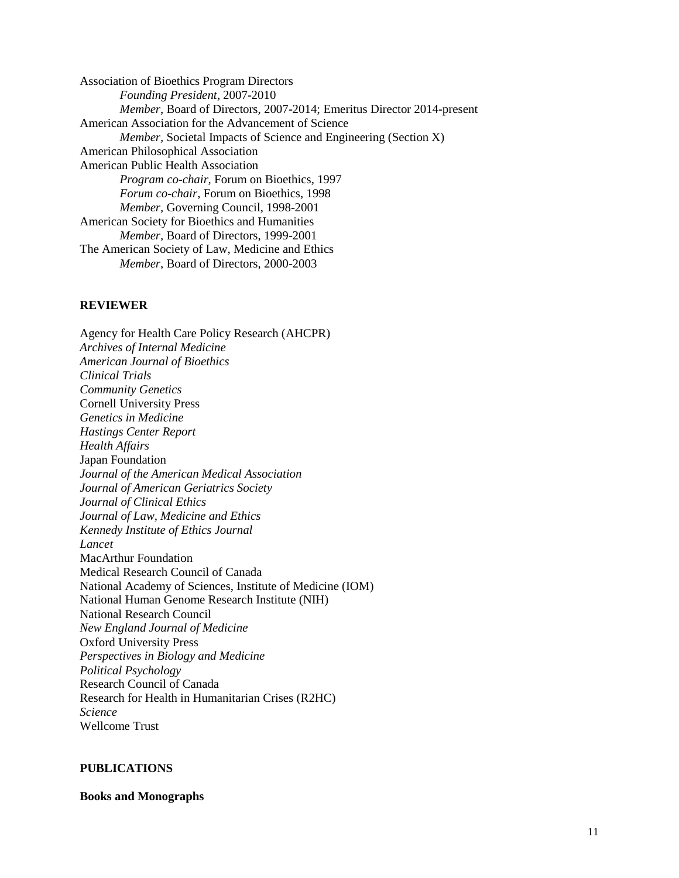Association of Bioethics Program Directors *Founding President*, 2007-2010 *Member*, Board of Directors, 2007-2014; Emeritus Director 2014-present American Association for the Advancement of Science *Member,* Societal Impacts of Science and Engineering (Section X) American Philosophical Association American Public Health Association *Program co-chair*, Forum on Bioethics, 1997 *Forum co-chair*, Forum on Bioethics, 1998 *Member,* Governing Council, 1998-2001 American Society for Bioethics and Humanities *Member,* Board of Directors, 1999-2001 The American Society of Law, Medicine and Ethics *Member*, Board of Directors, 2000-2003

### **REVIEWER**

Agency for Health Care Policy Research (AHCPR) *Archives of Internal Medicine American Journal of Bioethics Clinical Trials Community Genetics* Cornell University Press *Genetics in Medicine Hastings Center Report Health Affairs* Japan Foundation *Journal of the American Medical Association Journal of American Geriatrics Society Journal of Clinical Ethics Journal of Law, Medicine and Ethics Kennedy Institute of Ethics Journal Lancet* MacArthur Foundation Medical Research Council of Canada National Academy of Sciences, Institute of Medicine (IOM) National Human Genome Research Institute (NIH) National Research Council *New England Journal of Medicine* Oxford University Press *Perspectives in Biology and Medicine Political Psychology*  Research Council of Canada Research for Health in Humanitarian Crises (R2HC) *Science* Wellcome Trust

#### **PUBLICATIONS**

**Books and Monographs**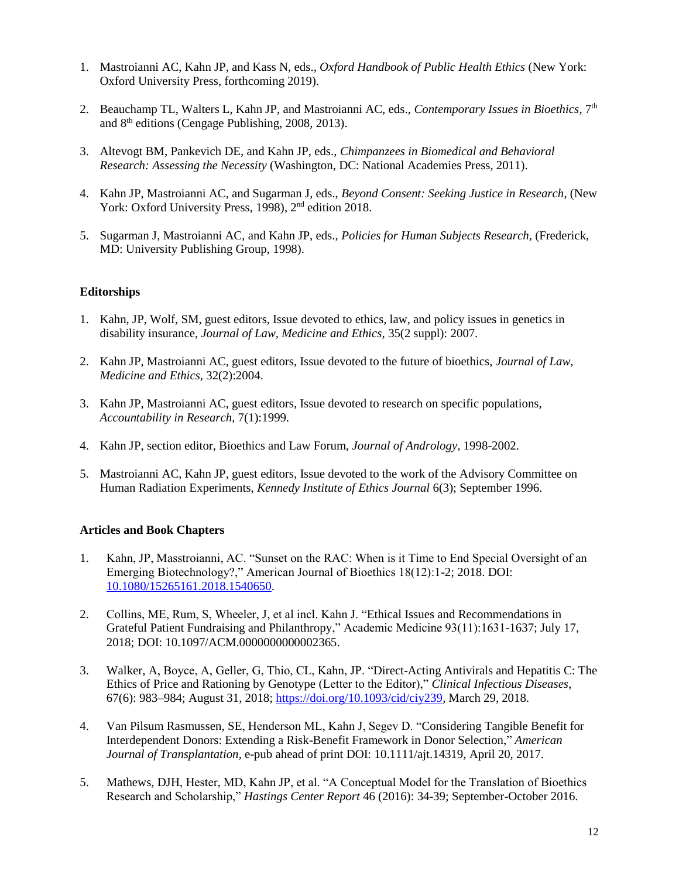- 1. Mastroianni AC, Kahn JP, and Kass N, eds., *Oxford Handbook of Public Health Ethics* (New York: Oxford University Press, forthcoming 2019).
- 2. Beauchamp TL, Walters L, Kahn JP, and Mastroianni AC, eds., *Contemporary Issues in Bioethics*, 7<sup>th</sup> and 8th editions (Cengage Publishing, 2008, 2013).
- 3. Altevogt BM, Pankevich DE, and Kahn JP, eds., *Chimpanzees in Biomedical and Behavioral Research: Assessing the Necessity* (Washington, DC: National Academies Press, 2011).
- 4. Kahn JP, Mastroianni AC, and Sugarman J, eds., *Beyond Consent: Seeking Justice in Research*, (New York: Oxford University Press, 1998), 2<sup>nd</sup> edition 2018.
- 5. Sugarman J, Mastroianni AC, and Kahn JP, eds., *Policies for Human Subjects Research,* (Frederick, MD: University Publishing Group, 1998).

#### **Editorships**

- 1. Kahn, JP, Wolf, SM, guest editors, Issue devoted to ethics, law, and policy issues in genetics in disability insurance, *Journal of Law, Medicine and Ethics,* 35(2 suppl): 2007.
- 2. Kahn JP, Mastroianni AC, guest editors, Issue devoted to the future of bioethics, *Journal of Law, Medicine and Ethics*, 32(2):2004.
- 3. Kahn JP, Mastroianni AC, guest editors, Issue devoted to research on specific populations, *Accountability in Research*, 7(1):1999.
- 4. Kahn JP, section editor, Bioethics and Law Forum, *Journal of Andrology*, 1998-2002.
- 5. Mastroianni AC, Kahn JP, guest editors, Issue devoted to the work of the Advisory Committee on Human Radiation Experiments, *Kennedy Institute of Ethics Journal* 6(3); September 1996.

#### **Articles and Book Chapters**

- 1. Kahn, JP, Masstroianni, AC. "Sunset on the RAC: When is it Time to End Special Oversight of an Emerging Biotechnology?," American Journal of Bioethics 18(12):1-2; 2018. DOI: [10.1080/15265161.2018.1540650.](https://philpapers.org/go.pl?id=KAHSOT-4&proxyId=&u=http%3A%2F%2Fdx.doi.org%2F10.1080%2F15265161.2018.1540650)
- 2. Collins, ME, Rum, S, Wheeler, J, et al incl. Kahn J. "Ethical Issues and Recommendations in Grateful Patient Fundraising and Philanthropy," Academic Medicine 93(11):1631-1637; July 17, 2018; DOI: 10.1097/ACM.0000000000002365.
- 3. Walker, A, Boyce, A, Geller, G, Thio, CL, Kahn, JP. "Direct-Acting Antivirals and Hepatitis C: The Ethics of Price and Rationing by Genotype (Letter to the Editor)," *Clinical Infectious Diseases*, 67(6): 983–984; August 31, 2018; [https://doi.org/10.1093/cid/ciy239,](https://doi.org/10.1093/cid/ciy239) March 29, 2018.
- 4. Van Pilsum Rasmussen, SE, Henderson ML, Kahn J, Segev D. "Considering Tangible Benefit for Interdependent Donors: Extending a Risk-Benefit Framework in Donor Selection," *American Journal of Transplantation*, e-pub ahead of print DOI: 10.1111/ajt.14319, April 20, 2017.
- 5. Mathews, DJH, Hester, MD, Kahn JP, et al. "A Conceptual Model for the Translation of Bioethics Research and Scholarship," *Hastings Center Report* 46 (2016): 34-39; September-October 2016.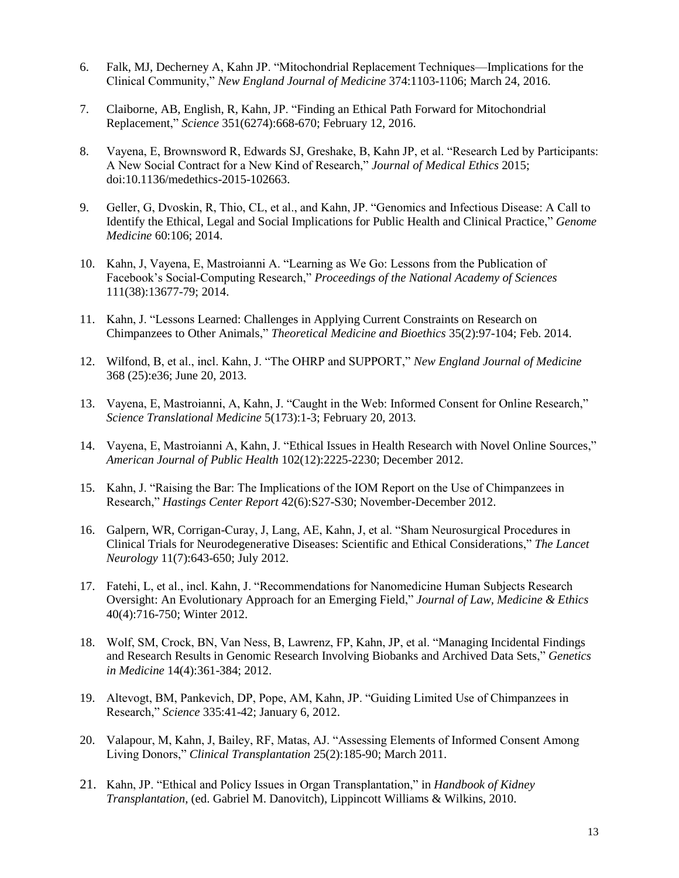- 6. Falk, MJ, Decherney A, Kahn JP. "Mitochondrial Replacement Techniques—Implications for the Clinical Community," *New England Journal of Medicine* 374:1103-1106; March 24, 2016.
- 7. Claiborne, AB, English, R, Kahn, JP. "Finding an Ethical Path Forward for Mitochondrial Replacement," *Science* 351(6274):668-670; February 12, 2016.
- 8. Vayena, E, Brownsword R, Edwards SJ, Greshake, B, Kahn JP, et al. "Research Led by Participants: A New Social Contract for a New Kind of Research," *Journal of Medical Ethics* 2015; doi:10.1136/medethics-2015-102663.
- 9. Geller, G, Dvoskin, R, Thio, CL, et al., and Kahn, JP. "Genomics and Infectious Disease: A Call to Identify the Ethical, Legal and Social Implications for Public Health and Clinical Practice," *Genome Medicine* 60:106; 2014.
- 10. Kahn, J, Vayena, E, Mastroianni A. "Learning as We Go: Lessons from the Publication of Facebook's Social-Computing Research," *Proceedings of the National Academy of Sciences* 111(38):13677-79; 2014.
- 11. Kahn, J. "Lessons Learned: Challenges in Applying Current Constraints on Research on Chimpanzees to Other Animals," *Theoretical Medicine and Bioethics* 35(2):97-104; Feb. 2014.
- 12. Wilfond, B, et al., incl. Kahn, J. "The OHRP and SUPPORT," *New England Journal of Medicine* 368 (25):e36; June 20, 2013.
- 13. Vayena, E, Mastroianni, A, Kahn, J. "Caught in the Web: Informed Consent for Online Research," *Science Translational Medicine* 5(173):1-3; February 20, 2013.
- 14. Vayena, E, Mastroianni A, Kahn, J. "Ethical Issues in Health Research with Novel Online Sources," *American Journal of Public Health* 102(12):2225-2230; December 2012.
- 15. Kahn, J. "Raising the Bar: The Implications of the IOM Report on the Use of Chimpanzees in Research," *Hastings Center Report* 42(6):S27-S30; November-December 2012.
- 16. Galpern, WR, Corrigan-Curay, J, Lang, AE, Kahn, J, et al. "Sham Neurosurgical Procedures in Clinical Trials for Neurodegenerative Diseases: Scientific and Ethical Considerations," *The Lancet Neurology* 11(7):643-650; July 2012.
- 17. Fatehi, L, et al., incl. Kahn, J. "Recommendations for Nanomedicine Human Subjects Research Oversight: An Evolutionary Approach for an Emerging Field," *Journal of Law, Medicine & Ethics* 40(4):716-750; Winter 2012.
- 18. Wolf, SM, Crock, BN, Van Ness, B, Lawrenz, FP, Kahn, JP, et al. "Managing Incidental Findings and Research Results in Genomic Research Involving Biobanks and Archived Data Sets," *Genetics in Medicine* 14(4):361-384; 2012.
- 19. Altevogt, BM, Pankevich, DP, Pope, AM, Kahn, JP. "Guiding Limited Use of Chimpanzees in Research," *Science* 335:41-42; January 6, 2012.
- 20. Valapour, M, Kahn, J, Bailey, RF, Matas, AJ. "Assessing Elements of Informed Consent Among Living Donors," *Clinical Transplantation* 25(2):185-90; March 2011.
- 21. Kahn, JP. "Ethical and Policy Issues in Organ Transplantation," in *Handbook of Kidney Transplantation*, (ed. Gabriel M. Danovitch), Lippincott Williams & Wilkins, 2010.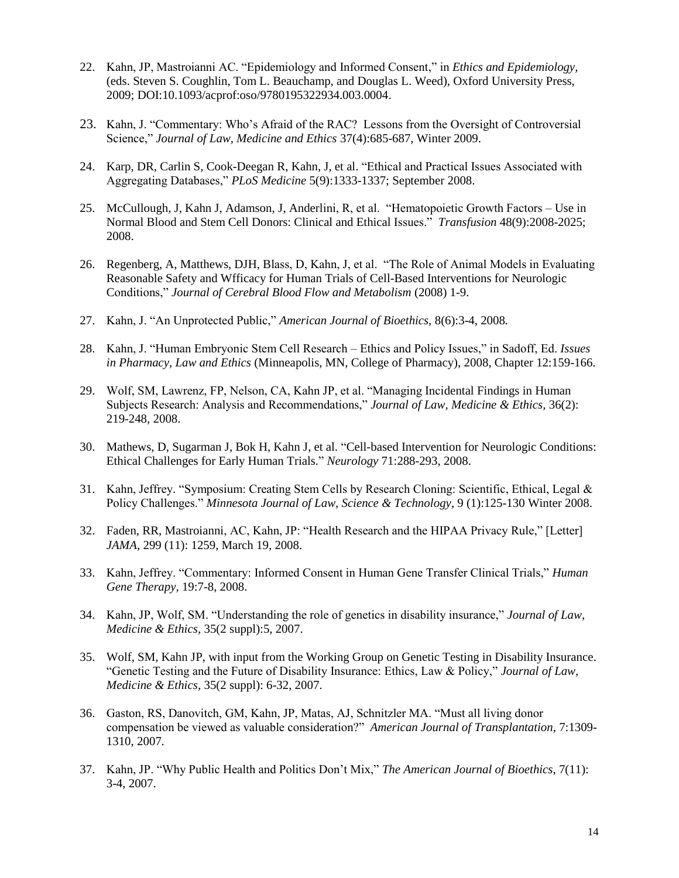- 22. Kahn, JP, Mastroianni AC. "Epidemiology and Informed Consent," in *Ethics and Epidemiology*, (eds. Steven S. Coughlin, Tom L. Beauchamp, and Douglas L. Weed), Oxford University Press, 2009; DOI:10.1093/acprof:oso/9780195322934.003.0004.
- 23. Kahn, J. "Commentary: Who's Afraid of the RAC? Lessons from the Oversight of Controversial Science," *Journal of Law, Medicine and Ethics* 37(4):685-687, Winter 2009.
- 24. Karp, DR, Carlin S, Cook-Deegan R, Kahn, J, et al. "Ethical and Practical Issues Associated with Aggregating Databases," *PLoS Medicine* 5(9):1333-1337; September 2008.
- 25. McCullough, J, Kahn J, Adamson, J, Anderlini, R, et al. "Hematopoietic Growth Factors Use in Normal Blood and Stem Cell Donors: Clinical and Ethical Issues." *Transfusion* 48(9):2008-2025; 2008.
- 26. Regenberg, A, Matthews, DJH, Blass, D, Kahn, J, et al. "The Role of Animal Models in Evaluating Reasonable Safety and Wfficacy for Human Trials of Cell-Based Interventions for Neurologic Conditions," *Journal of Cerebral Blood Flow and Metabolism* (2008) 1-9.
- 27. Kahn, J. "An Unprotected Public," *American Journal of Bioethics,* 8(6):3-4, 2008*.*
- 28. Kahn, J. "Human Embryonic Stem Cell Research Ethics and Policy Issues," in Sadoff, Ed. *Issues in Pharmacy, Law and Ethics* (Minneapolis, MN, College of Pharmacy), 2008, Chapter 12:159-166.
- 29. Wolf, SM, Lawrenz, FP, Nelson, CA, Kahn JP, et al. "Managing Incidental Findings in Human Subjects Research: Analysis and Recommendations," *Journal of Law, Medicine & Ethics,* 36(2): 219-248, 2008.
- 30. Mathews, D, Sugarman J, Bok H, Kahn J, et al. "Cell-based Intervention for Neurologic Conditions: Ethical Challenges for Early Human Trials." *Neurology* 71:288-293, 2008.
- 31. Kahn, Jeffrey. "Symposium: Creating Stem Cells by Research Cloning: Scientific, Ethical, Legal & Policy Challenges." *Minnesota Journal of Law, Science & Technology*, 9 (1):125-130 Winter 2008.
- 32. Faden, RR, Mastroianni, AC, Kahn, JP: "Health Research and the HIPAA Privacy Rule," [Letter] *JAMA,* 299 (11): 1259, March 19, 2008.
- 33. Kahn, Jeffrey. "Commentary: Informed Consent in Human Gene Transfer Clinical Trials," *Human Gene Therapy,* 19:7-8, 2008.
- 34. Kahn, JP, Wolf, SM. "Understanding the role of genetics in disability insurance," *Journal of Law, Medicine & Ethics,* 35(2 suppl):5, 2007.
- 35. Wolf, SM, Kahn JP, with input from the Working Group on Genetic Testing in Disability Insurance. "Genetic Testing and the Future of Disability Insurance: Ethics, Law & Policy," *Journal of Law, Medicine & Ethics,* 35(2 suppl): 6-32, 2007.
- 36. Gaston, RS, Danovitch, GM, Kahn, JP, Matas, AJ, Schnitzler MA. "Must all living donor compensation be viewed as valuable consideration?" *American Journal of Transplantation*, 7:1309- 1310, 2007.
- 37. Kahn, JP. "Why Public Health and Politics Don't Mix," *The American Journal of Bioethics,* 7(11): 3-4, 2007.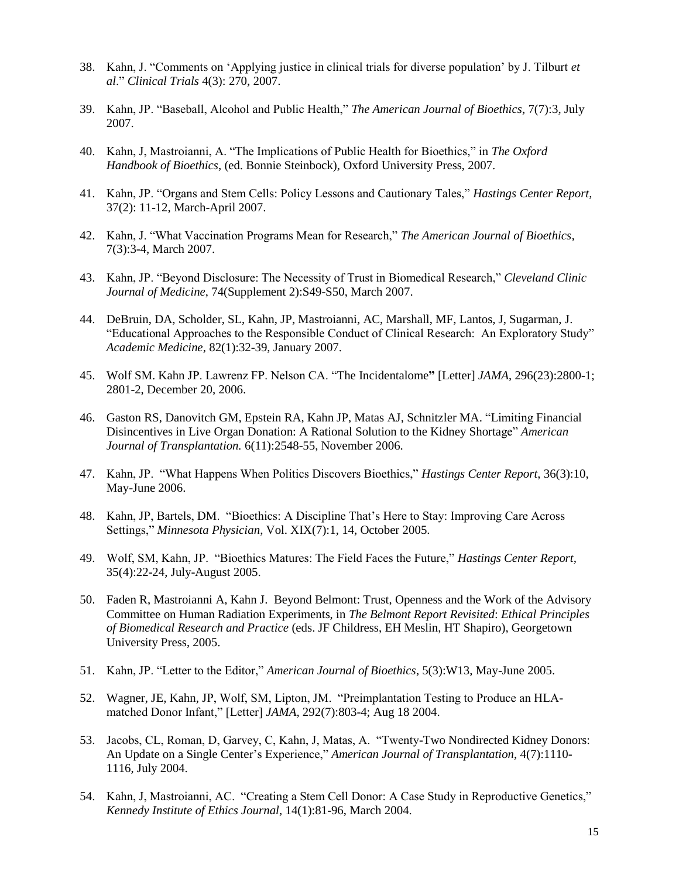- 38. Kahn, J. "Comments on 'Applying justice in clinical trials for diverse population' by J. Tilburt *et al*." *Clinical Trials* 4(3): 270, 2007.
- 39. Kahn, JP. "Baseball, Alcohol and Public Health," *The American Journal of Bioethics*, 7(7):3, July 2007.
- 40. Kahn, J, Mastroianni, A. "The Implications of Public Health for Bioethics," in *The Oxford Handbook of Bioethics*, (ed. Bonnie Steinbock), Oxford University Press, 2007.
- 41. Kahn, JP. "Organs and Stem Cells: Policy Lessons and Cautionary Tales," *Hastings Center Report,*  37(2): 11-12, March-April 2007.
- 42. Kahn, J. "What Vaccination Programs Mean for Research," *The American Journal of Bioethics,*  7(3):3-4, March 2007.
- 43. Kahn, JP. "Beyond Disclosure: The Necessity of Trust in Biomedical Research," *Cleveland Clinic Journal of Medicine*, 74(Supplement 2):S49-S50, March 2007.
- 44. DeBruin, DA, Scholder, SL, Kahn, JP, Mastroianni, AC, Marshall, MF, Lantos, J, Sugarman, J. "Educational Approaches to the Responsible Conduct of Clinical Research: An Exploratory Study" *Academic Medicine*, 82(1):32-39, January 2007.
- 45. Wolf SM. Kahn JP. Lawrenz FP. Nelson CA. "The Incidentalome**"** [Letter] *JAMA*, 296(23):2800-1; 2801-2, December 20, 2006.
- 46. Gaston RS, Danovitch GM, Epstein RA, Kahn JP, Matas AJ, Schnitzler MA. "Limiting Financial Disincentives in Live Organ Donation: A Rational Solution to the Kidney Shortage" *American Journal of Transplantation.* 6(11):2548-55, November 2006.
- 47. Kahn, JP. "What Happens When Politics Discovers Bioethics," *Hastings Center Report*, 36(3):10, May-June 2006.
- 48. Kahn, JP, Bartels, DM. "Bioethics: A Discipline That's Here to Stay: Improving Care Across Settings," *Minnesota Physician*, Vol. XIX(7):1, 14, October 2005.
- 49. Wolf, SM, Kahn, JP. "Bioethics Matures: The Field Faces the Future," *Hastings Center Report,* 35(4):22-24, July-August 2005.
- 50. Faden R, Mastroianni A, Kahn J. Beyond Belmont: Trust, Openness and the Work of the Advisory Committee on Human Radiation Experiments, in *The Belmont Report Revisited*: *Ethical Principles of Biomedical Research and Practice* (eds. JF Childress, EH Meslin, HT Shapiro), Georgetown University Press, 2005.
- 51. Kahn, JP. "Letter to the Editor," *American Journal of Bioethics*, 5(3):W13, May-June 2005.
- 52. Wagner, JE, Kahn, JP, Wolf, SM, Lipton, JM. "Preimplantation Testing to Produce an HLAmatched Donor Infant," [Letter] *JAMA,* 292(7):803-4; Aug 18 2004.
- 53. Jacobs, CL, Roman, D, Garvey, C, Kahn, J, Matas, A. "Twenty-Two Nondirected Kidney Donors: An Update on a Single Center's Experience," *American Journal of Transplantation*, 4(7):1110- 1116, July 2004.
- 54. Kahn, J, Mastroianni, AC. "Creating a Stem Cell Donor: A Case Study in Reproductive Genetics," *Kennedy Institute of Ethics Journal*, 14(1):81-96, March 2004.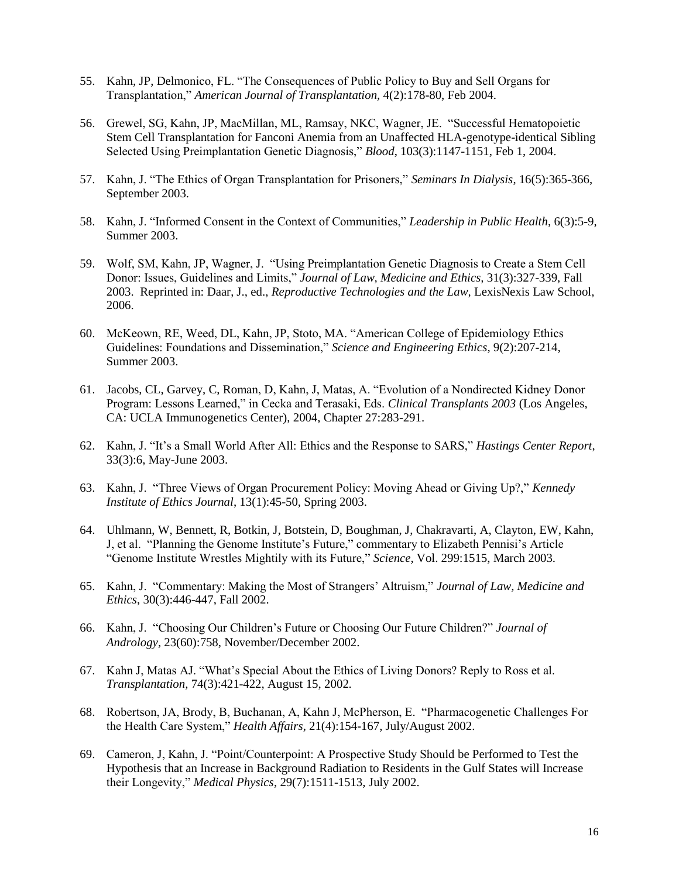- 55. Kahn, JP, Delmonico, FL. "The Consequences of Public Policy to Buy and Sell Organs for Transplantation," *American Journal of Transplantation,* 4(2):178-80, Feb 2004.
- 56. Grewel, SG, Kahn, JP, MacMillan, ML, Ramsay, NKC, Wagner, JE. "Successful Hematopoietic Stem Cell Transplantation for Fanconi Anemia from an Unaffected HLA-genotype-identical Sibling Selected Using Preimplantation Genetic Diagnosis," *Blood*, 103(3):1147-1151, Feb 1, 2004.
- 57. Kahn, J. "The Ethics of Organ Transplantation for Prisoners," *Seminars In Dialysis*, 16(5):365-366, September 2003.
- 58. Kahn, J. "Informed Consent in the Context of Communities," *Leadership in Public Health*, 6(3):5-9, Summer 2003.
- 59. Wolf, SM, Kahn, JP, Wagner, J. "Using Preimplantation Genetic Diagnosis to Create a Stem Cell Donor: Issues, Guidelines and Limits," *Journal of Law, Medicine and Ethics,* 31(3):327-339, Fall 2003. Reprinted in: Daar, J., ed., *Reproductive Technologies and the Law,* LexisNexis Law School, 2006.
- 60. McKeown, RE, Weed, DL, Kahn, JP, Stoto, MA. "American College of Epidemiology Ethics Guidelines: Foundations and Dissemination," *Science and Engineering Ethics*, 9(2):207-214, Summer 2003.
- 61. Jacobs, CL, Garvey, C, Roman, D, Kahn, J, Matas, A. "Evolution of a Nondirected Kidney Donor Program: Lessons Learned," in Cecka and Terasaki, Eds. *Clinical Transplants 2003* (Los Angeles, CA: UCLA Immunogenetics Center), 2004, Chapter 27:283-291.
- 62. Kahn, J. "It's a Small World After All: Ethics and the Response to SARS," *Hastings Center Report*, 33(3):6, May-June 2003.
- 63. Kahn, J. "Three Views of Organ Procurement Policy: Moving Ahead or Giving Up?," *Kennedy Institute of Ethics Journal*, 13(1):45-50, Spring 2003.
- 64. Uhlmann, W, Bennett, R, Botkin, J, Botstein, D, Boughman, J, Chakravarti, A, Clayton, EW, Kahn, J, et al. "Planning the Genome Institute's Future," commentary to Elizabeth Pennisi's Article "Genome Institute Wrestles Mightily with its Future," *Science*, Vol. 299:1515, March 2003.
- 65. Kahn, J. "Commentary: Making the Most of Strangers' Altruism," *Journal of Law, Medicine and Ethics*, 30(3):446-447, Fall 2002.
- 66. Kahn, J. "Choosing Our Children's Future or Choosing Our Future Children?" *Journal of Andrology,* 23(60):758, November/December 2002.
- 67. Kahn J, Matas AJ. "What's Special About the Ethics of Living Donors? Reply to Ross et al. *Transplantation,* 74(3):421-422, August 15, 2002.
- 68. Robertson, JA, Brody, B, Buchanan, A, Kahn J, McPherson, E. "Pharmacogenetic Challenges For the Health Care System," *Health Affairs*, 21(4):154-167, July/August 2002.
- 69. Cameron, J, Kahn, J. "Point/Counterpoint: A Prospective Study Should be Performed to Test the Hypothesis that an Increase in Background Radiation to Residents in the Gulf States will Increase their Longevity," *Medical Physics*, 29(7):1511-1513, July 2002.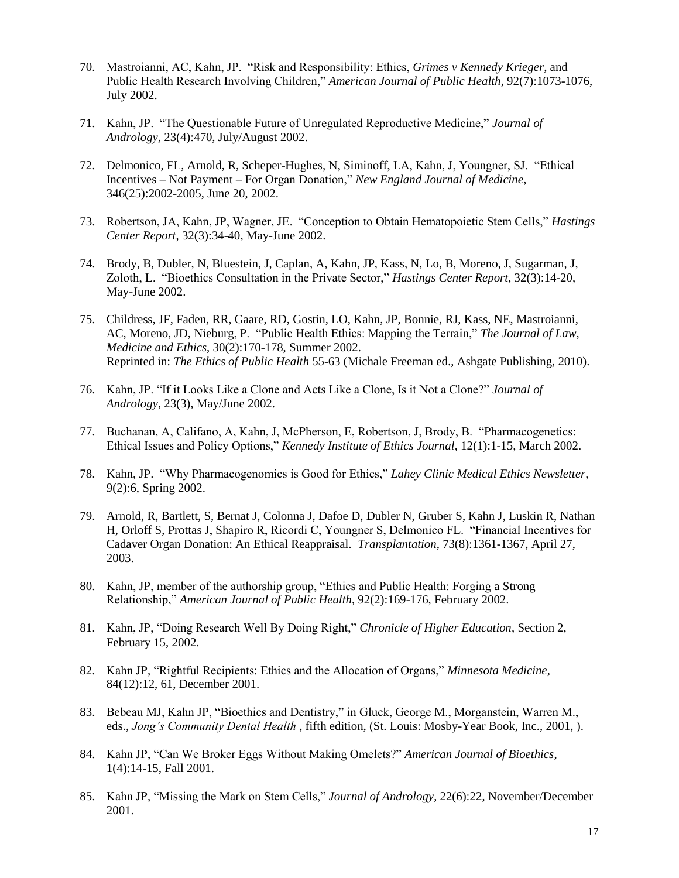- 70. Mastroianni, AC, Kahn, JP. "Risk and Responsibility: Ethics, *Grimes v Kennedy Krieger*, and Public Health Research Involving Children," *American Journal of Public Health*, 92(7):1073-1076, July 2002.
- 71. Kahn, JP. "The Questionable Future of Unregulated Reproductive Medicine," *Journal of Andrology,* 23(4):470, July/August 2002.
- 72. Delmonico, FL, Arnold, R, Scheper-Hughes, N, Siminoff, LA, Kahn, J, Youngner, SJ. "Ethical Incentives – Not Payment – For Organ Donation," *New England Journal of Medicine*, 346(25):2002-2005, June 20, 2002.
- 73. Robertson, JA, Kahn, JP, Wagner, JE. "Conception to Obtain Hematopoietic Stem Cells," *Hastings Center Report*, 32(3):34-40, May-June 2002.
- 74. Brody, B, Dubler, N, Bluestein, J, Caplan, A, Kahn, JP, Kass, N, Lo, B, Moreno, J, Sugarman, J, Zoloth, L. "Bioethics Consultation in the Private Sector," *Hastings Center Report*, 32(3):14-20, May-June 2002.
- 75. Childress, JF, Faden, RR, Gaare, RD, Gostin, LO, Kahn, JP, Bonnie, RJ, Kass, NE, Mastroianni, AC, Moreno, JD, Nieburg, P. "Public Health Ethics: Mapping the Terrain," *The Journal of Law, Medicine and Ethics*, 30(2):170-178, Summer 2002. Reprinted in: *The Ethics of Public Health* 55-63 (Michale Freeman ed., Ashgate Publishing, 2010).
- 76. Kahn, JP. "If it Looks Like a Clone and Acts Like a Clone, Is it Not a Clone?" *Journal of Andrology*, 23(3), May/June 2002.
- 77. Buchanan, A, Califano, A, Kahn, J, McPherson, E, Robertson, J, Brody, B. "Pharmacogenetics: Ethical Issues and Policy Options," *Kennedy Institute of Ethics Journal*, 12(1):1-15, March 2002.
- 78. Kahn, JP. "Why Pharmacogenomics is Good for Ethics," *Lahey Clinic Medical Ethics Newsletter*, 9(2):6, Spring 2002.
- 79. Arnold, R, Bartlett, S, Bernat J, Colonna J, Dafoe D, Dubler N, Gruber S, Kahn J, Luskin R, Nathan H, Orloff S, Prottas J, Shapiro R, Ricordi C, Youngner S, Delmonico FL. "Financial Incentives for Cadaver Organ Donation: An Ethical Reappraisal. *Transplantation*, 73(8):1361-1367, April 27, 2003.
- 80. Kahn, JP, member of the authorship group, "Ethics and Public Health: Forging a Strong Relationship," *American Journal of Public Health*, 92(2):169-176, February 2002.
- 81. Kahn, JP, "Doing Research Well By Doing Right," *Chronicle of Higher Education*, Section 2, February 15, 2002.
- 82. Kahn JP, "Rightful Recipients: Ethics and the Allocation of Organs," *Minnesota Medicine*, 84(12):12, 61, December 2001.
- 83. Bebeau MJ, Kahn JP, "Bioethics and Dentistry," in Gluck, George M., Morganstein, Warren M., eds., *Jong's Community Dental Health* , fifth edition, (St. Louis: Mosby-Year Book, Inc., 2001, ).
- 84. Kahn JP, "Can We Broker Eggs Without Making Omelets?" *American Journal of Bioethics*, 1(4):14-15, Fall 2001.
- 85. Kahn JP, "Missing the Mark on Stem Cells," *Journal of Andrology*, 22(6):22, November/December 2001.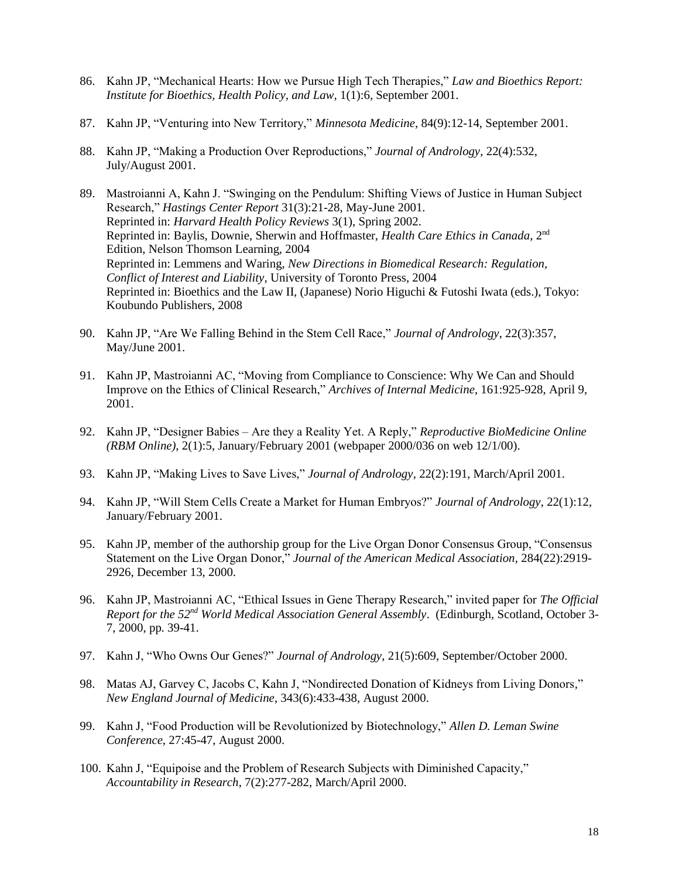- 86. Kahn JP, "Mechanical Hearts: How we Pursue High Tech Therapies," *Law and Bioethics Report: Institute for Bioethics, Health Policy, and Law,* 1(1):6, September 2001.
- 87. Kahn JP, "Venturing into New Territory," *Minnesota Medicine*, 84(9):12-14, September 2001.
- 88. Kahn JP, "Making a Production Over Reproductions," *Journal of Andrology*, 22(4):532, July/August 2001.
- 89. Mastroianni A, Kahn J. "Swinging on the Pendulum: Shifting Views of Justice in Human Subject Research," *Hastings Center Report* 31(3):21-28, May-June 2001. Reprinted in: *Harvard Health Policy Reviews* 3(1), Spring 2002. Reprinted in: Baylis, Downie, Sherwin and Hoffmaster, *Health Care Ethics in Canada*, 2nd Edition, Nelson Thomson Learning, 2004 Reprinted in: Lemmens and Waring, *New Directions in Biomedical Research: Regulation, Conflict of Interest and Liability*, University of Toronto Press, 2004 Reprinted in: Bioethics and the Law II, (Japanese) Norio Higuchi & Futoshi Iwata (eds.), Tokyo: Koubundo Publishers, 2008
- 90. Kahn JP, "Are We Falling Behind in the Stem Cell Race," *Journal of Andrology*, 22(3):357, May/June 2001.
- 91. Kahn JP, Mastroianni AC, "Moving from Compliance to Conscience: Why We Can and Should Improve on the Ethics of Clinical Research," *Archives of Internal Medicine*, 161:925-928, April 9, 2001.
- 92. Kahn JP, "Designer Babies Are they a Reality Yet. A Reply," *Reproductive BioMedicine Online (RBM Online)*, 2(1):5, January/February 2001 (webpaper 2000/036 on web 12/1/00).
- 93. Kahn JP, "Making Lives to Save Lives," *Journal of Andrology*, 22(2):191, March/April 2001.
- 94. Kahn JP, "Will Stem Cells Create a Market for Human Embryos?" *Journal of Andrology*, 22(1):12, January/February 2001.
- 95. Kahn JP, member of the authorship group for the Live Organ Donor Consensus Group, "Consensus Statement on the Live Organ Donor," *Journal of the American Medical Association*, 284(22):2919- 2926, December 13, 2000.
- 96. Kahn JP, Mastroianni AC, "Ethical Issues in Gene Therapy Research," invited paper for *The Official Report for the 52nd World Medical Association General Assembly*. (Edinburgh*,* Scotland, October 3- 7, 2000, pp. 39-41.
- 97. Kahn J, "Who Owns Our Genes?" *Journal of Andrology*, 21(5):609, September/October 2000.
- 98. Matas AJ, Garvey C, Jacobs C, Kahn J, "Nondirected Donation of Kidneys from Living Donors*,*" *New England Journal of Medicine*, 343(6):433-438, August 2000.
- 99. Kahn J, "Food Production will be Revolutionized by Biotechnology," *Allen D. Leman Swine Conference*, 27:45-47, August 2000.
- 100. Kahn J, "Equipoise and the Problem of Research Subjects with Diminished Capacity," *Accountability in Research*, 7(2):277-282, March/April 2000.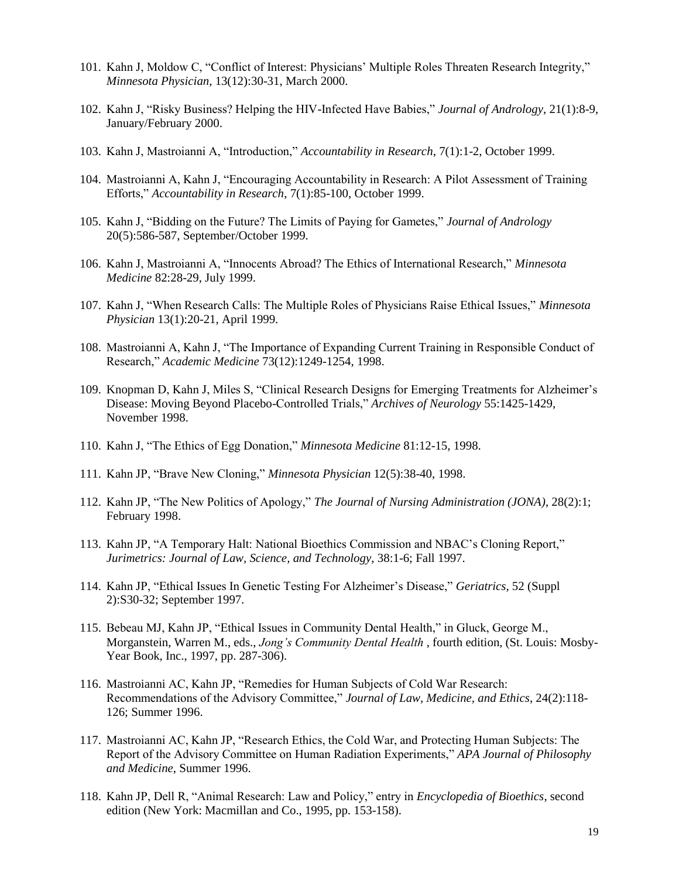- 101. Kahn J, Moldow C, "Conflict of Interest: Physicians' Multiple Roles Threaten Research Integrity," *Minnesota Physician*, 13(12):30-31, March 2000.
- 102. Kahn J, "Risky Business? Helping the HIV-Infected Have Babies," *Journal of Andrology*, 21(1):8-9, January/February 2000.
- 103. Kahn J, Mastroianni A, "Introduction," *Accountability in Research*, 7(1):1-2, October 1999.
- 104. Mastroianni A, Kahn J, "Encouraging Accountability in Research: A Pilot Assessment of Training Efforts," *Accountability in Research*, 7(1):85-100, October 1999.
- 105. Kahn J, "Bidding on the Future? The Limits of Paying for Gametes," *Journal of Andrology* 20(5):586-587, September/October 1999.
- 106. Kahn J, Mastroianni A, "Innocents Abroad? The Ethics of International Research," *Minnesota Medicine* 82:28-29, July 1999.
- 107. Kahn J, "When Research Calls: The Multiple Roles of Physicians Raise Ethical Issues," *Minnesota Physician* 13(1):20-21, April 1999.
- 108. Mastroianni A, Kahn J, "The Importance of Expanding Current Training in Responsible Conduct of Research," *Academic Medicine* 73(12):1249-1254, 1998.
- 109. Knopman D, Kahn J, Miles S, "Clinical Research Designs for Emerging Treatments for Alzheimer's Disease: Moving Beyond Placebo-Controlled Trials," *Archives of Neurology* 55:1425-1429, November 1998.
- 110. Kahn J, "The Ethics of Egg Donation," *Minnesota Medicine* 81:12-15, 1998.
- 111. Kahn JP, "Brave New Cloning," *Minnesota Physician* 12(5):38-40, 1998.
- 112. Kahn JP, "The New Politics of Apology," *The Journal of Nursing Administration (JONA)*, 28(2):1; February 1998.
- 113. Kahn JP, "A Temporary Halt: National Bioethics Commission and NBAC's Cloning Report," *Jurimetrics: Journal of Law, Science, and Technology*, 38:1-6; Fall 1997.
- 114. Kahn JP, "Ethical Issues In Genetic Testing For Alzheimer's Disease," *Geriatrics*, 52 (Suppl 2):S30-32; September 1997.
- 115. Bebeau MJ, Kahn JP, "Ethical Issues in Community Dental Health," in Gluck, George M., Morganstein, Warren M., eds., *Jong's Community Dental Health* , fourth edition, (St. Louis: Mosby-Year Book, Inc., 1997, pp. 287-306).
- 116. Mastroianni AC, Kahn JP, "Remedies for Human Subjects of Cold War Research: Recommendations of the Advisory Committee," *Journal of Law, Medicine, and Ethics*, 24(2):118- 126; Summer 1996.
- 117. Mastroianni AC, Kahn JP, "Research Ethics, the Cold War, and Protecting Human Subjects: The Report of the Advisory Committee on Human Radiation Experiments," *APA Journal of Philosophy and Medicine*, Summer 1996.
- 118. Kahn JP, Dell R, "Animal Research: Law and Policy," entry in *Encyclopedia of Bioethics*, second edition (New York: Macmillan and Co., 1995, pp. 153-158).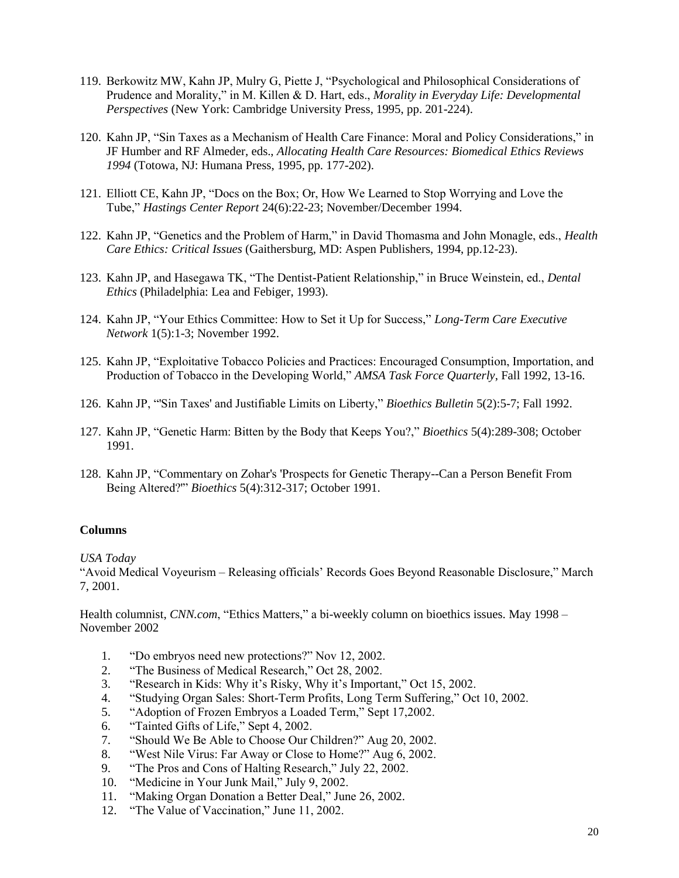- 119. Berkowitz MW, Kahn JP, Mulry G, Piette J, "Psychological and Philosophical Considerations of Prudence and Morality," in M. Killen & D. Hart, eds., *Morality in Everyday Life: Developmental Perspectives* (New York: Cambridge University Press, 1995, pp. 201-224).
- 120. Kahn JP, "Sin Taxes as a Mechanism of Health Care Finance: Moral and Policy Considerations," in JF Humber and RF Almeder, eds., *Allocating Health Care Resources: Biomedical Ethics Reviews 1994* (Totowa, NJ: Humana Press, 1995, pp. 177-202).
- 121. Elliott CE, Kahn JP, "Docs on the Box; Or, How We Learned to Stop Worrying and Love the Tube," *Hastings Center Report* 24(6):22-23; November/December 1994.
- 122. Kahn JP, "Genetics and the Problem of Harm," in David Thomasma and John Monagle, eds., *Health Care Ethics: Critical Issues* (Gaithersburg, MD: Aspen Publishers, 1994, pp.12-23).
- 123. Kahn JP, and Hasegawa TK, "The Dentist-Patient Relationship," in Bruce Weinstein, ed., *Dental Ethics* (Philadelphia: Lea and Febiger, 1993).
- 124. Kahn JP, "Your Ethics Committee: How to Set it Up for Success," *Long-Term Care Executive Network* 1(5):1-3; November 1992.
- 125. Kahn JP, "Exploitative Tobacco Policies and Practices: Encouraged Consumption, Importation, and Production of Tobacco in the Developing World," *AMSA Task Force Quarterly*, Fall 1992, 13-16.
- 126. Kahn JP, "'Sin Taxes' and Justifiable Limits on Liberty," *Bioethics Bulletin* 5(2):5-7; Fall 1992.
- 127. Kahn JP, "Genetic Harm: Bitten by the Body that Keeps You?," *Bioethics* 5(4):289-308; October 1991.
- 128. Kahn JP, "Commentary on Zohar's 'Prospects for Genetic Therapy--Can a Person Benefit From Being Altered?'" *Bioethics* 5(4):312-317; October 1991.

#### **Columns**

*USA Today*

"Avoid Medical Voyeurism – Releasing officials' Records Goes Beyond Reasonable Disclosure," March 7, 2001.

Health columnist, *CNN.com*, "Ethics Matters," a bi-weekly column on bioethics issues. May 1998 – November 2002

- 1. "Do embryos need new protections?" Nov 12, 2002.
- 2. "The Business of Medical Research," Oct 28, 2002.
- 3. "Research in Kids: Why it's Risky, Why it's Important," Oct 15, 2002.
- 4. "Studying Organ Sales: Short-Term Profits, Long Term Suffering," Oct 10, 2002.
- 5. "Adoption of Frozen Embryos a Loaded Term," Sept 17,2002.
- 6. "Tainted Gifts of Life," Sept 4, 2002.
- 7. "Should We Be Able to Choose Our Children?" Aug 20, 2002.
- 8. "West Nile Virus: Far Away or Close to Home?" Aug 6, 2002.
- 9. "The Pros and Cons of Halting Research," July 22, 2002.
- 10. "Medicine in Your Junk Mail," July 9, 2002.
- 11. "Making Organ Donation a Better Deal," June 26, 2002.
- 12. "The Value of Vaccination," June 11, 2002.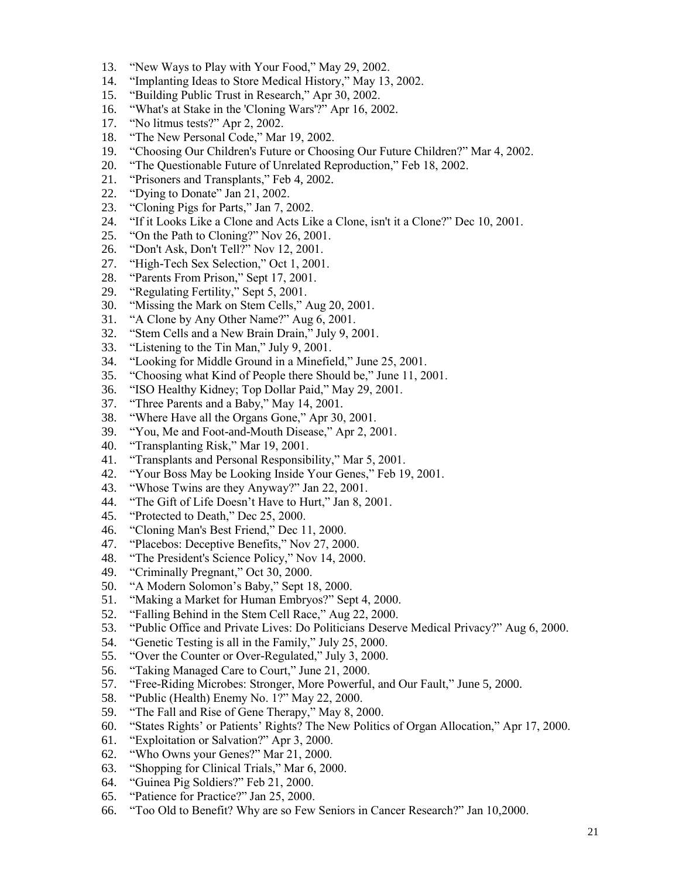- 13. "New Ways to Play with Your Food," May 29, 2002.
- 14. "Implanting Ideas to Store Medical History," May 13, 2002.
- 15. "Building Public Trust in Research," Apr 30, 2002.
- 16. "What's at Stake in the 'Cloning Wars'?" Apr 16, 2002.
- 17. "No litmus tests?" Apr 2, 2002.
- 18. "The New Personal Code," Mar 19, 2002.
- 19. "Choosing Our Children's Future or Choosing Our Future Children?" Mar 4, 2002.
- 20. "The Questionable Future of Unrelated Reproduction," Feb 18, 2002.
- 21. "Prisoners and Transplants," Feb 4, 2002.
- 22. "Dying to Donate" Jan 21, 2002.
- 23. "Cloning Pigs for Parts," Jan 7, 2002.
- 24. "If it Looks Like a Clone and Acts Like a Clone, isn't it a Clone?" Dec 10, 2001.
- 25. "On the Path to Cloning?" Nov 26, 2001.
- 26. "Don't Ask, Don't Tell?" Nov 12, 2001.
- 27. "High-Tech Sex Selection," Oct 1, 2001.
- 28. "Parents From Prison," Sept 17, 2001.
- 29. "Regulating Fertility," Sept 5, 2001.
- 30. "Missing the Mark on Stem Cells," Aug 20, 2001.
- 31. "A Clone by Any Other Name?" Aug 6, 2001.
- 32. "Stem Cells and a New Brain Drain," July 9, 2001.
- 33. "Listening to the Tin Man," July 9, 2001.
- 34. "Looking for Middle Ground in a Minefield," June 25, 2001.
- 35. "Choosing what Kind of People there Should be," June 11, 2001.
- 36. "ISO Healthy Kidney; Top Dollar Paid," May 29, 2001.
- 37. "Three Parents and a Baby," May 14, 2001.
- 38. "Where Have all the Organs Gone," Apr 30, 2001.
- 39. "You, Me and Foot-and-Mouth Disease," Apr 2, 2001.
- 40. "Transplanting Risk," Mar 19, 2001.
- 41. "Transplants and Personal Responsibility," Mar 5, 2001.
- 42. "Your Boss May be Looking Inside Your Genes," Feb 19, 2001.
- 43. "Whose Twins are they Anyway?" Jan 22, 2001.
- 44. "The Gift of Life Doesn't Have to Hurt," Jan 8, 2001.
- 45. "Protected to Death," Dec 25, 2000.
- 46. "Cloning Man's Best Friend," Dec 11, 2000.
- 47. "Placebos: Deceptive Benefits," Nov 27, 2000.
- 48. "The President's Science Policy," Nov 14, 2000.
- 49. "Criminally Pregnant," Oct 30, 2000.
- 50. "A Modern Solomon's Baby," Sept 18, 2000.
- 51. "Making a Market for Human Embryos?" Sept 4, 2000.
- 52. "Falling Behind in the Stem Cell Race," Aug 22, 2000.
- 53. "Public Office and Private Lives: Do Politicians Deserve Medical Privacy?" Aug 6, 2000.
- 54. "Genetic Testing is all in the Family," July 25, 2000.
- 55. "Over the Counter or Over-Regulated," July 3, 2000.
- 56. "Taking Managed Care to Court," June 21, 2000.
- 57. "Free-Riding Microbes: Stronger, More Powerful, and Our Fault," June 5, 2000.
- 58. "Public (Health) Enemy No. 1?" May 22, 2000.
- 59. "The Fall and Rise of Gene Therapy," May 8, 2000.
- 60. "States Rights' or Patients' Rights? The New Politics of Organ Allocation," Apr 17, 2000.
- 61. "Exploitation or Salvation?" Apr 3, 2000.
- 62. "Who Owns your Genes?" Mar 21, 2000.
- 63. "Shopping for Clinical Trials," Mar 6, 2000.
- 64. "Guinea Pig Soldiers?" Feb 21, 2000.
- 65. "Patience for Practice?" Jan 25, 2000.
- 66. "Too Old to Benefit? Why are so Few Seniors in Cancer Research?" Jan 10,2000.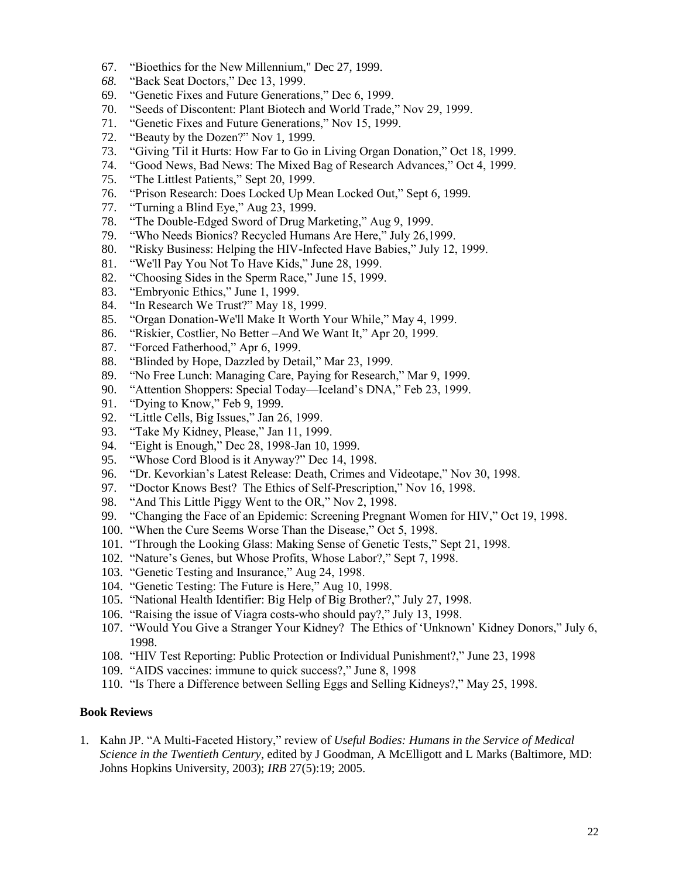- 67. "Bioethics for the New Millennium," Dec 27, 1999.
- *68.* "Back Seat Doctors," Dec 13, 1999.
- 69. "Genetic Fixes and Future Generations," Dec 6, 1999.
- 70. "Seeds of Discontent: Plant Biotech and World Trade," Nov 29, 1999.
- 71. "Genetic Fixes and Future Generations," Nov 15, 1999.
- 72. "Beauty by the Dozen?" Nov 1, 1999.
- 73. "Giving 'Til it Hurts: How Far to Go in Living Organ Donation," Oct 18, 1999.
- 74. "Good News, Bad News: The Mixed Bag of Research Advances," Oct 4, 1999.
- 75. "The Littlest Patients," Sept 20, 1999.
- 76. "Prison Research: Does Locked Up Mean Locked Out," Sept 6, 1999.
- 77. "Turning a Blind Eye," Aug 23, 1999.
- 78. "The Double-Edged Sword of Drug Marketing," Aug 9, 1999.
- 79. "Who Needs Bionics? Recycled Humans Are Here," July 26,1999.
- 80. "Risky Business: Helping the HIV-Infected Have Babies," July 12, 1999.
- 81. "We'll Pay You Not To Have Kids," June 28, 1999.
- 82. "Choosing Sides in the Sperm Race," June 15, 1999.
- 83. "Embryonic Ethics," June 1, 1999.
- 84. "In Research We Trust?" May 18, 1999.
- 85. "Organ Donation-We'll Make It Worth Your While," May 4, 1999.
- 86. "Riskier, Costlier, No Better –And We Want It," Apr 20, 1999.
- 87. "Forced Fatherhood," Apr 6, 1999.
- 88. "Blinded by Hope, Dazzled by Detail," Mar 23, 1999.
- 89. "No Free Lunch: Managing Care, Paying for Research," Mar 9, 1999.
- 90. "Attention Shoppers: Special Today—Iceland's DNA," Feb 23, 1999.
- 91. "Dying to Know," Feb 9, 1999.
- 92. "Little Cells, Big Issues," Jan 26, 1999.
- 93. "Take My Kidney, Please," Jan 11, 1999.
- 94. "Eight is Enough," Dec 28, 1998-Jan 10, 1999.
- 95. "Whose Cord Blood is it Anyway?" Dec 14, 1998.
- 96. "Dr. Kevorkian's Latest Release: Death, Crimes and Videotape," Nov 30, 1998.
- 97. "Doctor Knows Best? The Ethics of Self-Prescription," Nov 16, 1998.
- 98. "And This Little Piggy Went to the OR," Nov 2, 1998.
- 99. "Changing the Face of an Epidemic: Screening Pregnant Women for HIV," Oct 19, 1998.
- 100. "When the Cure Seems Worse Than the Disease," Oct 5, 1998.
- 101. "Through the Looking Glass: Making Sense of Genetic Tests," Sept 21, 1998.
- 102. "Nature's Genes, but Whose Profits, Whose Labor?," Sept 7, 1998.
- 103. "Genetic Testing and Insurance," Aug 24, 1998.
- 104. "Genetic Testing: The Future is Here," Aug 10, 1998.
- 105. "National Health Identifier: Big Help of Big Brother?," July 27, 1998.
- 106. "Raising the issue of Viagra costs-who should pay?," July 13, 1998.
- 107. "Would You Give a Stranger Your Kidney? The Ethics of 'Unknown' Kidney Donors," July 6, 1998.
- 108. "HIV Test Reporting: Public Protection or Individual Punishment?," June 23, 1998
- 109. "AIDS vaccines: immune to quick success?," June 8, 1998
- 110. "Is There a Difference between Selling Eggs and Selling Kidneys?," May 25, 1998.

### **Book Reviews**

1. Kahn JP. "A Multi-Faceted History," review of *Useful Bodies: Humans in the Service of Medical Science in the Twentieth Century*, edited by J Goodman, A McElligott and L Marks (Baltimore, MD: Johns Hopkins University, 2003); *IRB* 27(5):19; 2005.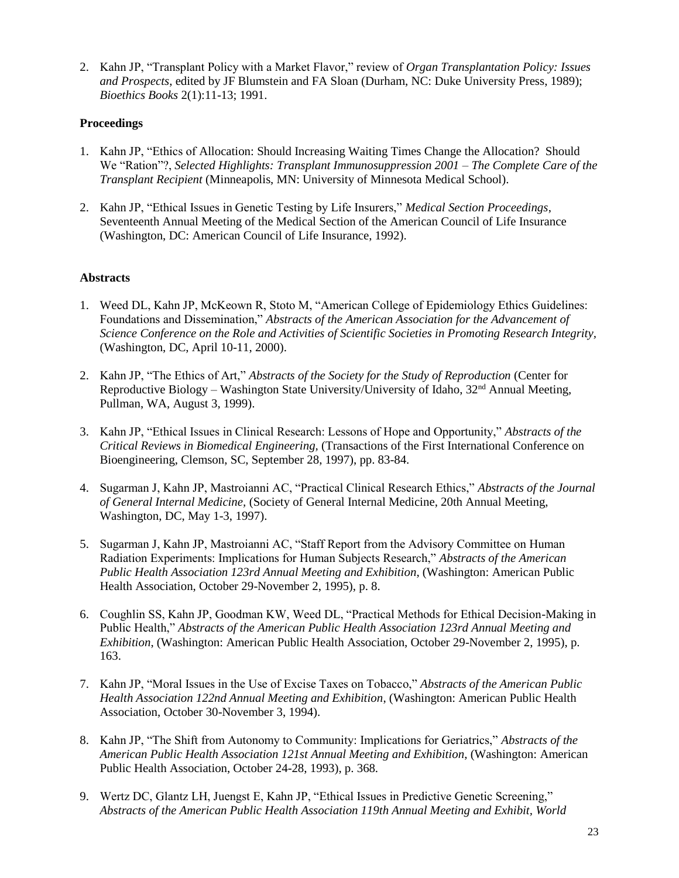2. Kahn JP, "Transplant Policy with a Market Flavor," review of *Organ Transplantation Policy: Issues and Prospects*, edited by JF Blumstein and FA Sloan (Durham, NC: Duke University Press, 1989); *Bioethics Books* 2(1):11-13; 1991.

## **Proceedings**

- 1. Kahn JP, "Ethics of Allocation: Should Increasing Waiting Times Change the Allocation? Should We "Ration"?, *Selected Highlights: Transplant Immunosuppression 2001 – The Complete Care of the Transplant Recipient* (Minneapolis, MN: University of Minnesota Medical School).
- 2. Kahn JP, "Ethical Issues in Genetic Testing by Life Insurers," *Medical Section Proceedings*, Seventeenth Annual Meeting of the Medical Section of the American Council of Life Insurance (Washington, DC: American Council of Life Insurance, 1992).

### **Abstracts**

- 1. Weed DL, Kahn JP, McKeown R, Stoto M, "American College of Epidemiology Ethics Guidelines: Foundations and Dissemination," *Abstracts of the American Association for the Advancement of Science Conference on the Role and Activities of Scientific Societies in Promoting Research Integrity,* (Washington, DC, April 10-11, 2000).
- 2. Kahn JP, "The Ethics of Art," *Abstracts of the Society for the Study of Reproduction* (Center for Reproductive Biology – Washington State University/University of Idaho,  $32<sup>nd</sup>$  Annual Meeting, Pullman, WA, August 3, 1999).
- 3. Kahn JP, "Ethical Issues in Clinical Research: Lessons of Hope and Opportunity," *Abstracts of the Critical Reviews in Biomedical Engineering,* (Transactions of the First International Conference on Bioengineering, Clemson, SC, September 28, 1997), pp. 83-84.
- 4. Sugarman J, Kahn JP, Mastroianni AC, "Practical Clinical Research Ethics," *Abstracts of the Journal of General Internal Medicine,* (Society of General Internal Medicine, 20th Annual Meeting, Washington, DC, May 1-3, 1997).
- 5. Sugarman J, Kahn JP, Mastroianni AC, "Staff Report from the Advisory Committee on Human Radiation Experiments: Implications for Human Subjects Research," *Abstracts of the American Public Health Association 123rd Annual Meeting and Exhibition*, (Washington: American Public Health Association, October 29-November 2, 1995), p. 8.
- 6. Coughlin SS, Kahn JP, Goodman KW, Weed DL, "Practical Methods for Ethical Decision-Making in Public Health," *Abstracts of the American Public Health Association 123rd Annual Meeting and Exhibition*, (Washington: American Public Health Association, October 29-November 2, 1995), p. 163.
- 7. Kahn JP, "Moral Issues in the Use of Excise Taxes on Tobacco," *Abstracts of the American Public Health Association 122nd Annual Meeting and Exhibition*, (Washington: American Public Health Association, October 30-November 3, 1994).
- 8. Kahn JP, "The Shift from Autonomy to Community: Implications for Geriatrics," *Abstracts of the American Public Health Association 121st Annual Meeting and Exhibition*, (Washington: American Public Health Association, October 24-28, 1993), p. 368.
- 9. Wertz DC, Glantz LH, Juengst E, Kahn JP, "Ethical Issues in Predictive Genetic Screening," *Abstracts of the American Public Health Association 119th Annual Meeting and Exhibit, World*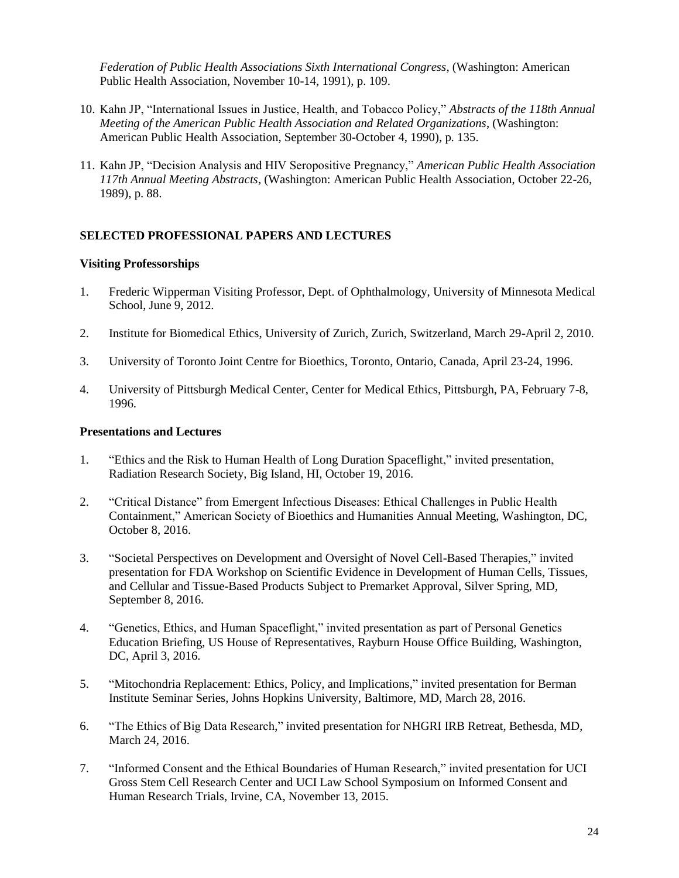*Federation of Public Health Associations Sixth International Congress*, (Washington: American Public Health Association, November 10-14, 1991), p. 109.

- 10. Kahn JP, "International Issues in Justice, Health, and Tobacco Policy," *Abstracts of the 118th Annual Meeting of the American Public Health Association and Related Organizations*, (Washington: American Public Health Association, September 30-October 4, 1990), p. 135.
- 11. Kahn JP, "Decision Analysis and HIV Seropositive Pregnancy," *American Public Health Association 117th Annual Meeting Abstracts*, (Washington: American Public Health Association, October 22-26, 1989), p. 88.

### **SELECTED PROFESSIONAL PAPERS AND LECTURES**

#### **Visiting Professorships**

- 1. Frederic Wipperman Visiting Professor, Dept. of Ophthalmology, University of Minnesota Medical School, June 9, 2012.
- 2. Institute for Biomedical Ethics, University of Zurich, Zurich, Switzerland, March 29-April 2, 2010.
- 3. University of Toronto Joint Centre for Bioethics, Toronto, Ontario, Canada, April 23-24, 1996.
- 4. University of Pittsburgh Medical Center, Center for Medical Ethics, Pittsburgh, PA, February 7-8, 1996.

#### **Presentations and Lectures**

- 1. "Ethics and the Risk to Human Health of Long Duration Spaceflight," invited presentation, Radiation Research Society, Big Island, HI, October 19, 2016.
- 2. "Critical Distance" from Emergent Infectious Diseases: Ethical Challenges in Public Health Containment," American Society of Bioethics and Humanities Annual Meeting, Washington, DC, October 8, 2016.
- 3. "Societal Perspectives on Development and Oversight of Novel Cell-Based Therapies," invited presentation for FDA Workshop on Scientific Evidence in Development of Human Cells, Tissues, and Cellular and Tissue-Based Products Subject to Premarket Approval, Silver Spring, MD, September 8, 2016.
- 4. "Genetics, Ethics, and Human Spaceflight," invited presentation as part of Personal Genetics Education Briefing, US House of Representatives, Rayburn House Office Building, Washington, DC, April 3, 2016.
- 5. "Mitochondria Replacement: Ethics, Policy, and Implications," invited presentation for Berman Institute Seminar Series, Johns Hopkins University, Baltimore, MD, March 28, 2016.
- 6. "The Ethics of Big Data Research," invited presentation for NHGRI IRB Retreat, Bethesda, MD, March 24, 2016.
- 7. "Informed Consent and the Ethical Boundaries of Human Research," invited presentation for UCI Gross Stem Cell Research Center and UCI Law School Symposium on Informed Consent and Human Research Trials, Irvine, CA, November 13, 2015.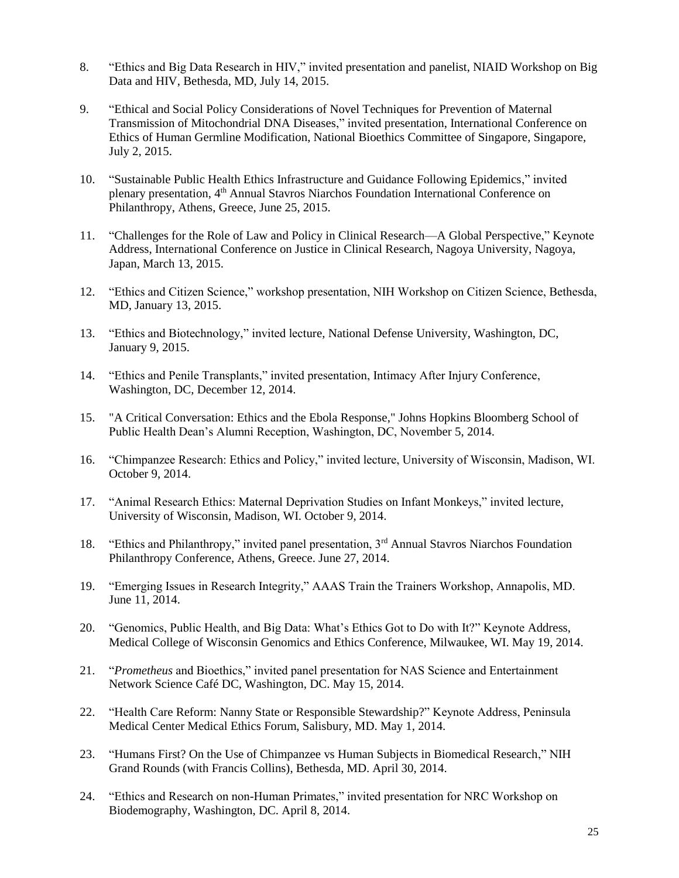- 8. "Ethics and Big Data Research in HIV," invited presentation and panelist, NIAID Workshop on Big Data and HIV, Bethesda, MD, July 14, 2015.
- 9. "Ethical and Social Policy Considerations of Novel Techniques for Prevention of Maternal Transmission of Mitochondrial DNA Diseases," invited presentation, International Conference on Ethics of Human Germline Modification, National Bioethics Committee of Singapore, Singapore, July 2, 2015.
- 10. "Sustainable Public Health Ethics Infrastructure and Guidance Following Epidemics," invited plenary presentation, 4<sup>th</sup> Annual Stavros Niarchos Foundation International Conference on Philanthropy, Athens, Greece, June 25, 2015.
- 11. "Challenges for the Role of Law and Policy in Clinical Research—A Global Perspective," Keynote Address, International Conference on Justice in Clinical Research, Nagoya University, Nagoya, Japan, March 13, 2015.
- 12. "Ethics and Citizen Science," workshop presentation, NIH Workshop on Citizen Science, Bethesda, MD, January 13, 2015.
- 13. "Ethics and Biotechnology," invited lecture, National Defense University, Washington, DC, January 9, 2015.
- 14. "Ethics and Penile Transplants," invited presentation, Intimacy After Injury Conference, Washington, DC, December 12, 2014.
- 15. "A Critical Conversation: Ethics and the Ebola Response," Johns Hopkins Bloomberg School of Public Health Dean's Alumni Reception, Washington, DC, November 5, 2014.
- 16. "Chimpanzee Research: Ethics and Policy," invited lecture, University of Wisconsin, Madison, WI. October 9, 2014.
- 17. "Animal Research Ethics: Maternal Deprivation Studies on Infant Monkeys," invited lecture, University of Wisconsin, Madison, WI. October 9, 2014.
- 18. "Ethics and Philanthropy," invited panel presentation, 3rd Annual Stavros Niarchos Foundation Philanthropy Conference, Athens, Greece. June 27, 2014.
- 19. "Emerging Issues in Research Integrity," AAAS Train the Trainers Workshop, Annapolis, MD. June 11, 2014.
- 20. "Genomics, Public Health, and Big Data: What's Ethics Got to Do with It?" Keynote Address, Medical College of Wisconsin Genomics and Ethics Conference, Milwaukee, WI. May 19, 2014.
- 21. "*Prometheus* and Bioethics," invited panel presentation for NAS Science and Entertainment Network Science Café DC, Washington, DC. May 15, 2014.
- 22. "Health Care Reform: Nanny State or Responsible Stewardship?" Keynote Address, Peninsula Medical Center Medical Ethics Forum, Salisbury, MD. May 1, 2014.
- 23. "Humans First? On the Use of Chimpanzee vs Human Subjects in Biomedical Research," NIH Grand Rounds (with Francis Collins), Bethesda, MD. April 30, 2014.
- 24. "Ethics and Research on non-Human Primates," invited presentation for NRC Workshop on Biodemography, Washington, DC. April 8, 2014.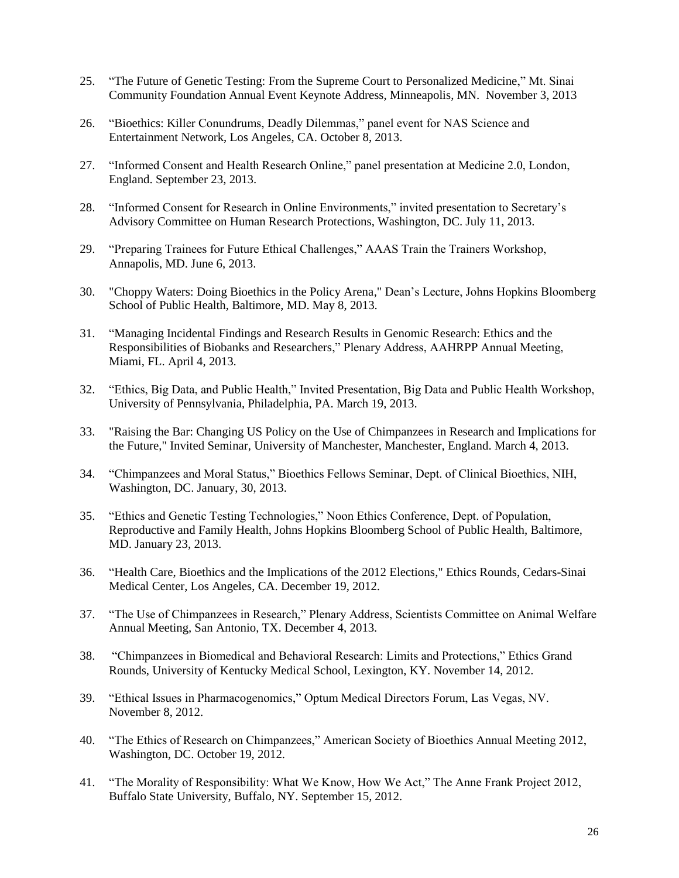- 25. "The Future of Genetic Testing: From the Supreme Court to Personalized Medicine," Mt. Sinai Community Foundation Annual Event Keynote Address, Minneapolis, MN. November 3, 2013
- 26. "Bioethics: Killer Conundrums, Deadly Dilemmas," panel event for NAS Science and Entertainment Network, Los Angeles, CA. October 8, 2013.
- 27. "Informed Consent and Health Research Online," panel presentation at Medicine 2.0, London, England. September 23, 2013.
- 28. "Informed Consent for Research in Online Environments," invited presentation to Secretary's Advisory Committee on Human Research Protections, Washington, DC. July 11, 2013.
- 29. "Preparing Trainees for Future Ethical Challenges," AAAS Train the Trainers Workshop, Annapolis, MD. June 6, 2013.
- 30. "Choppy Waters: Doing Bioethics in the Policy Arena," Dean's Lecture, Johns Hopkins Bloomberg School of Public Health, Baltimore, MD. May 8, 2013.
- 31. "Managing Incidental Findings and Research Results in Genomic Research: Ethics and the Responsibilities of Biobanks and Researchers," Plenary Address, AAHRPP Annual Meeting, Miami, FL. April 4, 2013.
- 32. "Ethics, Big Data, and Public Health," Invited Presentation, Big Data and Public Health Workshop, University of Pennsylvania, Philadelphia, PA. March 19, 2013.
- 33. "Raising the Bar: Changing US Policy on the Use of Chimpanzees in Research and Implications for the Future," Invited Seminar, University of Manchester, Manchester, England. March 4, 2013.
- 34. "Chimpanzees and Moral Status," Bioethics Fellows Seminar, Dept. of Clinical Bioethics, NIH, Washington, DC. January, 30, 2013.
- 35. "Ethics and Genetic Testing Technologies," Noon Ethics Conference, Dept. of Population, Reproductive and Family Health, Johns Hopkins Bloomberg School of Public Health, Baltimore, MD. January 23, 2013.
- 36. "Health Care, Bioethics and the Implications of the 2012 Elections," Ethics Rounds, Cedars-Sinai Medical Center, Los Angeles, CA. December 19, 2012.
- 37. "The Use of Chimpanzees in Research," Plenary Address, Scientists Committee on Animal Welfare Annual Meeting, San Antonio, TX. December 4, 2013.
- 38. "Chimpanzees in Biomedical and Behavioral Research: Limits and Protections," Ethics Grand Rounds, University of Kentucky Medical School, Lexington, KY. November 14, 2012.
- 39. "Ethical Issues in Pharmacogenomics," Optum Medical Directors Forum, Las Vegas, NV. November 8, 2012.
- 40. "The Ethics of Research on Chimpanzees," American Society of Bioethics Annual Meeting 2012, Washington, DC. October 19, 2012.
- 41. "The Morality of Responsibility: What We Know, How We Act," The Anne Frank Project 2012, Buffalo State University, Buffalo, NY. September 15, 2012.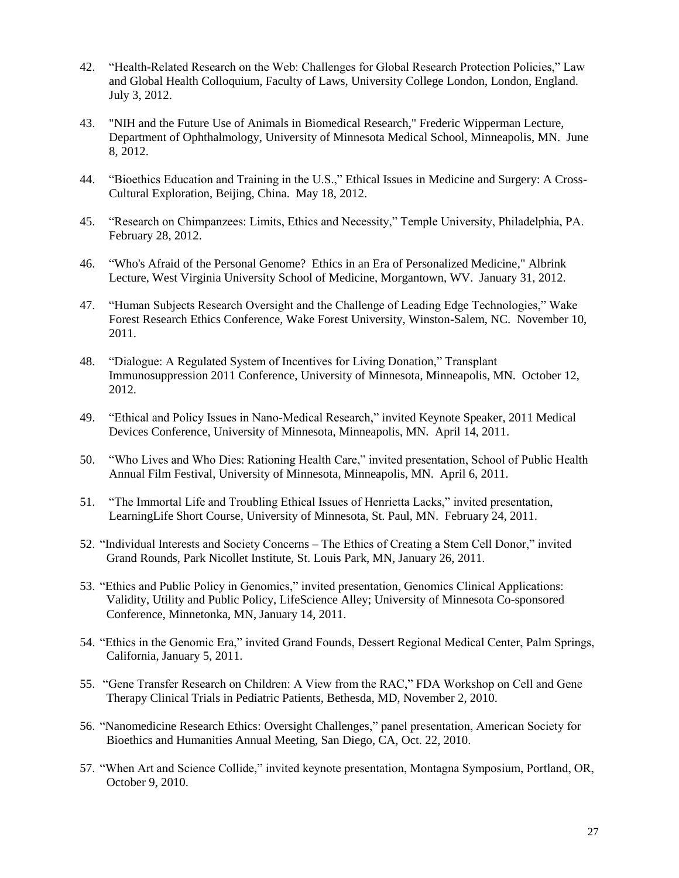- 42. "Health-Related Research on the Web: Challenges for Global Research Protection Policies," Law and Global Health Colloquium, Faculty of Laws, University College London, London, England. July 3, 2012.
- 43. "NIH and the Future Use of Animals in Biomedical Research," Frederic Wipperman Lecture, Department of Ophthalmology, University of Minnesota Medical School, Minneapolis, MN. June 8, 2012.
- 44. "Bioethics Education and Training in the U.S.," Ethical Issues in Medicine and Surgery: A Cross-Cultural Exploration, Beijing, China. May 18, 2012.
- 45. "Research on Chimpanzees: Limits, Ethics and Necessity," Temple University, Philadelphia, PA. February 28, 2012.
- 46. "Who's Afraid of the Personal Genome? Ethics in an Era of Personalized Medicine," Albrink Lecture, West Virginia University School of Medicine, Morgantown, WV. January 31, 2012.
- 47. "Human Subjects Research Oversight and the Challenge of Leading Edge Technologies," Wake Forest Research Ethics Conference, Wake Forest University, Winston-Salem, NC. November 10, 2011.
- 48. "Dialogue: A Regulated System of Incentives for Living Donation," Transplant Immunosuppression 2011 Conference, University of Minnesota, Minneapolis, MN. October 12, 2012.
- 49. "Ethical and Policy Issues in Nano-Medical Research," invited Keynote Speaker, 2011 Medical Devices Conference, University of Minnesota, Minneapolis, MN. April 14, 2011.
- 50. "Who Lives and Who Dies: Rationing Health Care," invited presentation, School of Public Health Annual Film Festival, University of Minnesota, Minneapolis, MN. April 6, 2011.
- 51. "The Immortal Life and Troubling Ethical Issues of Henrietta Lacks," invited presentation, LearningLife Short Course, University of Minnesota, St. Paul, MN. February 24, 2011.
- 52. "Individual Interests and Society Concerns The Ethics of Creating a Stem Cell Donor," invited Grand Rounds, Park Nicollet Institute, St. Louis Park, MN, January 26, 2011.
- 53. "Ethics and Public Policy in Genomics," invited presentation, Genomics Clinical Applications: Validity, Utility and Public Policy, LifeScience Alley; University of Minnesota Co-sponsored Conference, Minnetonka, MN, January 14, 2011.
- 54. "Ethics in the Genomic Era," invited Grand Founds, Dessert Regional Medical Center, Palm Springs, California, January 5, 2011.
- 55. "Gene Transfer Research on Children: A View from the RAC," FDA Workshop on Cell and Gene Therapy Clinical Trials in Pediatric Patients, Bethesda, MD, November 2, 2010.
- 56. "Nanomedicine Research Ethics: Oversight Challenges," panel presentation, American Society for Bioethics and Humanities Annual Meeting, San Diego, CA, Oct. 22, 2010.
- 57. "When Art and Science Collide," invited keynote presentation, Montagna Symposium, Portland, OR, October 9, 2010.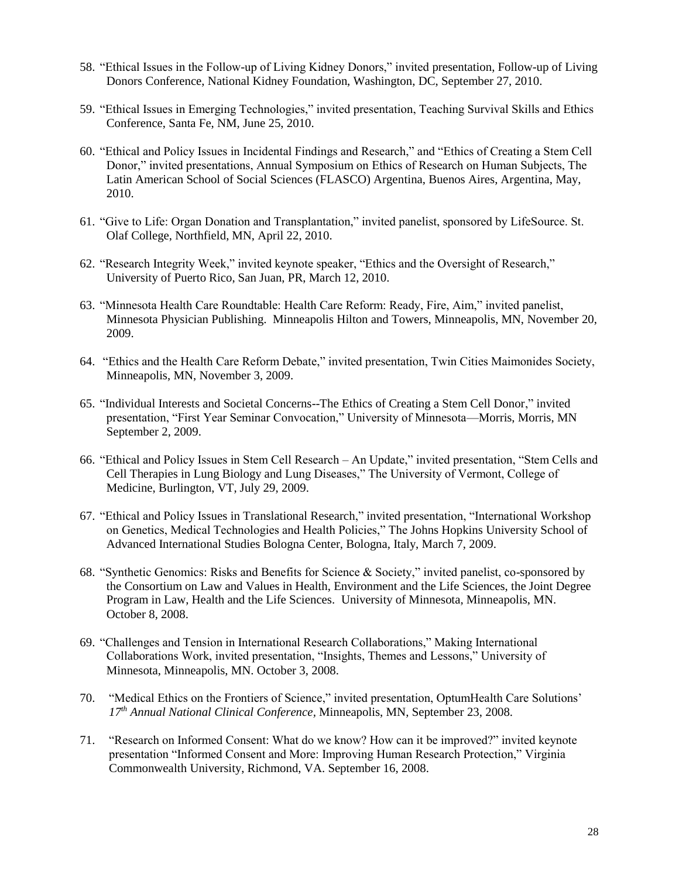- 58. "Ethical Issues in the Follow-up of Living Kidney Donors," invited presentation, Follow-up of Living Donors Conference, National Kidney Foundation, Washington, DC, September 27, 2010.
- 59. "Ethical Issues in Emerging Technologies," invited presentation, Teaching Survival Skills and Ethics Conference, Santa Fe, NM, June 25, 2010.
- 60. "Ethical and Policy Issues in Incidental Findings and Research," and "Ethics of Creating a Stem Cell Donor," invited presentations, Annual Symposium on Ethics of Research on Human Subjects, The Latin American School of Social Sciences (FLASCO) Argentina, Buenos Aires, Argentina, May, 2010.
- 61. "Give to Life: Organ Donation and Transplantation," invited panelist, sponsored by LifeSource. St. Olaf College, Northfield, MN, April 22, 2010.
- 62. "Research Integrity Week," invited keynote speaker, "Ethics and the Oversight of Research," University of Puerto Rico, San Juan, PR, March 12, 2010.
- 63. "Minnesota Health Care Roundtable: Health Care Reform: Ready, Fire, Aim," invited panelist, Minnesota Physician Publishing. Minneapolis Hilton and Towers, Minneapolis, MN, November 20, 2009.
- 64. "Ethics and the Health Care Reform Debate," invited presentation, Twin Cities Maimonides Society, Minneapolis, MN, November 3, 2009.
- 65. "Individual Interests and Societal Concerns--The Ethics of Creating a Stem Cell Donor," invited presentation, "First Year Seminar Convocation," University of Minnesota—Morris, Morris, MN September 2, 2009.
- 66. "Ethical and Policy Issues in Stem Cell Research An Update," invited presentation, "Stem Cells and Cell Therapies in Lung Biology and Lung Diseases," The University of Vermont, College of Medicine, Burlington, VT, July 29, 2009.
- 67. "Ethical and Policy Issues in Translational Research," invited presentation, "International Workshop on Genetics, Medical Technologies and Health Policies," The Johns Hopkins University School of Advanced International Studies Bologna Center, Bologna, Italy, March 7, 2009.
- 68. "Synthetic Genomics: Risks and Benefits for Science & Society," invited panelist, co-sponsored by the Consortium on Law and Values in Health, Environment and the Life Sciences, the Joint Degree Program in Law, Health and the Life Sciences. University of Minnesota, Minneapolis, MN. October 8, 2008.
- 69. "Challenges and Tension in International Research Collaborations," Making International Collaborations Work, invited presentation, "Insights, Themes and Lessons," University of Minnesota, Minneapolis, MN. October 3, 2008.
- 70. "Medical Ethics on the Frontiers of Science," invited presentation, OptumHealth Care Solutions' *17th Annual National Clinical Conference,* Minneapolis, MN, September 23, 2008.
- 71. "Research on Informed Consent: What do we know? How can it be improved?" invited keynote presentation "Informed Consent and More: Improving Human Research Protection," Virginia Commonwealth University, Richmond, VA. September 16, 2008.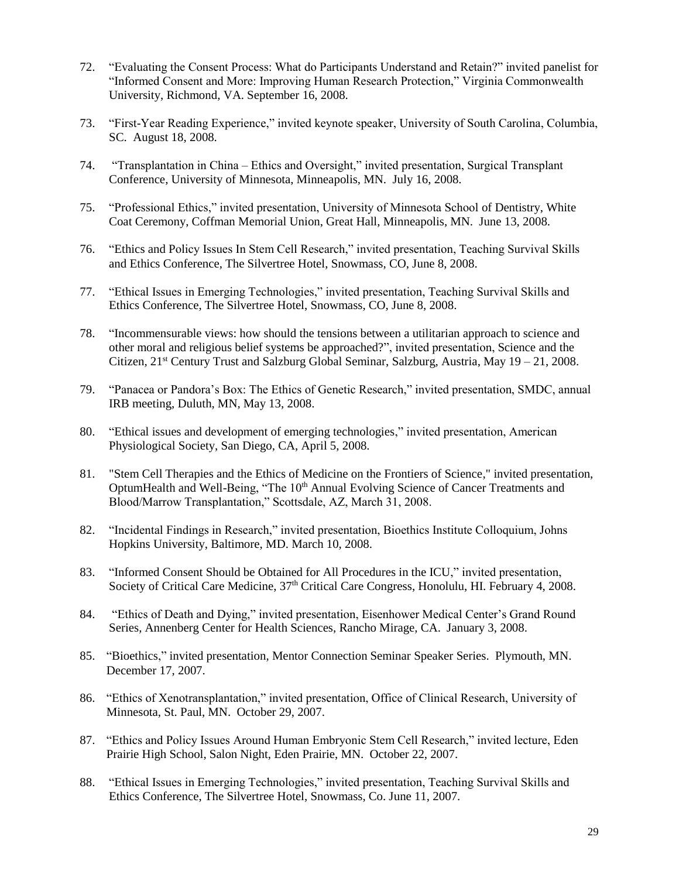- 72. "Evaluating the Consent Process: What do Participants Understand and Retain?" invited panelist for "Informed Consent and More: Improving Human Research Protection," Virginia Commonwealth University, Richmond, VA. September 16, 2008.
- 73. "First-Year Reading Experience," invited keynote speaker, University of South Carolina, Columbia, SC. August 18, 2008.
- 74. "Transplantation in China Ethics and Oversight," invited presentation, Surgical Transplant Conference, University of Minnesota, Minneapolis, MN. July 16, 2008.
- 75. "Professional Ethics," invited presentation, University of Minnesota School of Dentistry, White Coat Ceremony, Coffman Memorial Union, Great Hall, Minneapolis, MN. June 13, 2008.
- 76. "Ethics and Policy Issues In Stem Cell Research," invited presentation, Teaching Survival Skills and Ethics Conference, The Silvertree Hotel, Snowmass, CO, June 8, 2008.
- 77. "Ethical Issues in Emerging Technologies," invited presentation, Teaching Survival Skills and Ethics Conference, The Silvertree Hotel, Snowmass, CO, June 8, 2008.
- 78. "Incommensurable views: how should the tensions between a utilitarian approach to science and other moral and religious belief systems be approached?", invited presentation, Science and the Citizen,  $21^{st}$  Century Trust and Salzburg Global Seminar, Salzburg, Austria, May  $19 - 21$ , 2008.
- 79. "Panacea or Pandora's Box: The Ethics of Genetic Research," invited presentation, SMDC, annual IRB meeting, Duluth, MN, May 13, 2008.
- 80. "Ethical issues and development of emerging technologies," invited presentation, American Physiological Society, San Diego, CA, April 5, 2008.
- 81. "Stem Cell Therapies and the Ethics of Medicine on the Frontiers of Science," invited presentation, OptumHealth and Well-Being, "The 10<sup>th</sup> Annual Evolving Science of Cancer Treatments and Blood/Marrow Transplantation," Scottsdale, AZ, March 31, 2008.
- 82. "Incidental Findings in Research," invited presentation, Bioethics Institute Colloquium, Johns Hopkins University, Baltimore, MD. March 10, 2008.
- 83. "Informed Consent Should be Obtained for All Procedures in the ICU," invited presentation, Society of Critical Care Medicine, 37<sup>th</sup> Critical Care Congress, Honolulu, HI. February 4, 2008.
- 84. "Ethics of Death and Dying," invited presentation, Eisenhower Medical Center's Grand Round Series, Annenberg Center for Health Sciences, Rancho Mirage, CA. January 3, 2008.
- 85. "Bioethics," invited presentation, Mentor Connection Seminar Speaker Series. Plymouth, MN. December 17, 2007.
- 86. "Ethics of Xenotransplantation," invited presentation, Office of Clinical Research, University of Minnesota, St. Paul, MN. October 29, 2007.
- 87. "Ethics and Policy Issues Around Human Embryonic Stem Cell Research," invited lecture, Eden Prairie High School, Salon Night, Eden Prairie, MN. October 22, 2007.
- 88. "Ethical Issues in Emerging Technologies," invited presentation, Teaching Survival Skills and Ethics Conference, The Silvertree Hotel, Snowmass, Co. June 11, 2007.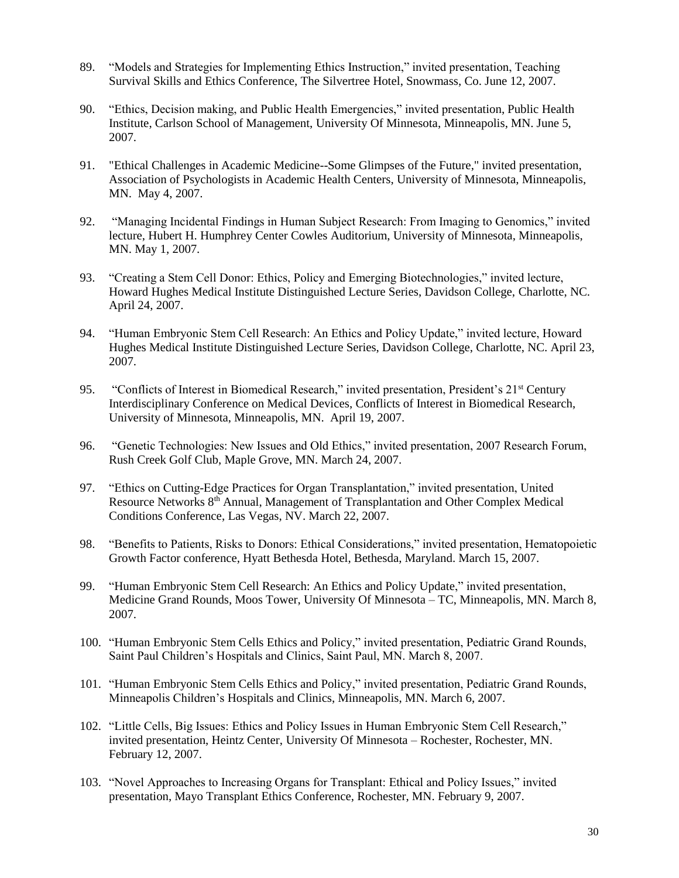- 89. "Models and Strategies for Implementing Ethics Instruction," invited presentation, Teaching Survival Skills and Ethics Conference, The Silvertree Hotel, Snowmass, Co. June 12, 2007.
- 90. "Ethics, Decision making, and Public Health Emergencies," invited presentation, Public Health Institute, Carlson School of Management, University Of Minnesota, Minneapolis, MN. June 5, 2007.
- 91. "Ethical Challenges in Academic Medicine--Some Glimpses of the Future," invited presentation, Association of Psychologists in Academic Health Centers, University of Minnesota, Minneapolis, MN. May 4, 2007.
- 92. "Managing Incidental Findings in Human Subject Research: From Imaging to Genomics," invited lecture, Hubert H. Humphrey Center Cowles Auditorium, University of Minnesota, Minneapolis, MN. May 1, 2007.
- 93. "Creating a Stem Cell Donor: Ethics, Policy and Emerging Biotechnologies," invited lecture, Howard Hughes Medical Institute Distinguished Lecture Series, Davidson College, Charlotte, NC. April 24, 2007.
- 94. "Human Embryonic Stem Cell Research: An Ethics and Policy Update," invited lecture, Howard Hughes Medical Institute Distinguished Lecture Series, Davidson College, Charlotte, NC. April 23, 2007.
- 95. "Conflicts of Interest in Biomedical Research," invited presentation, President's 21<sup>st</sup> Century Interdisciplinary Conference on Medical Devices, Conflicts of Interest in Biomedical Research, University of Minnesota, Minneapolis, MN. April 19, 2007.
- 96. "Genetic Technologies: New Issues and Old Ethics," invited presentation, 2007 Research Forum, Rush Creek Golf Club, Maple Grove, MN. March 24, 2007.
- 97. "Ethics on Cutting-Edge Practices for Organ Transplantation," invited presentation, United Resource Networks 8th Annual, Management of Transplantation and Other Complex Medical Conditions Conference, Las Vegas, NV. March 22, 2007.
- 98. "Benefits to Patients, Risks to Donors: Ethical Considerations," invited presentation, Hematopoietic Growth Factor conference, Hyatt Bethesda Hotel, Bethesda, Maryland. March 15, 2007.
- 99. "Human Embryonic Stem Cell Research: An Ethics and Policy Update," invited presentation, Medicine Grand Rounds, Moos Tower, University Of Minnesota – TC, Minneapolis, MN. March 8, 2007.
- 100. "Human Embryonic Stem Cells Ethics and Policy," invited presentation, Pediatric Grand Rounds, Saint Paul Children's Hospitals and Clinics, Saint Paul, MN. March 8, 2007.
- 101. "Human Embryonic Stem Cells Ethics and Policy," invited presentation, Pediatric Grand Rounds, Minneapolis Children's Hospitals and Clinics, Minneapolis, MN. March 6, 2007.
- 102. "Little Cells, Big Issues: Ethics and Policy Issues in Human Embryonic Stem Cell Research," invited presentation, Heintz Center, University Of Minnesota – Rochester, Rochester, MN. February 12, 2007.
- 103. "Novel Approaches to Increasing Organs for Transplant: Ethical and Policy Issues," invited presentation, Mayo Transplant Ethics Conference, Rochester, MN. February 9, 2007.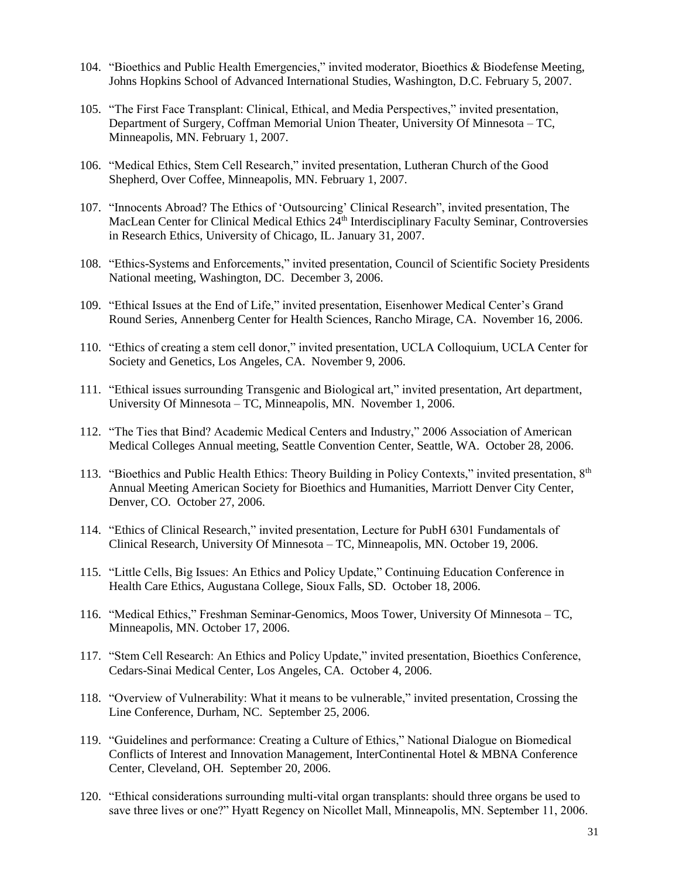- 104. "Bioethics and Public Health Emergencies," invited moderator, Bioethics & Biodefense Meeting, Johns Hopkins School of Advanced International Studies, Washington, D.C. February 5, 2007.
- 105. "The First Face Transplant: Clinical, Ethical, and Media Perspectives," invited presentation, Department of Surgery, Coffman Memorial Union Theater, University Of Minnesota – TC, Minneapolis, MN. February 1, 2007.
- 106. "Medical Ethics, Stem Cell Research," invited presentation, Lutheran Church of the Good Shepherd, Over Coffee, Minneapolis, MN. February 1, 2007.
- 107. "Innocents Abroad? The Ethics of 'Outsourcing' Clinical Research", invited presentation, The MacLean Center for Clinical Medical Ethics 24<sup>th</sup> Interdisciplinary Faculty Seminar, Controversies in Research Ethics, University of Chicago, IL. January 31, 2007.
- 108. "Ethics-Systems and Enforcements," invited presentation, Council of Scientific Society Presidents National meeting, Washington, DC. December 3, 2006.
- 109. "Ethical Issues at the End of Life," invited presentation, Eisenhower Medical Center's Grand Round Series, Annenberg Center for Health Sciences, Rancho Mirage, CA. November 16, 2006.
- 110. "Ethics of creating a stem cell donor," invited presentation, UCLA Colloquium, UCLA Center for Society and Genetics, Los Angeles, CA. November 9, 2006.
- 111. "Ethical issues surrounding Transgenic and Biological art," invited presentation, Art department, University Of Minnesota – TC, Minneapolis, MN. November 1, 2006.
- 112. "The Ties that Bind? Academic Medical Centers and Industry," 2006 Association of American Medical Colleges Annual meeting, Seattle Convention Center, Seattle, WA. October 28, 2006.
- 113. "Bioethics and Public Health Ethics: Theory Building in Policy Contexts," invited presentation, 8th Annual Meeting American Society for Bioethics and Humanities, Marriott Denver City Center, Denver, CO. October 27, 2006.
- 114. "Ethics of Clinical Research," invited presentation, Lecture for PubH 6301 Fundamentals of Clinical Research, University Of Minnesota – TC, Minneapolis, MN. October 19, 2006.
- 115. "Little Cells, Big Issues: An Ethics and Policy Update," Continuing Education Conference in Health Care Ethics, Augustana College, Sioux Falls, SD. October 18, 2006.
- 116. "Medical Ethics," Freshman Seminar-Genomics, Moos Tower, University Of Minnesota TC, Minneapolis, MN. October 17, 2006.
- 117. "Stem Cell Research: An Ethics and Policy Update," invited presentation, Bioethics Conference, Cedars-Sinai Medical Center, Los Angeles, CA. October 4, 2006.
- 118. "Overview of Vulnerability: What it means to be vulnerable," invited presentation, Crossing the Line Conference, Durham, NC. September 25, 2006.
- 119. "Guidelines and performance: Creating a Culture of Ethics," National Dialogue on Biomedical Conflicts of Interest and Innovation Management, InterContinental Hotel & MBNA Conference Center, Cleveland, OH. September 20, 2006.
- 120. "Ethical considerations surrounding multi-vital organ transplants: should three organs be used to save three lives or one?" Hyatt Regency on Nicollet Mall, Minneapolis, MN. September 11, 2006.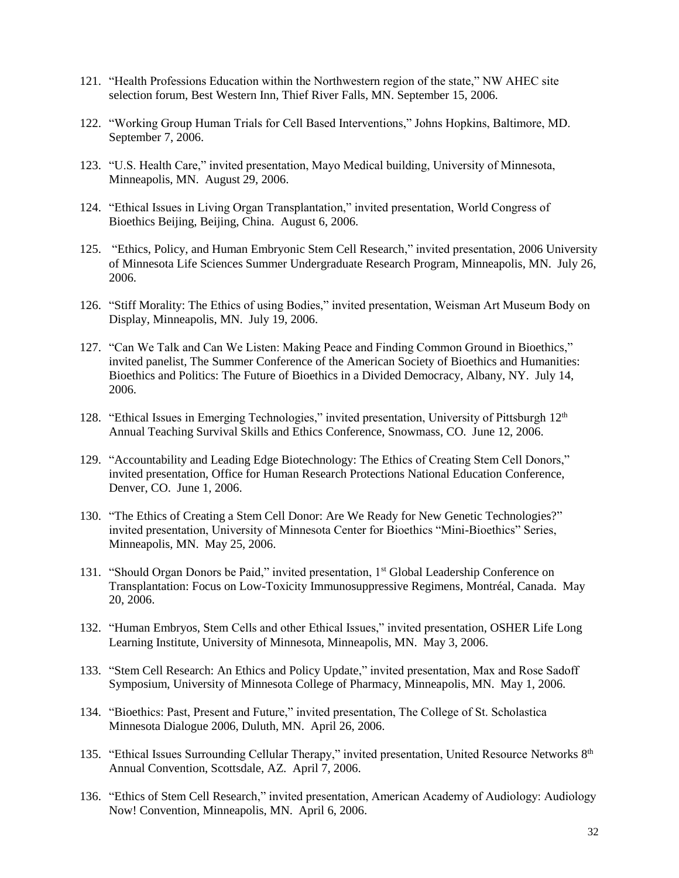- 121. "Health Professions Education within the Northwestern region of the state," NW AHEC site selection forum, Best Western Inn, Thief River Falls, MN. September 15, 2006.
- 122. "Working Group Human Trials for Cell Based Interventions," Johns Hopkins, Baltimore, MD. September 7, 2006.
- 123. "U.S. Health Care," invited presentation, Mayo Medical building, University of Minnesota, Minneapolis, MN. August 29, 2006.
- 124. "Ethical Issues in Living Organ Transplantation," invited presentation, World Congress of Bioethics Beijing, Beijing, China. August 6, 2006.
- 125. "Ethics, Policy, and Human Embryonic Stem Cell Research," invited presentation, 2006 University of Minnesota Life Sciences Summer Undergraduate Research Program, Minneapolis, MN. July 26, 2006.
- 126. "Stiff Morality: The Ethics of using Bodies," invited presentation, Weisman Art Museum Body on Display, Minneapolis, MN. July 19, 2006.
- 127. "Can We Talk and Can We Listen: Making Peace and Finding Common Ground in Bioethics," invited panelist, The Summer Conference of the American Society of Bioethics and Humanities: Bioethics and Politics: The Future of Bioethics in a Divided Democracy, Albany, NY. July 14, 2006.
- 128. "Ethical Issues in Emerging Technologies," invited presentation, University of Pittsburgh  $12<sup>th</sup>$ Annual Teaching Survival Skills and Ethics Conference, Snowmass, CO. June 12, 2006.
- 129. "Accountability and Leading Edge Biotechnology: The Ethics of Creating Stem Cell Donors," invited presentation, Office for Human Research Protections National Education Conference, Denver, CO. June 1, 2006.
- 130. "The Ethics of Creating a Stem Cell Donor: Are We Ready for New Genetic Technologies?" invited presentation, University of Minnesota Center for Bioethics "Mini-Bioethics" Series, Minneapolis, MN. May 25, 2006.
- 131. "Should Organ Donors be Paid," invited presentation, 1<sup>st</sup> Global Leadership Conference on Transplantation: Focus on Low-Toxicity Immunosuppressive Regimens, Montréal, Canada. May 20, 2006.
- 132. "Human Embryos, Stem Cells and other Ethical Issues," invited presentation, OSHER Life Long Learning Institute, University of Minnesota, Minneapolis, MN. May 3, 2006.
- 133. "Stem Cell Research: An Ethics and Policy Update," invited presentation, Max and Rose Sadoff Symposium, University of Minnesota College of Pharmacy, Minneapolis, MN. May 1, 2006.
- 134. "Bioethics: Past, Present and Future," invited presentation, The College of St. Scholastica Minnesota Dialogue 2006, Duluth, MN. April 26, 2006.
- 135. "Ethical Issues Surrounding Cellular Therapy," invited presentation, United Resource Networks 8th Annual Convention, Scottsdale, AZ. April 7, 2006.
- 136. "Ethics of Stem Cell Research," invited presentation, American Academy of Audiology: Audiology Now! Convention, Minneapolis, MN. April 6, 2006.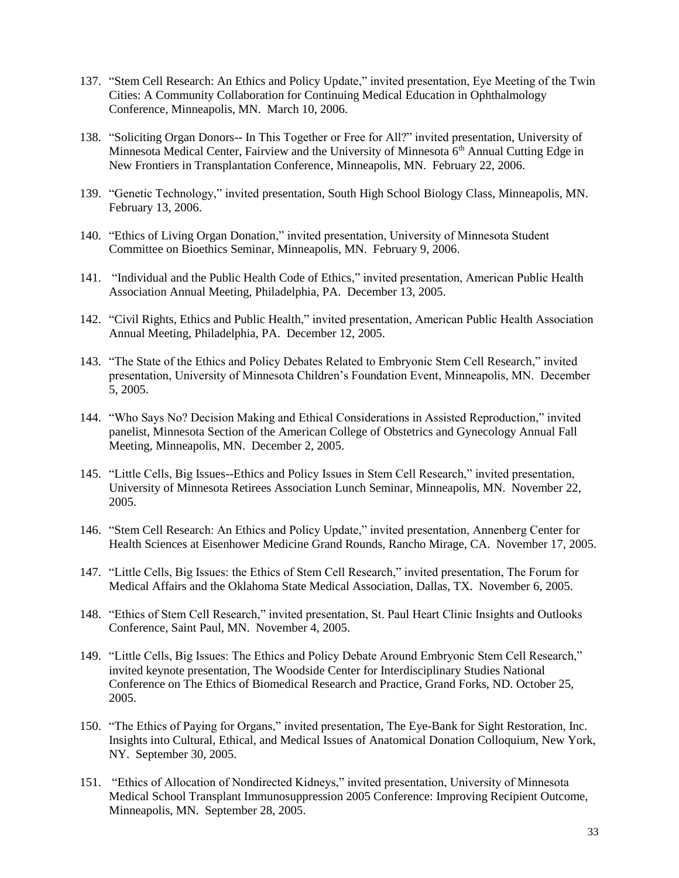- 137. "Stem Cell Research: An Ethics and Policy Update," invited presentation, Eye Meeting of the Twin Cities: A Community Collaboration for Continuing Medical Education in Ophthalmology Conference, Minneapolis, MN. March 10, 2006.
- 138. "Soliciting Organ Donors-- In This Together or Free for All?" invited presentation, University of Minnesota Medical Center, Fairview and the University of Minnesota  $6<sup>th</sup>$  Annual Cutting Edge in New Frontiers in Transplantation Conference, Minneapolis, MN. February 22, 2006.
- 139. "Genetic Technology," invited presentation, South High School Biology Class, Minneapolis, MN. February 13, 2006.
- 140. "Ethics of Living Organ Donation," invited presentation, University of Minnesota Student Committee on Bioethics Seminar, Minneapolis, MN. February 9, 2006.
- 141. "Individual and the Public Health Code of Ethics," invited presentation, American Public Health Association Annual Meeting, Philadelphia, PA. December 13, 2005.
- 142. "Civil Rights, Ethics and Public Health," invited presentation, American Public Health Association Annual Meeting, Philadelphia, PA. December 12, 2005.
- 143. "The State of the Ethics and Policy Debates Related to Embryonic Stem Cell Research," invited presentation, University of Minnesota Children's Foundation Event, Minneapolis, MN. December 5, 2005.
- 144. "Who Says No? Decision Making and Ethical Considerations in Assisted Reproduction," invited panelist, Minnesota Section of the American College of Obstetrics and Gynecology Annual Fall Meeting, Minneapolis, MN. December 2, 2005.
- 145. "Little Cells, Big Issues--Ethics and Policy Issues in Stem Cell Research," invited presentation, University of Minnesota Retirees Association Lunch Seminar, Minneapolis, MN. November 22, 2005.
- 146. "Stem Cell Research: An Ethics and Policy Update," invited presentation, Annenberg Center for Health Sciences at Eisenhower Medicine Grand Rounds, Rancho Mirage, CA. November 17, 2005.
- 147. "Little Cells, Big Issues: the Ethics of Stem Cell Research," invited presentation, The Forum for Medical Affairs and the Oklahoma State Medical Association, Dallas, TX. November 6, 2005.
- 148. "Ethics of Stem Cell Research," invited presentation, St. Paul Heart Clinic Insights and Outlooks Conference, Saint Paul, MN. November 4, 2005.
- 149. "Little Cells, Big Issues: The Ethics and Policy Debate Around Embryonic Stem Cell Research," invited keynote presentation, The Woodside Center for Interdisciplinary Studies National Conference on The Ethics of Biomedical Research and Practice, Grand Forks, ND. October 25, 2005.
- 150. "The Ethics of Paying for Organs," invited presentation, The Eye-Bank for Sight Restoration, Inc. Insights into Cultural, Ethical, and Medical Issues of Anatomical Donation Colloquium, New York, NY. September 30, 2005.
- 151. "Ethics of Allocation of Nondirected Kidneys," invited presentation, University of Minnesota Medical School Transplant Immunosuppression 2005 Conference: Improving Recipient Outcome, Minneapolis, MN. September 28, 2005.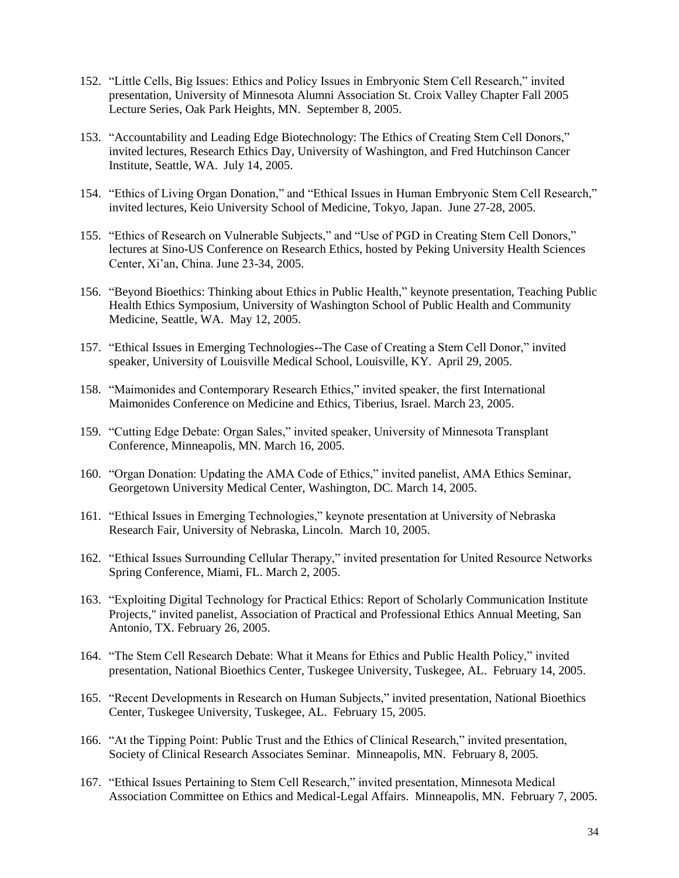- 152. "Little Cells, Big Issues: Ethics and Policy Issues in Embryonic Stem Cell Research," invited presentation, University of Minnesota Alumni Association St. Croix Valley Chapter Fall 2005 Lecture Series, Oak Park Heights, MN. September 8, 2005.
- 153. "Accountability and Leading Edge Biotechnology: The Ethics of Creating Stem Cell Donors," invited lectures, Research Ethics Day, University of Washington, and Fred Hutchinson Cancer Institute, Seattle, WA. July 14, 2005.
- 154. "Ethics of Living Organ Donation," and "Ethical Issues in Human Embryonic Stem Cell Research," invited lectures, Keio University School of Medicine, Tokyo, Japan. June 27-28, 2005.
- 155. "Ethics of Research on Vulnerable Subjects," and "Use of PGD in Creating Stem Cell Donors," lectures at Sino-US Conference on Research Ethics, hosted by Peking University Health Sciences Center, Xi'an, China. June 23-34, 2005.
- 156. "Beyond Bioethics: Thinking about Ethics in Public Health," keynote presentation, Teaching Public Health Ethics Symposium, University of Washington School of Public Health and Community Medicine, Seattle, WA. May 12, 2005.
- 157. "Ethical Issues in Emerging Technologies--The Case of Creating a Stem Cell Donor," invited speaker, University of Louisville Medical School, Louisville, KY. April 29, 2005.
- 158. "Maimonides and Contemporary Research Ethics," invited speaker, the first International Maimonides Conference on Medicine and Ethics, Tiberius, Israel. March 23, 2005.
- 159. "Cutting Edge Debate: Organ Sales," invited speaker, University of Minnesota Transplant Conference, Minneapolis, MN. March 16, 2005.
- 160. "Organ Donation: Updating the AMA Code of Ethics," invited panelist, AMA Ethics Seminar, Georgetown University Medical Center, Washington, DC. March 14, 2005.
- 161. "Ethical Issues in Emerging Technologies," keynote presentation at University of Nebraska Research Fair, University of Nebraska, Lincoln. March 10, 2005.
- 162. "Ethical Issues Surrounding Cellular Therapy," invited presentation for United Resource Networks Spring Conference, Miami, FL. March 2, 2005.
- 163. "Exploiting Digital Technology for Practical Ethics: Report of Scholarly Communication Institute Projects," invited panelist, Association of Practical and Professional Ethics Annual Meeting, San Antonio, TX. February 26, 2005.
- 164. "The Stem Cell Research Debate: What it Means for Ethics and Public Health Policy," invited presentation, National Bioethics Center, Tuskegee University, Tuskegee, AL. February 14, 2005.
- 165. "Recent Developments in Research on Human Subjects," invited presentation, National Bioethics Center, Tuskegee University, Tuskegee, AL. February 15, 2005.
- 166. "At the Tipping Point: Public Trust and the Ethics of Clinical Research," invited presentation, Society of Clinical Research Associates Seminar. Minneapolis, MN. February 8, 2005.
- 167. "Ethical Issues Pertaining to Stem Cell Research," invited presentation, Minnesota Medical Association Committee on Ethics and Medical-Legal Affairs. Minneapolis, MN. February 7, 2005.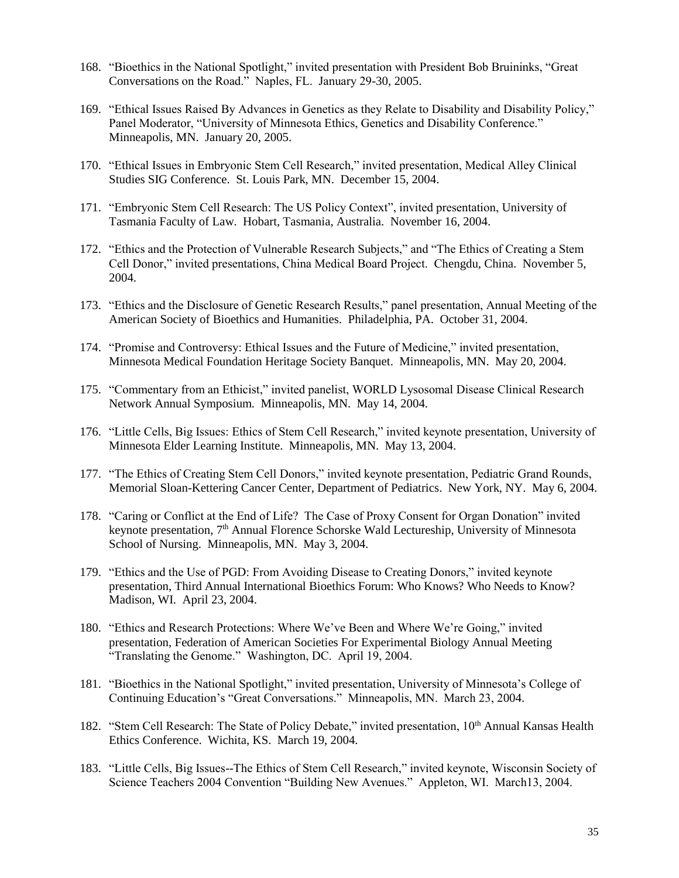- 168. "Bioethics in the National Spotlight," invited presentation with President Bob Bruininks, "Great Conversations on the Road." Naples, FL. January 29-30, 2005.
- 169. "Ethical Issues Raised By Advances in Genetics as they Relate to Disability and Disability Policy," Panel Moderator, "University of Minnesota Ethics, Genetics and Disability Conference." Minneapolis, MN. January 20, 2005.
- 170. "Ethical Issues in Embryonic Stem Cell Research," invited presentation, Medical Alley Clinical Studies SIG Conference. St. Louis Park, MN. December 15, 2004.
- 171. "Embryonic Stem Cell Research: The US Policy Context", invited presentation, University of Tasmania Faculty of Law. Hobart, Tasmania, Australia. November 16, 2004.
- 172. "Ethics and the Protection of Vulnerable Research Subjects," and "The Ethics of Creating a Stem Cell Donor," invited presentations, China Medical Board Project. Chengdu, China. November 5, 2004.
- 173. "Ethics and the Disclosure of Genetic Research Results," panel presentation, Annual Meeting of the American Society of Bioethics and Humanities. Philadelphia, PA. October 31, 2004.
- 174. "Promise and Controversy: Ethical Issues and the Future of Medicine," invited presentation, Minnesota Medical Foundation Heritage Society Banquet. Minneapolis, MN. May 20, 2004.
- 175. "Commentary from an Ethicist," invited panelist, WORLD Lysosomal Disease Clinical Research Network Annual Symposium. Minneapolis, MN. May 14, 2004.
- 176. "Little Cells, Big Issues: Ethics of Stem Cell Research," invited keynote presentation, University of Minnesota Elder Learning Institute. Minneapolis, MN. May 13, 2004.
- 177. "The Ethics of Creating Stem Cell Donors," invited keynote presentation, Pediatric Grand Rounds, Memorial Sloan-Kettering Cancer Center, Department of Pediatrics. New York, NY. May 6, 2004.
- 178. "Caring or Conflict at the End of Life? The Case of Proxy Consent for Organ Donation" invited keynote presentation, 7th Annual Florence Schorske Wald Lectureship, University of Minnesota School of Nursing. Minneapolis, MN. May 3, 2004.
- 179. "Ethics and the Use of PGD: From Avoiding Disease to Creating Donors," invited keynote presentation, Third Annual International Bioethics Forum: Who Knows? Who Needs to Know? Madison, WI. April 23, 2004.
- 180. "Ethics and Research Protections: Where We've Been and Where We're Going," invited presentation, Federation of American Societies For Experimental Biology Annual Meeting "Translating the Genome." Washington, DC. April 19, 2004.
- 181. "Bioethics in the National Spotlight," invited presentation, University of Minnesota's College of Continuing Education's "Great Conversations." Minneapolis, MN. March 23, 2004.
- 182. "Stem Cell Research: The State of Policy Debate," invited presentation, 10<sup>th</sup> Annual Kansas Health Ethics Conference. Wichita, KS. March 19, 2004.
- 183. "Little Cells, Big Issues--The Ethics of Stem Cell Research," invited keynote, Wisconsin Society of Science Teachers 2004 Convention "Building New Avenues." Appleton, WI. March13, 2004.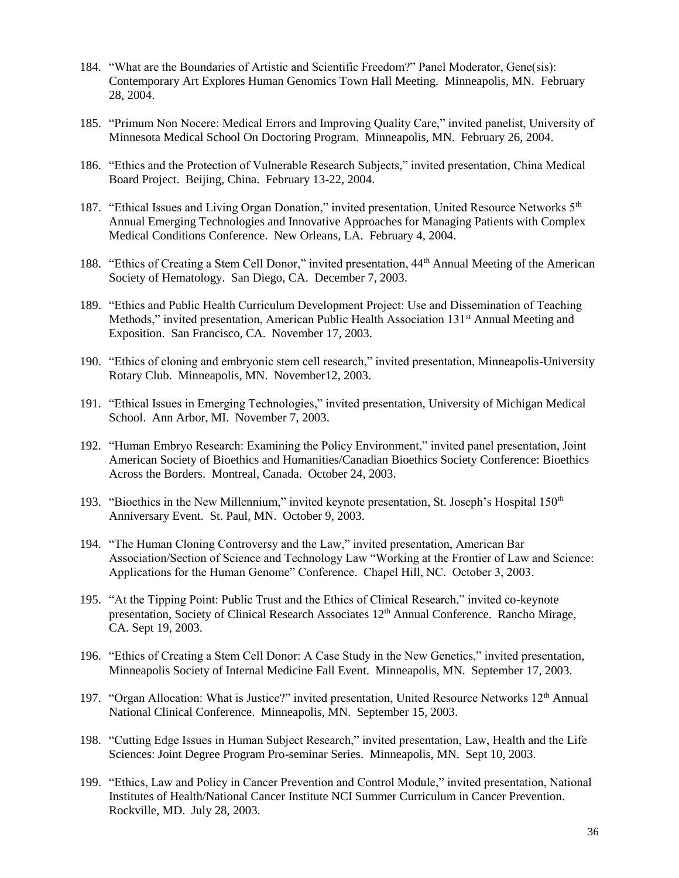- 184. "What are the Boundaries of Artistic and Scientific Freedom?" Panel Moderator, Gene(sis): Contemporary Art Explores Human Genomics Town Hall Meeting. Minneapolis, MN. February 28, 2004.
- 185. "Primum Non Nocere: Medical Errors and Improving Quality Care," invited panelist, University of Minnesota Medical School On Doctoring Program. Minneapolis, MN. February 26, 2004.
- 186. "Ethics and the Protection of Vulnerable Research Subjects," invited presentation, China Medical Board Project. Beijing, China. February 13-22, 2004.
- 187. "Ethical Issues and Living Organ Donation," invited presentation, United Resource Networks 5<sup>th</sup> Annual Emerging Technologies and Innovative Approaches for Managing Patients with Complex Medical Conditions Conference. New Orleans, LA. February 4, 2004.
- 188. "Ethics of Creating a Stem Cell Donor," invited presentation, 44th Annual Meeting of the American Society of Hematology. San Diego, CA. December 7, 2003.
- 189. "Ethics and Public Health Curriculum Development Project: Use and Dissemination of Teaching Methods," invited presentation, American Public Health Association 131<sup>st</sup> Annual Meeting and Exposition. San Francisco, CA. November 17, 2003.
- 190. "Ethics of cloning and embryonic stem cell research," invited presentation, Minneapolis-University Rotary Club. Minneapolis, MN. November12, 2003.
- 191. "Ethical Issues in Emerging Technologies," invited presentation, University of Michigan Medical School. Ann Arbor, MI. November 7, 2003.
- 192. "Human Embryo Research: Examining the Policy Environment," invited panel presentation, Joint American Society of Bioethics and Humanities/Canadian Bioethics Society Conference: Bioethics Across the Borders. Montreal, Canada. October 24, 2003.
- 193. "Bioethics in the New Millennium," invited keynote presentation, St. Joseph's Hospital 150<sup>th</sup> Anniversary Event. St. Paul, MN. October 9, 2003.
- 194. "The Human Cloning Controversy and the Law," invited presentation, American Bar Association/Section of Science and Technology Law "Working at the Frontier of Law and Science: Applications for the Human Genome" Conference. Chapel Hill, NC. October 3, 2003.
- 195. "At the Tipping Point: Public Trust and the Ethics of Clinical Research," invited co-keynote presentation, Society of Clinical Research Associates 12<sup>th</sup> Annual Conference. Rancho Mirage, CA. Sept 19, 2003.
- 196. "Ethics of Creating a Stem Cell Donor: A Case Study in the New Genetics," invited presentation, Minneapolis Society of Internal Medicine Fall Event. Minneapolis, MN. September 17, 2003.
- 197. "Organ Allocation: What is Justice?" invited presentation, United Resource Networks 12<sup>th</sup> Annual National Clinical Conference. Minneapolis, MN. September 15, 2003.
- 198. "Cutting Edge Issues in Human Subject Research," invited presentation, Law, Health and the Life Sciences: Joint Degree Program Pro-seminar Series. Minneapolis, MN. Sept 10, 2003.
- 199. "Ethics, Law and Policy in Cancer Prevention and Control Module," invited presentation, National Institutes of Health/National Cancer Institute NCI Summer Curriculum in Cancer Prevention. Rockville, MD. July 28, 2003.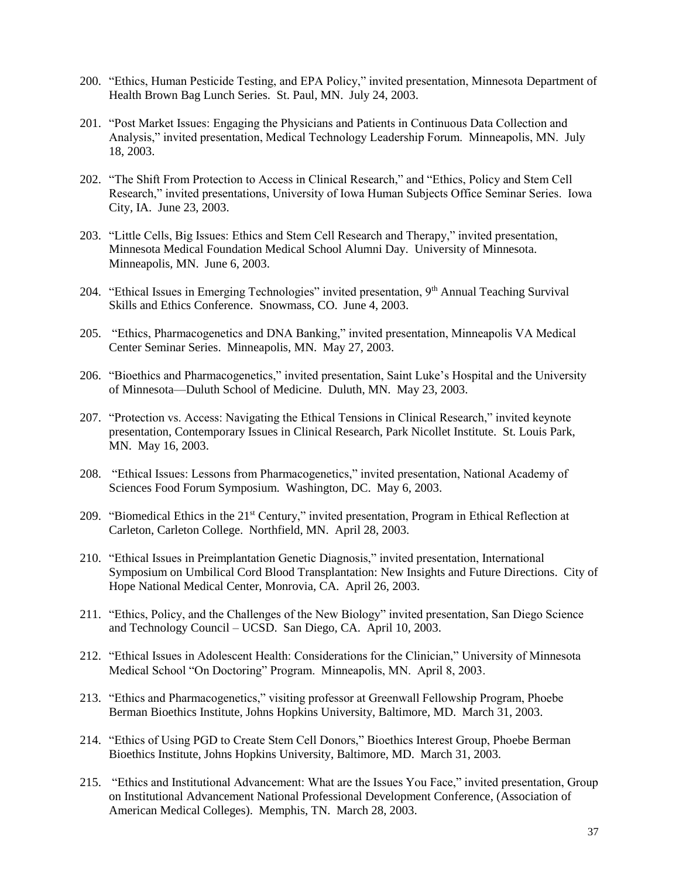- 200. "Ethics, Human Pesticide Testing, and EPA Policy," invited presentation, Minnesota Department of Health Brown Bag Lunch Series. St. Paul, MN. July 24, 2003.
- 201. "Post Market Issues: Engaging the Physicians and Patients in Continuous Data Collection and Analysis," invited presentation, Medical Technology Leadership Forum. Minneapolis, MN. July 18, 2003.
- 202. "The Shift From Protection to Access in Clinical Research," and "Ethics, Policy and Stem Cell Research," invited presentations, University of Iowa Human Subjects Office Seminar Series. Iowa City, IA. June 23, 2003.
- 203. "Little Cells, Big Issues: Ethics and Stem Cell Research and Therapy," invited presentation, Minnesota Medical Foundation Medical School Alumni Day. University of Minnesota. Minneapolis, MN. June 6, 2003.
- 204. "Ethical Issues in Emerging Technologies" invited presentation, 9<sup>th</sup> Annual Teaching Survival Skills and Ethics Conference. Snowmass, CO. June 4, 2003.
- 205. "Ethics, Pharmacogenetics and DNA Banking," invited presentation, Minneapolis VA Medical Center Seminar Series. Minneapolis, MN. May 27, 2003.
- 206. "Bioethics and Pharmacogenetics," invited presentation, Saint Luke's Hospital and the University of Minnesota—Duluth School of Medicine. Duluth, MN. May 23, 2003.
- 207. "Protection vs. Access: Navigating the Ethical Tensions in Clinical Research," invited keynote presentation, Contemporary Issues in Clinical Research, Park Nicollet Institute. St. Louis Park, MN. May 16, 2003.
- 208. "Ethical Issues: Lessons from Pharmacogenetics," invited presentation, National Academy of Sciences Food Forum Symposium. Washington, DC. May 6, 2003.
- 209. "Biomedical Ethics in the 21<sup>st</sup> Century," invited presentation, Program in Ethical Reflection at Carleton, Carleton College. Northfield, MN. April 28, 2003.
- 210. "Ethical Issues in Preimplantation Genetic Diagnosis," invited presentation, International Symposium on Umbilical Cord Blood Transplantation: New Insights and Future Directions. City of Hope National Medical Center, Monrovia, CA. April 26, 2003.
- 211. "Ethics, Policy, and the Challenges of the New Biology" invited presentation, San Diego Science and Technology Council – UCSD. San Diego, CA. April 10, 2003.
- 212. "Ethical Issues in Adolescent Health: Considerations for the Clinician," University of Minnesota Medical School "On Doctoring" Program. Minneapolis, MN. April 8, 2003.
- 213. "Ethics and Pharmacogenetics," visiting professor at Greenwall Fellowship Program, Phoebe Berman Bioethics Institute, Johns Hopkins University, Baltimore, MD. March 31, 2003.
- 214. "Ethics of Using PGD to Create Stem Cell Donors," Bioethics Interest Group, Phoebe Berman Bioethics Institute, Johns Hopkins University, Baltimore, MD. March 31, 2003.
- 215. "Ethics and Institutional Advancement: What are the Issues You Face," invited presentation, Group on Institutional Advancement National Professional Development Conference, (Association of American Medical Colleges). Memphis, TN. March 28, 2003.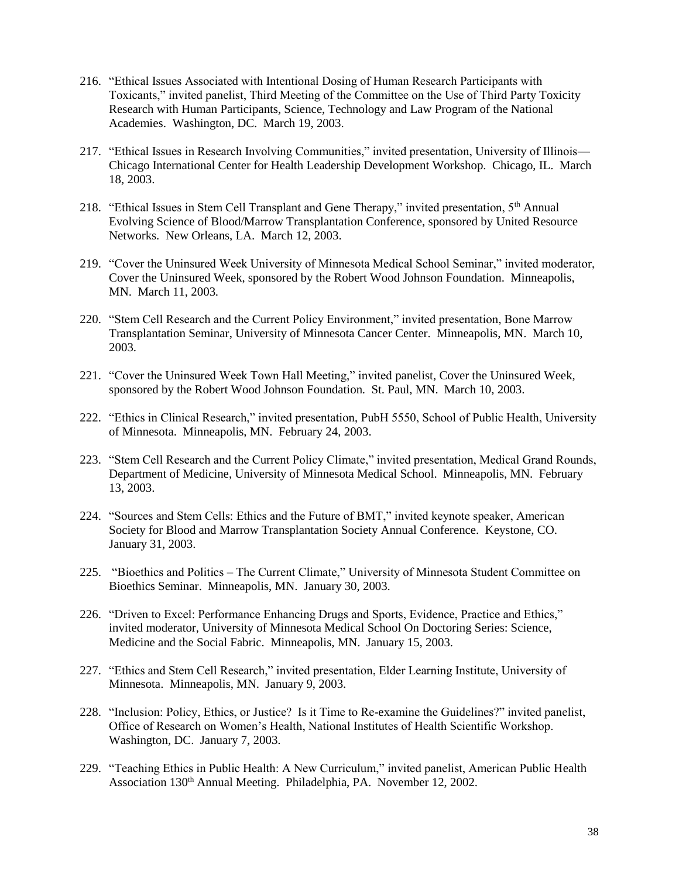- 216. "Ethical Issues Associated with Intentional Dosing of Human Research Participants with Toxicants," invited panelist, Third Meeting of the Committee on the Use of Third Party Toxicity Research with Human Participants, Science, Technology and Law Program of the National Academies. Washington, DC. March 19, 2003.
- 217. "Ethical Issues in Research Involving Communities," invited presentation, University of Illinois— Chicago International Center for Health Leadership Development Workshop. Chicago, IL. March 18, 2003.
- 218. "Ethical Issues in Stem Cell Transplant and Gene Therapy," invited presentation,  $5<sup>th</sup>$  Annual Evolving Science of Blood/Marrow Transplantation Conference, sponsored by United Resource Networks. New Orleans, LA. March 12, 2003.
- 219. "Cover the Uninsured Week University of Minnesota Medical School Seminar," invited moderator, Cover the Uninsured Week, sponsored by the Robert Wood Johnson Foundation. Minneapolis, MN. March 11, 2003.
- 220. "Stem Cell Research and the Current Policy Environment," invited presentation, Bone Marrow Transplantation Seminar, University of Minnesota Cancer Center. Minneapolis, MN. March 10, 2003.
- 221. "Cover the Uninsured Week Town Hall Meeting," invited panelist, Cover the Uninsured Week, sponsored by the Robert Wood Johnson Foundation. St. Paul, MN. March 10, 2003.
- 222. "Ethics in Clinical Research," invited presentation, PubH 5550, School of Public Health, University of Minnesota. Minneapolis, MN. February 24, 2003.
- 223. "Stem Cell Research and the Current Policy Climate," invited presentation, Medical Grand Rounds, Department of Medicine, University of Minnesota Medical School. Minneapolis, MN. February 13, 2003.
- 224. "Sources and Stem Cells: Ethics and the Future of BMT," invited keynote speaker, American Society for Blood and Marrow Transplantation Society Annual Conference. Keystone, CO. January 31, 2003.
- 225. "Bioethics and Politics The Current Climate," University of Minnesota Student Committee on Bioethics Seminar. Minneapolis, MN. January 30, 2003.
- 226. "Driven to Excel: Performance Enhancing Drugs and Sports, Evidence, Practice and Ethics," invited moderator, University of Minnesota Medical School On Doctoring Series: Science, Medicine and the Social Fabric. Minneapolis, MN. January 15, 2003.
- 227. "Ethics and Stem Cell Research," invited presentation, Elder Learning Institute, University of Minnesota. Minneapolis, MN. January 9, 2003.
- 228. "Inclusion: Policy, Ethics, or Justice? Is it Time to Re-examine the Guidelines?" invited panelist, Office of Research on Women's Health, National Institutes of Health Scientific Workshop. Washington, DC. January 7, 2003.
- 229. "Teaching Ethics in Public Health: A New Curriculum," invited panelist, American Public Health Association 130<sup>th</sup> Annual Meeting. Philadelphia, PA. November 12, 2002.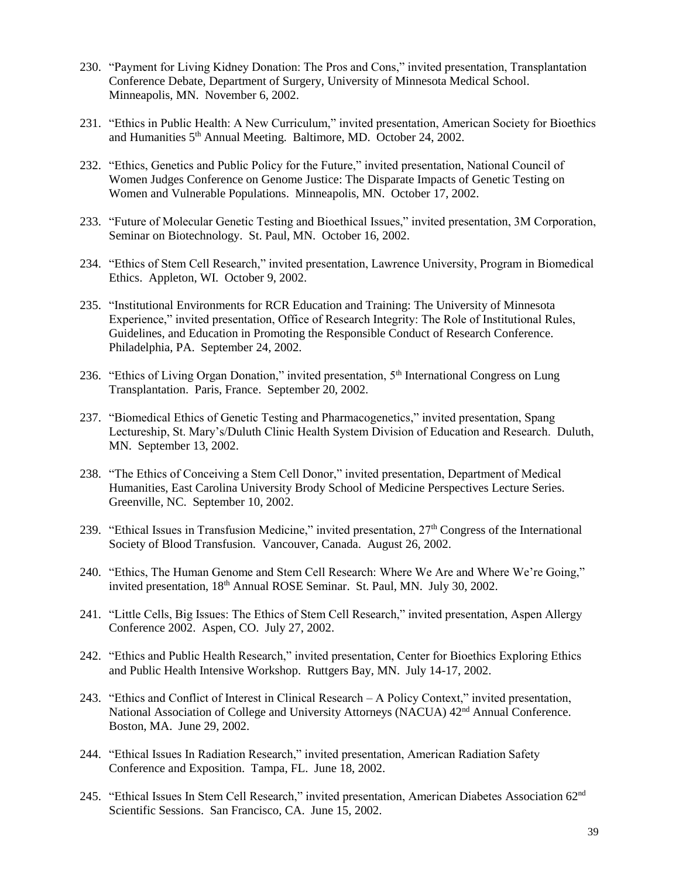- 230. "Payment for Living Kidney Donation: The Pros and Cons," invited presentation, Transplantation Conference Debate, Department of Surgery, University of Minnesota Medical School. Minneapolis, MN. November 6, 2002.
- 231. "Ethics in Public Health: A New Curriculum," invited presentation, American Society for Bioethics and Humanities 5<sup>th</sup> Annual Meeting. Baltimore, MD. October 24, 2002.
- 232. "Ethics, Genetics and Public Policy for the Future," invited presentation, National Council of Women Judges Conference on Genome Justice: The Disparate Impacts of Genetic Testing on Women and Vulnerable Populations. Minneapolis, MN. October 17, 2002.
- 233. "Future of Molecular Genetic Testing and Bioethical Issues," invited presentation, 3M Corporation, Seminar on Biotechnology. St. Paul, MN. October 16, 2002.
- 234. "Ethics of Stem Cell Research," invited presentation, Lawrence University, Program in Biomedical Ethics. Appleton, WI. October 9, 2002.
- 235. "Institutional Environments for RCR Education and Training: The University of Minnesota Experience," invited presentation, Office of Research Integrity: The Role of Institutional Rules, Guidelines, and Education in Promoting the Responsible Conduct of Research Conference. Philadelphia, PA. September 24, 2002.
- 236. "Ethics of Living Organ Donation," invited presentation, 5<sup>th</sup> International Congress on Lung Transplantation. Paris, France. September 20, 2002.
- 237. "Biomedical Ethics of Genetic Testing and Pharmacogenetics," invited presentation, Spang Lectureship, St. Mary's/Duluth Clinic Health System Division of Education and Research. Duluth, MN. September 13, 2002.
- 238. "The Ethics of Conceiving a Stem Cell Donor," invited presentation, Department of Medical Humanities, East Carolina University Brody School of Medicine Perspectives Lecture Series. Greenville, NC. September 10, 2002.
- 239. "Ethical Issues in Transfusion Medicine," invited presentation, 27th Congress of the International Society of Blood Transfusion. Vancouver, Canada. August 26, 2002.
- 240. "Ethics, The Human Genome and Stem Cell Research: Where We Are and Where We're Going," invited presentation, 18<sup>th</sup> Annual ROSE Seminar. St. Paul, MN. July 30, 2002.
- 241. "Little Cells, Big Issues: The Ethics of Stem Cell Research," invited presentation, Aspen Allergy Conference 2002. Aspen, CO. July 27, 2002.
- 242. "Ethics and Public Health Research," invited presentation, Center for Bioethics Exploring Ethics and Public Health Intensive Workshop. Ruttgers Bay, MN. July 14-17, 2002.
- 243. "Ethics and Conflict of Interest in Clinical Research A Policy Context," invited presentation, National Association of College and University Attorneys (NACUA) 42<sup>nd</sup> Annual Conference. Boston, MA. June 29, 2002.
- 244. "Ethical Issues In Radiation Research," invited presentation, American Radiation Safety Conference and Exposition. Tampa, FL. June 18, 2002.
- 245. "Ethical Issues In Stem Cell Research," invited presentation, American Diabetes Association 62nd Scientific Sessions. San Francisco, CA. June 15, 2002.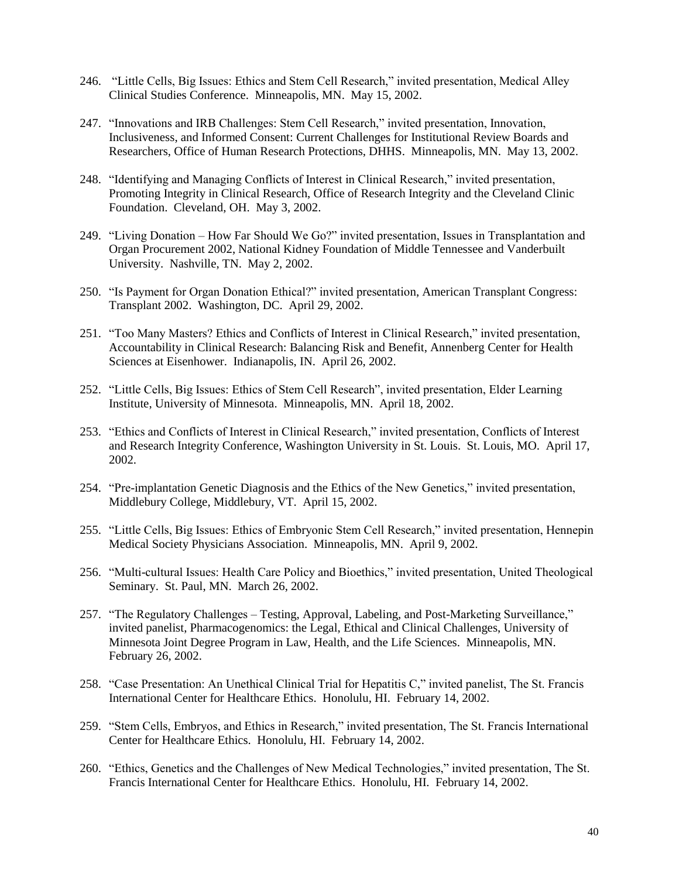- 246. "Little Cells, Big Issues: Ethics and Stem Cell Research," invited presentation, Medical Alley Clinical Studies Conference. Minneapolis, MN. May 15, 2002.
- 247. "Innovations and IRB Challenges: Stem Cell Research," invited presentation, Innovation, Inclusiveness, and Informed Consent: Current Challenges for Institutional Review Boards and Researchers, Office of Human Research Protections, DHHS. Minneapolis, MN. May 13, 2002.
- 248. "Identifying and Managing Conflicts of Interest in Clinical Research," invited presentation, Promoting Integrity in Clinical Research, Office of Research Integrity and the Cleveland Clinic Foundation. Cleveland, OH. May 3, 2002.
- 249. "Living Donation How Far Should We Go?" invited presentation, Issues in Transplantation and Organ Procurement 2002, National Kidney Foundation of Middle Tennessee and Vanderbuilt University. Nashville, TN. May 2, 2002.
- 250. "Is Payment for Organ Donation Ethical?" invited presentation, American Transplant Congress: Transplant 2002. Washington, DC. April 29, 2002.
- 251. "Too Many Masters? Ethics and Conflicts of Interest in Clinical Research," invited presentation, Accountability in Clinical Research: Balancing Risk and Benefit, Annenberg Center for Health Sciences at Eisenhower. Indianapolis, IN. April 26, 2002.
- 252. "Little Cells, Big Issues: Ethics of Stem Cell Research", invited presentation, Elder Learning Institute, University of Minnesota. Minneapolis, MN. April 18, 2002.
- 253. "Ethics and Conflicts of Interest in Clinical Research," invited presentation, Conflicts of Interest and Research Integrity Conference, Washington University in St. Louis. St. Louis, MO. April 17, 2002.
- 254. "Pre-implantation Genetic Diagnosis and the Ethics of the New Genetics," invited presentation, Middlebury College, Middlebury, VT. April 15, 2002.
- 255. "Little Cells, Big Issues: Ethics of Embryonic Stem Cell Research," invited presentation, Hennepin Medical Society Physicians Association. Minneapolis, MN. April 9, 2002.
- 256. "Multi-cultural Issues: Health Care Policy and Bioethics," invited presentation, United Theological Seminary. St. Paul, MN. March 26, 2002.
- 257. "The Regulatory Challenges Testing, Approval, Labeling, and Post-Marketing Surveillance," invited panelist, Pharmacogenomics: the Legal, Ethical and Clinical Challenges, University of Minnesota Joint Degree Program in Law, Health, and the Life Sciences. Minneapolis, MN. February 26, 2002.
- 258. "Case Presentation: An Unethical Clinical Trial for Hepatitis C," invited panelist, The St. Francis International Center for Healthcare Ethics. Honolulu, HI. February 14, 2002.
- 259. "Stem Cells, Embryos, and Ethics in Research," invited presentation, The St. Francis International Center for Healthcare Ethics. Honolulu, HI. February 14, 2002.
- 260. "Ethics, Genetics and the Challenges of New Medical Technologies," invited presentation, The St. Francis International Center for Healthcare Ethics. Honolulu, HI. February 14, 2002.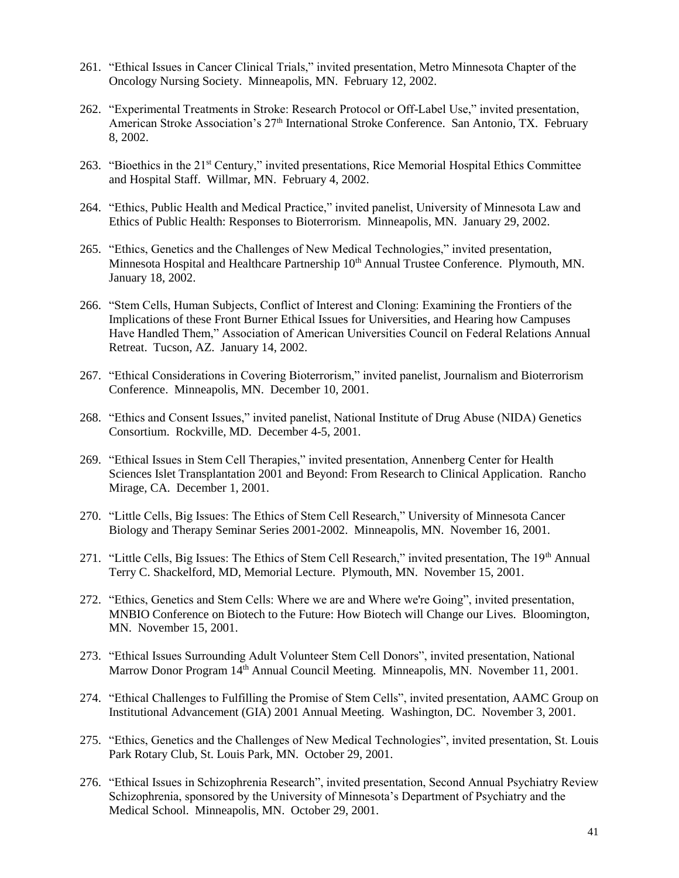- 261. "Ethical Issues in Cancer Clinical Trials," invited presentation, Metro Minnesota Chapter of the Oncology Nursing Society. Minneapolis, MN. February 12, 2002.
- 262. "Experimental Treatments in Stroke: Research Protocol or Off-Label Use," invited presentation, American Stroke Association's 27<sup>th</sup> International Stroke Conference. San Antonio, TX. February 8, 2002.
- 263. "Bioethics in the 21<sup>st</sup> Century," invited presentations, Rice Memorial Hospital Ethics Committee and Hospital Staff. Willmar, MN. February 4, 2002.
- 264. "Ethics, Public Health and Medical Practice," invited panelist, University of Minnesota Law and Ethics of Public Health: Responses to Bioterrorism. Minneapolis, MN. January 29, 2002.
- 265. "Ethics, Genetics and the Challenges of New Medical Technologies," invited presentation, Minnesota Hospital and Healthcare Partnership 10<sup>th</sup> Annual Trustee Conference. Plymouth, MN. January 18, 2002.
- 266. "Stem Cells, Human Subjects, Conflict of Interest and Cloning: Examining the Frontiers of the Implications of these Front Burner Ethical Issues for Universities, and Hearing how Campuses Have Handled Them," Association of American Universities Council on Federal Relations Annual Retreat. Tucson, AZ. January 14, 2002.
- 267. "Ethical Considerations in Covering Bioterrorism," invited panelist, Journalism and Bioterrorism Conference. Minneapolis, MN. December 10, 2001.
- 268. "Ethics and Consent Issues," invited panelist, National Institute of Drug Abuse (NIDA) Genetics Consortium. Rockville, MD. December 4-5, 2001.
- 269. "Ethical Issues in Stem Cell Therapies," invited presentation, Annenberg Center for Health Sciences Islet Transplantation 2001 and Beyond: From Research to Clinical Application. Rancho Mirage, CA. December 1, 2001.
- 270. "Little Cells, Big Issues: The Ethics of Stem Cell Research," University of Minnesota Cancer Biology and Therapy Seminar Series 2001-2002. Minneapolis, MN. November 16, 2001.
- 271. "Little Cells, Big Issues: The Ethics of Stem Cell Research," invited presentation, The 19th Annual Terry C. Shackelford, MD, Memorial Lecture. Plymouth, MN. November 15, 2001.
- 272. "Ethics, Genetics and Stem Cells: Where we are and Where we're Going", invited presentation, MNBIO Conference on Biotech to the Future: How Biotech will Change our Lives. Bloomington, MN. November 15, 2001.
- 273. "Ethical Issues Surrounding Adult Volunteer Stem Cell Donors", invited presentation, National Marrow Donor Program 14th Annual Council Meeting. Minneapolis, MN. November 11, 2001.
- 274. "Ethical Challenges to Fulfilling the Promise of Stem Cells", invited presentation, AAMC Group on Institutional Advancement (GIA) 2001 Annual Meeting. Washington, DC. November 3, 2001.
- 275. "Ethics, Genetics and the Challenges of New Medical Technologies", invited presentation, St. Louis Park Rotary Club, St. Louis Park, MN. October 29, 2001.
- 276. "Ethical Issues in Schizophrenia Research", invited presentation, Second Annual Psychiatry Review Schizophrenia, sponsored by the University of Minnesota's Department of Psychiatry and the Medical School. Minneapolis, MN. October 29, 2001.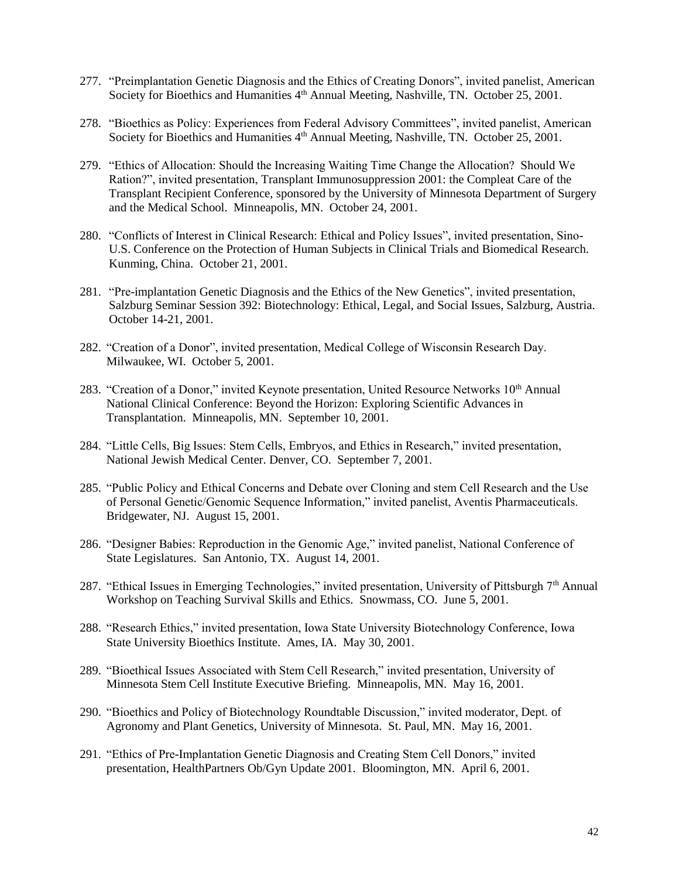- 277. "Preimplantation Genetic Diagnosis and the Ethics of Creating Donors", invited panelist, American Society for Bioethics and Humanities 4<sup>th</sup> Annual Meeting, Nashville, TN. October 25, 2001.
- 278. "Bioethics as Policy: Experiences from Federal Advisory Committees", invited panelist, American Society for Bioethics and Humanities 4<sup>th</sup> Annual Meeting, Nashville, TN. October 25, 2001.
- 279. "Ethics of Allocation: Should the Increasing Waiting Time Change the Allocation? Should We Ration?", invited presentation, Transplant Immunosuppression 2001: the Compleat Care of the Transplant Recipient Conference, sponsored by the University of Minnesota Department of Surgery and the Medical School. Minneapolis, MN. October 24, 2001.
- 280. "Conflicts of Interest in Clinical Research: Ethical and Policy Issues", invited presentation, Sino-U.S. Conference on the Protection of Human Subjects in Clinical Trials and Biomedical Research. Kunming, China. October 21, 2001.
- 281. "Pre-implantation Genetic Diagnosis and the Ethics of the New Genetics", invited presentation, Salzburg Seminar Session 392: Biotechnology: Ethical, Legal, and Social Issues, Salzburg, Austria. October 14-21, 2001.
- 282. "Creation of a Donor", invited presentation, Medical College of Wisconsin Research Day. Milwaukee, WI. October 5, 2001.
- 283. "Creation of a Donor," invited Keynote presentation, United Resource Networks 10<sup>th</sup> Annual National Clinical Conference: Beyond the Horizon: Exploring Scientific Advances in Transplantation. Minneapolis, MN. September 10, 2001.
- 284. "Little Cells, Big Issues: Stem Cells, Embryos, and Ethics in Research," invited presentation, National Jewish Medical Center. Denver, CO. September 7, 2001.
- 285. "Public Policy and Ethical Concerns and Debate over Cloning and stem Cell Research and the Use of Personal Genetic/Genomic Sequence Information," invited panelist, Aventis Pharmaceuticals. Bridgewater, NJ. August 15, 2001.
- 286. "Designer Babies: Reproduction in the Genomic Age," invited panelist, National Conference of State Legislatures. San Antonio, TX. August 14, 2001.
- 287. "Ethical Issues in Emerging Technologies," invited presentation, University of Pittsburgh 7<sup>th</sup> Annual Workshop on Teaching Survival Skills and Ethics. Snowmass, CO. June 5, 2001.
- 288. "Research Ethics," invited presentation, Iowa State University Biotechnology Conference, Iowa State University Bioethics Institute. Ames, IA. May 30, 2001.
- 289. "Bioethical Issues Associated with Stem Cell Research," invited presentation, University of Minnesota Stem Cell Institute Executive Briefing. Minneapolis, MN. May 16, 2001.
- 290. "Bioethics and Policy of Biotechnology Roundtable Discussion," invited moderator, Dept. of Agronomy and Plant Genetics, University of Minnesota. St. Paul, MN. May 16, 2001.
- 291. "Ethics of Pre-Implantation Genetic Diagnosis and Creating Stem Cell Donors," invited presentation, HealthPartners Ob/Gyn Update 2001. Bloomington, MN. April 6, 2001.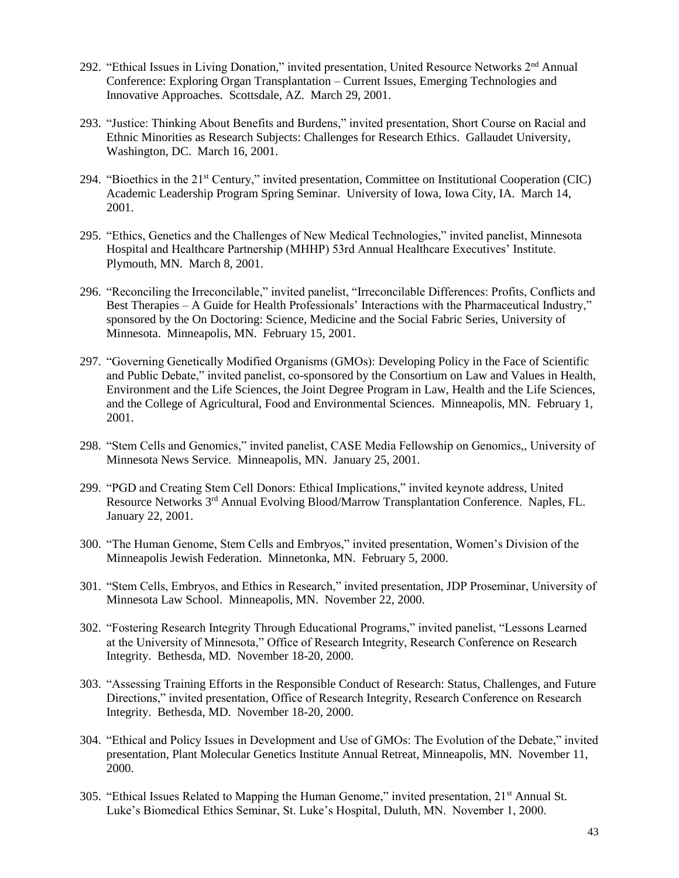- 292. "Ethical Issues in Living Donation," invited presentation, United Resource Networks 2nd Annual Conference: Exploring Organ Transplantation – Current Issues, Emerging Technologies and Innovative Approaches. Scottsdale, AZ. March 29, 2001.
- 293. "Justice: Thinking About Benefits and Burdens," invited presentation, Short Course on Racial and Ethnic Minorities as Research Subjects: Challenges for Research Ethics. Gallaudet University, Washington, DC. March 16, 2001.
- 294. "Bioethics in the 21<sup>st</sup> Century," invited presentation, Committee on Institutional Cooperation (CIC) Academic Leadership Program Spring Seminar. University of Iowa, Iowa City, IA. March 14, 2001.
- 295. "Ethics, Genetics and the Challenges of New Medical Technologies," invited panelist, Minnesota Hospital and Healthcare Partnership (MHHP) 53rd Annual Healthcare Executives' Institute. Plymouth, MN. March 8, 2001.
- 296. "Reconciling the Irreconcilable," invited panelist, "Irreconcilable Differences: Profits, Conflicts and Best Therapies – A Guide for Health Professionals' Interactions with the Pharmaceutical Industry," sponsored by the On Doctoring: Science, Medicine and the Social Fabric Series, University of Minnesota. Minneapolis, MN. February 15, 2001.
- 297. "Governing Genetically Modified Organisms (GMOs): Developing Policy in the Face of Scientific and Public Debate," invited panelist, co-sponsored by the Consortium on Law and Values in Health, Environment and the Life Sciences, the Joint Degree Program in Law, Health and the Life Sciences, and the College of Agricultural, Food and Environmental Sciences. Minneapolis, MN. February 1, 2001.
- 298. "Stem Cells and Genomics," invited panelist, CASE Media Fellowship on Genomics,, University of Minnesota News Service. Minneapolis, MN. January 25, 2001.
- 299. "PGD and Creating Stem Cell Donors: Ethical Implications," invited keynote address, United Resource Networks 3rd Annual Evolving Blood/Marrow Transplantation Conference. Naples, FL. January 22, 2001.
- 300. "The Human Genome, Stem Cells and Embryos," invited presentation, Women's Division of the Minneapolis Jewish Federation. Minnetonka, MN. February 5, 2000.
- 301. "Stem Cells, Embryos, and Ethics in Research," invited presentation, JDP Proseminar, University of Minnesota Law School. Minneapolis, MN. November 22, 2000.
- 302. "Fostering Research Integrity Through Educational Programs," invited panelist, "Lessons Learned at the University of Minnesota," Office of Research Integrity, Research Conference on Research Integrity. Bethesda, MD. November 18-20, 2000.
- 303. "Assessing Training Efforts in the Responsible Conduct of Research: Status, Challenges, and Future Directions," invited presentation, Office of Research Integrity, Research Conference on Research Integrity. Bethesda, MD. November 18-20, 2000.
- 304. "Ethical and Policy Issues in Development and Use of GMOs: The Evolution of the Debate," invited presentation, Plant Molecular Genetics Institute Annual Retreat, Minneapolis, MN. November 11, 2000.
- 305. "Ethical Issues Related to Mapping the Human Genome," invited presentation, 21st Annual St. Luke's Biomedical Ethics Seminar, St. Luke's Hospital, Duluth, MN. November 1, 2000.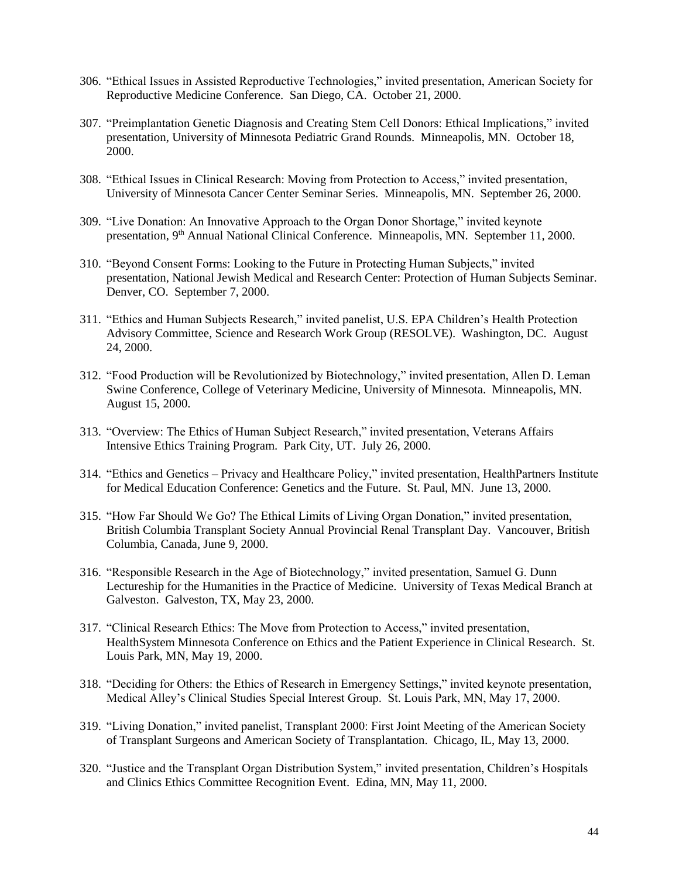- 306. "Ethical Issues in Assisted Reproductive Technologies," invited presentation, American Society for Reproductive Medicine Conference. San Diego, CA. October 21, 2000.
- 307. "Preimplantation Genetic Diagnosis and Creating Stem Cell Donors: Ethical Implications," invited presentation, University of Minnesota Pediatric Grand Rounds. Minneapolis, MN. October 18, 2000.
- 308. "Ethical Issues in Clinical Research: Moving from Protection to Access," invited presentation, University of Minnesota Cancer Center Seminar Series. Minneapolis, MN. September 26, 2000.
- 309. "Live Donation: An Innovative Approach to the Organ Donor Shortage," invited keynote presentation, 9th Annual National Clinical Conference. Minneapolis, MN. September 11, 2000.
- 310. "Beyond Consent Forms: Looking to the Future in Protecting Human Subjects," invited presentation, National Jewish Medical and Research Center: Protection of Human Subjects Seminar. Denver, CO. September 7, 2000.
- 311. "Ethics and Human Subjects Research," invited panelist, U.S. EPA Children's Health Protection Advisory Committee, Science and Research Work Group (RESOLVE). Washington, DC. August 24, 2000.
- 312. "Food Production will be Revolutionized by Biotechnology," invited presentation, Allen D. Leman Swine Conference, College of Veterinary Medicine, University of Minnesota. Minneapolis, MN. August 15, 2000.
- 313. "Overview: The Ethics of Human Subject Research," invited presentation, Veterans Affairs Intensive Ethics Training Program. Park City, UT. July 26, 2000.
- 314. "Ethics and Genetics Privacy and Healthcare Policy," invited presentation, HealthPartners Institute for Medical Education Conference: Genetics and the Future. St. Paul, MN. June 13, 2000.
- 315. "How Far Should We Go? The Ethical Limits of Living Organ Donation," invited presentation, British Columbia Transplant Society Annual Provincial Renal Transplant Day. Vancouver, British Columbia, Canada, June 9, 2000.
- 316. "Responsible Research in the Age of Biotechnology," invited presentation, Samuel G. Dunn Lectureship for the Humanities in the Practice of Medicine. University of Texas Medical Branch at Galveston. Galveston, TX, May 23, 2000.
- 317. "Clinical Research Ethics: The Move from Protection to Access," invited presentation, HealthSystem Minnesota Conference on Ethics and the Patient Experience in Clinical Research. St. Louis Park, MN, May 19, 2000.
- 318. "Deciding for Others: the Ethics of Research in Emergency Settings," invited keynote presentation, Medical Alley's Clinical Studies Special Interest Group. St. Louis Park, MN, May 17, 2000.
- 319. "Living Donation," invited panelist, Transplant 2000: First Joint Meeting of the American Society of Transplant Surgeons and American Society of Transplantation. Chicago, IL, May 13, 2000.
- 320. "Justice and the Transplant Organ Distribution System," invited presentation, Children's Hospitals and Clinics Ethics Committee Recognition Event. Edina, MN, May 11, 2000.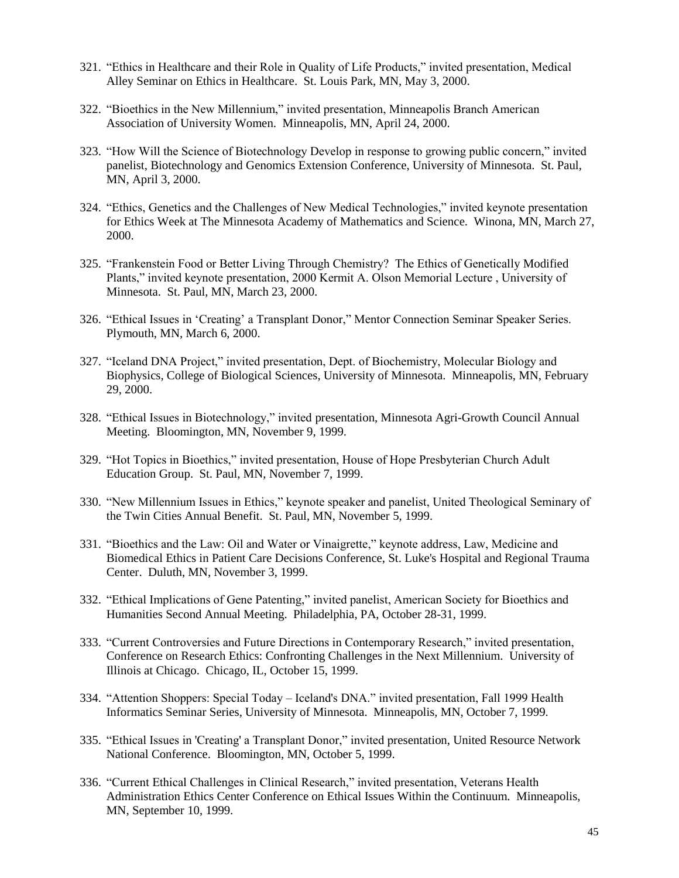- 321. "Ethics in Healthcare and their Role in Quality of Life Products," invited presentation, Medical Alley Seminar on Ethics in Healthcare. St. Louis Park, MN, May 3, 2000.
- 322. "Bioethics in the New Millennium," invited presentation, Minneapolis Branch American Association of University Women. Minneapolis, MN, April 24, 2000.
- 323. "How Will the Science of Biotechnology Develop in response to growing public concern," invited panelist, Biotechnology and Genomics Extension Conference, University of Minnesota. St. Paul, MN, April 3, 2000.
- 324. "Ethics, Genetics and the Challenges of New Medical Technologies," invited keynote presentation for Ethics Week at The Minnesota Academy of Mathematics and Science. Winona, MN, March 27, 2000.
- 325. "Frankenstein Food or Better Living Through Chemistry? The Ethics of Genetically Modified Plants," invited keynote presentation, 2000 Kermit A. Olson Memorial Lecture , University of Minnesota. St. Paul, MN, March 23, 2000.
- 326. "Ethical Issues in 'Creating' a Transplant Donor," Mentor Connection Seminar Speaker Series. Plymouth, MN, March 6, 2000.
- 327. "Iceland DNA Project," invited presentation, Dept. of Biochemistry, Molecular Biology and Biophysics, College of Biological Sciences, University of Minnesota. Minneapolis, MN, February 29, 2000.
- 328. "Ethical Issues in Biotechnology," invited presentation, Minnesota Agri-Growth Council Annual Meeting. Bloomington, MN, November 9, 1999.
- 329. "Hot Topics in Bioethics," invited presentation, House of Hope Presbyterian Church Adult Education Group. St. Paul, MN, November 7, 1999.
- 330. "New Millennium Issues in Ethics," keynote speaker and panelist, United Theological Seminary of the Twin Cities Annual Benefit. St. Paul, MN, November 5, 1999.
- 331. "Bioethics and the Law: Oil and Water or Vinaigrette," keynote address, Law, Medicine and Biomedical Ethics in Patient Care Decisions Conference, St. Luke's Hospital and Regional Trauma Center. Duluth, MN, November 3, 1999.
- 332. "Ethical Implications of Gene Patenting," invited panelist, American Society for Bioethics and Humanities Second Annual Meeting. Philadelphia, PA, October 28-31, 1999.
- 333. "Current Controversies and Future Directions in Contemporary Research," invited presentation, Conference on Research Ethics: Confronting Challenges in the Next Millennium. University of Illinois at Chicago. Chicago, IL, October 15, 1999.
- 334. "Attention Shoppers: Special Today Iceland's DNA." invited presentation, Fall 1999 Health Informatics Seminar Series, University of Minnesota. Minneapolis, MN, October 7, 1999.
- 335. "Ethical Issues in 'Creating' a Transplant Donor," invited presentation, United Resource Network National Conference. Bloomington, MN, October 5, 1999.
- 336. "Current Ethical Challenges in Clinical Research," invited presentation, Veterans Health Administration Ethics Center Conference on Ethical Issues Within the Continuum. Minneapolis, MN, September 10, 1999.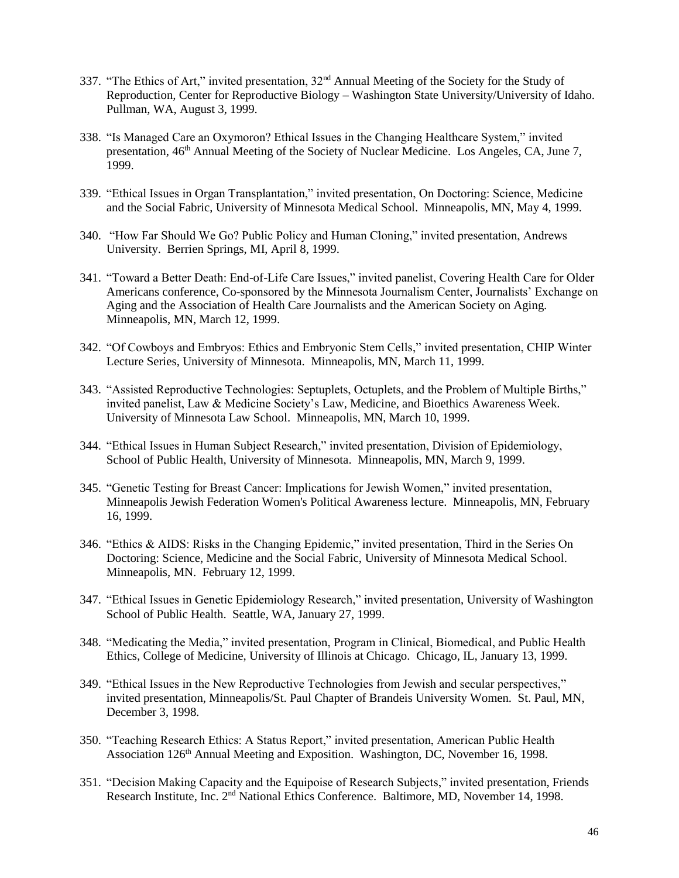- 337. "The Ethics of Art," invited presentation, 32nd Annual Meeting of the Society for the Study of Reproduction*,* Center for Reproductive Biology – Washington State University/University of Idaho. Pullman, WA, August 3, 1999.
- 338. "Is Managed Care an Oxymoron? Ethical Issues in the Changing Healthcare System," invited presentation, 46<sup>th</sup> Annual Meeting of the Society of Nuclear Medicine. Los Angeles, CA, June 7, 1999.
- 339. "Ethical Issues in Organ Transplantation," invited presentation, On Doctoring: Science, Medicine and the Social Fabric, University of Minnesota Medical School. Minneapolis, MN, May 4, 1999.
- 340. "How Far Should We Go? Public Policy and Human Cloning," invited presentation, Andrews University. Berrien Springs, MI, April 8, 1999.
- 341. "Toward a Better Death: End-of-Life Care Issues," invited panelist, Covering Health Care for Older Americans conference, Co-sponsored by the Minnesota Journalism Center, Journalists' Exchange on Aging and the Association of Health Care Journalists and the American Society on Aging. Minneapolis, MN, March 12, 1999.
- 342. "Of Cowboys and Embryos: Ethics and Embryonic Stem Cells," invited presentation, CHIP Winter Lecture Series, University of Minnesota. Minneapolis, MN, March 11, 1999.
- 343. "Assisted Reproductive Technologies: Septuplets, Octuplets, and the Problem of Multiple Births," invited panelist, Law & Medicine Society's Law, Medicine, and Bioethics Awareness Week. University of Minnesota Law School. Minneapolis, MN, March 10, 1999.
- 344. "Ethical Issues in Human Subject Research," invited presentation, Division of Epidemiology, School of Public Health, University of Minnesota. Minneapolis, MN, March 9, 1999.
- 345. "Genetic Testing for Breast Cancer: Implications for Jewish Women," invited presentation, Minneapolis Jewish Federation Women's Political Awareness lecture. Minneapolis, MN, February 16, 1999.
- 346. "Ethics & AIDS: Risks in the Changing Epidemic," invited presentation, Third in the Series On Doctoring: Science, Medicine and the Social Fabric, University of Minnesota Medical School. Minneapolis, MN. February 12, 1999.
- 347. "Ethical Issues in Genetic Epidemiology Research," invited presentation, University of Washington School of Public Health. Seattle, WA, January 27, 1999.
- 348. "Medicating the Media," invited presentation, Program in Clinical, Biomedical, and Public Health Ethics, College of Medicine, University of Illinois at Chicago. Chicago, IL, January 13, 1999.
- 349. "Ethical Issues in the New Reproductive Technologies from Jewish and secular perspectives," invited presentation, Minneapolis/St. Paul Chapter of Brandeis University Women. St. Paul, MN, December 3, 1998.
- 350. "Teaching Research Ethics: A Status Report," invited presentation, American Public Health Association 126<sup>th</sup> Annual Meeting and Exposition. Washington, DC, November 16, 1998.
- 351. "Decision Making Capacity and the Equipoise of Research Subjects," invited presentation, Friends Research Institute, Inc. 2nd National Ethics Conference. Baltimore, MD, November 14, 1998.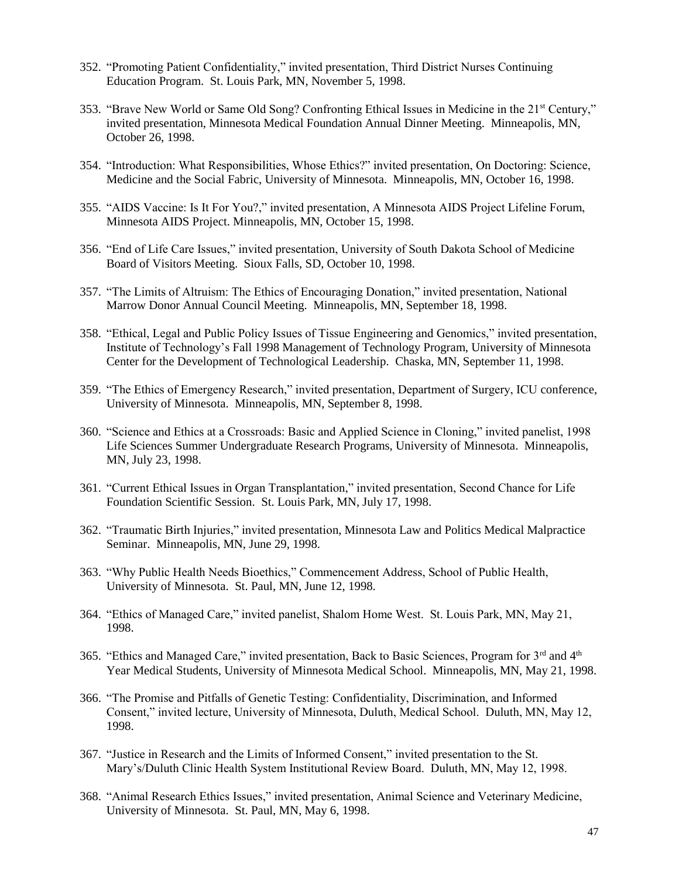- 352. "Promoting Patient Confidentiality," invited presentation, Third District Nurses Continuing Education Program. St. Louis Park, MN, November 5, 1998.
- 353. "Brave New World or Same Old Song? Confronting Ethical Issues in Medicine in the 21st Century," invited presentation, Minnesota Medical Foundation Annual Dinner Meeting. Minneapolis, MN, October 26, 1998.
- 354. "Introduction: What Responsibilities, Whose Ethics?" invited presentation, On Doctoring: Science, Medicine and the Social Fabric, University of Minnesota. Minneapolis, MN, October 16, 1998.
- 355. "AIDS Vaccine: Is It For You?," invited presentation, A Minnesota AIDS Project Lifeline Forum, Minnesota AIDS Project. Minneapolis, MN, October 15, 1998.
- 356. "End of Life Care Issues," invited presentation, University of South Dakota School of Medicine Board of Visitors Meeting. Sioux Falls, SD, October 10, 1998.
- 357. "The Limits of Altruism: The Ethics of Encouraging Donation," invited presentation, National Marrow Donor Annual Council Meeting. Minneapolis, MN, September 18, 1998.
- 358. "Ethical, Legal and Public Policy Issues of Tissue Engineering and Genomics," invited presentation, Institute of Technology's Fall 1998 Management of Technology Program, University of Minnesota Center for the Development of Technological Leadership. Chaska, MN, September 11, 1998.
- 359. "The Ethics of Emergency Research," invited presentation, Department of Surgery, ICU conference, University of Minnesota. Minneapolis, MN, September 8, 1998.
- 360. "Science and Ethics at a Crossroads: Basic and Applied Science in Cloning," invited panelist, 1998 Life Sciences Summer Undergraduate Research Programs, University of Minnesota. Minneapolis, MN, July 23, 1998.
- 361. "Current Ethical Issues in Organ Transplantation," invited presentation, Second Chance for Life Foundation Scientific Session. St. Louis Park, MN, July 17, 1998.
- 362. "Traumatic Birth Injuries," invited presentation, Minnesota Law and Politics Medical Malpractice Seminar. Minneapolis, MN, June 29, 1998.
- 363. "Why Public Health Needs Bioethics," Commencement Address, School of Public Health, University of Minnesota. St. Paul, MN, June 12, 1998.
- 364. "Ethics of Managed Care," invited panelist, Shalom Home West. St. Louis Park, MN, May 21, 1998.
- 365. "Ethics and Managed Care," invited presentation, Back to Basic Sciences, Program for 3rd and 4th Year Medical Students, University of Minnesota Medical School. Minneapolis, MN, May 21, 1998.
- 366. "The Promise and Pitfalls of Genetic Testing: Confidentiality, Discrimination, and Informed Consent," invited lecture, University of Minnesota, Duluth, Medical School. Duluth, MN, May 12, 1998.
- 367. "Justice in Research and the Limits of Informed Consent," invited presentation to the St. Mary's/Duluth Clinic Health System Institutional Review Board. Duluth, MN, May 12, 1998.
- 368. "Animal Research Ethics Issues," invited presentation, Animal Science and Veterinary Medicine, University of Minnesota. St. Paul, MN, May 6, 1998.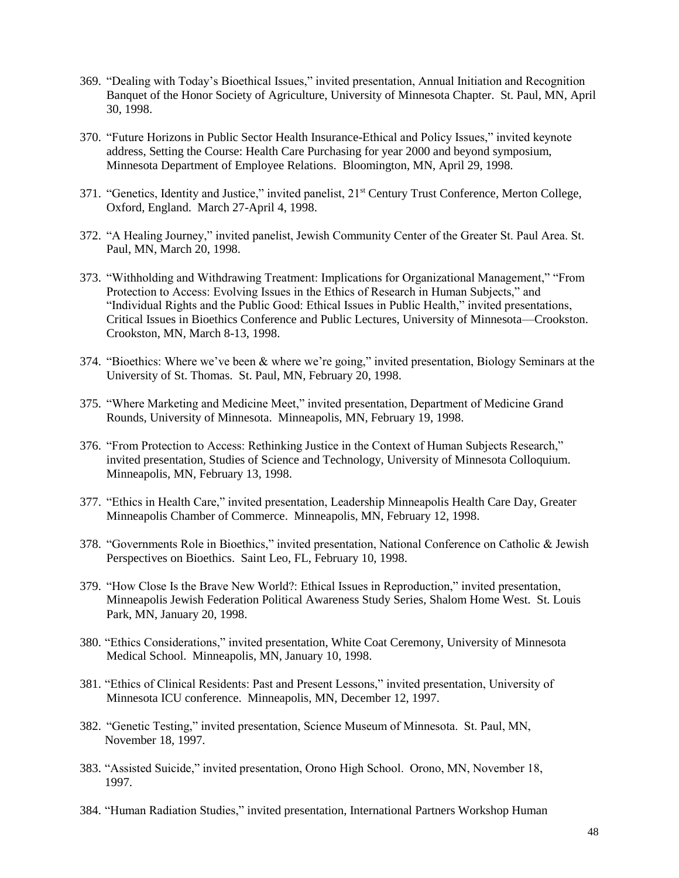- 369. "Dealing with Today's Bioethical Issues," invited presentation, Annual Initiation and Recognition Banquet of the Honor Society of Agriculture, University of Minnesota Chapter. St. Paul, MN, April 30, 1998.
- 370. "Future Horizons in Public Sector Health Insurance-Ethical and Policy Issues," invited keynote address, Setting the Course: Health Care Purchasing for year 2000 and beyond symposium, Minnesota Department of Employee Relations. Bloomington, MN, April 29, 1998.
- 371. "Genetics, Identity and Justice," invited panelist, 21st Century Trust Conference, Merton College, Oxford, England. March 27-April 4, 1998.
- 372. "A Healing Journey," invited panelist, Jewish Community Center of the Greater St. Paul Area. St. Paul, MN, March 20, 1998.
- 373. "Withholding and Withdrawing Treatment: Implications for Organizational Management," "From Protection to Access: Evolving Issues in the Ethics of Research in Human Subjects," and "Individual Rights and the Public Good: Ethical Issues in Public Health," invited presentations, Critical Issues in Bioethics Conference and Public Lectures, University of Minnesota—Crookston. Crookston, MN, March 8-13, 1998.
- 374. "Bioethics: Where we've been & where we're going," invited presentation, Biology Seminars at the University of St. Thomas. St. Paul, MN, February 20, 1998.
- 375. "Where Marketing and Medicine Meet," invited presentation, Department of Medicine Grand Rounds, University of Minnesota. Minneapolis, MN, February 19, 1998.
- 376. "From Protection to Access: Rethinking Justice in the Context of Human Subjects Research," invited presentation, Studies of Science and Technology, University of Minnesota Colloquium. Minneapolis, MN, February 13, 1998.
- 377. "Ethics in Health Care," invited presentation, Leadership Minneapolis Health Care Day, Greater Minneapolis Chamber of Commerce. Minneapolis, MN, February 12, 1998.
- 378. "Governments Role in Bioethics," invited presentation, National Conference on Catholic & Jewish Perspectives on Bioethics. Saint Leo, FL, February 10, 1998.
- 379. "How Close Is the Brave New World?: Ethical Issues in Reproduction," invited presentation, Minneapolis Jewish Federation Political Awareness Study Series, Shalom Home West. St. Louis Park, MN, January 20, 1998.
- 380. "Ethics Considerations," invited presentation, White Coat Ceremony, University of Minnesota Medical School. Minneapolis, MN, January 10, 1998.
- 381. "Ethics of Clinical Residents: Past and Present Lessons," invited presentation, University of Minnesota ICU conference. Minneapolis, MN, December 12, 1997.
- 382. "Genetic Testing," invited presentation, Science Museum of Minnesota. St. Paul, MN, November 18, 1997.
- 383. "Assisted Suicide," invited presentation, Orono High School. Orono, MN, November 18, 1997.
- 384. "Human Radiation Studies," invited presentation, International Partners Workshop Human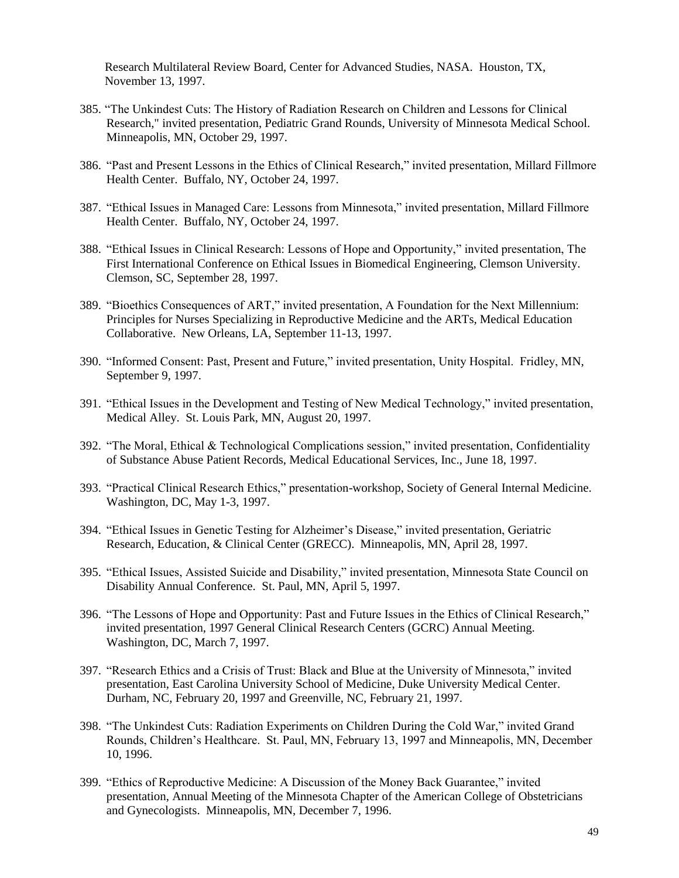Research Multilateral Review Board, Center for Advanced Studies, NASA. Houston, TX, November 13, 1997.

- 385. "The Unkindest Cuts: The History of Radiation Research on Children and Lessons for Clinical Research," invited presentation, Pediatric Grand Rounds, University of Minnesota Medical School. Minneapolis, MN, October 29, 1997.
- 386. "Past and Present Lessons in the Ethics of Clinical Research," invited presentation, Millard Fillmore Health Center. Buffalo, NY, October 24, 1997.
- 387. "Ethical Issues in Managed Care: Lessons from Minnesota," invited presentation, Millard Fillmore Health Center. Buffalo, NY, October 24, 1997.
- 388. "Ethical Issues in Clinical Research: Lessons of Hope and Opportunity," invited presentation, The First International Conference on Ethical Issues in Biomedical Engineering, Clemson University. Clemson, SC, September 28, 1997.
- 389. "Bioethics Consequences of ART," invited presentation, A Foundation for the Next Millennium: Principles for Nurses Specializing in Reproductive Medicine and the ARTs, Medical Education Collaborative. New Orleans, LA, September 11-13, 1997.
- 390. "Informed Consent: Past, Present and Future," invited presentation, Unity Hospital. Fridley, MN, September 9, 1997.
- 391. "Ethical Issues in the Development and Testing of New Medical Technology," invited presentation, Medical Alley. St. Louis Park, MN, August 20, 1997.
- 392. "The Moral, Ethical & Technological Complications session," invited presentation, Confidentiality of Substance Abuse Patient Records, Medical Educational Services, Inc., June 18, 1997.
- 393. "Practical Clinical Research Ethics," presentation-workshop, Society of General Internal Medicine. Washington, DC, May 1-3, 1997.
- 394. "Ethical Issues in Genetic Testing for Alzheimer's Disease," invited presentation, Geriatric Research, Education, & Clinical Center (GRECC). Minneapolis, MN, April 28, 1997.
- 395. "Ethical Issues, Assisted Suicide and Disability," invited presentation, Minnesota State Council on Disability Annual Conference. St. Paul, MN, April 5, 1997.
- 396. "The Lessons of Hope and Opportunity: Past and Future Issues in the Ethics of Clinical Research," invited presentation, 1997 General Clinical Research Centers (GCRC) Annual Meeting. Washington, DC, March 7, 1997.
- 397. "Research Ethics and a Crisis of Trust: Black and Blue at the University of Minnesota," invited presentation, East Carolina University School of Medicine, Duke University Medical Center. Durham, NC, February 20, 1997 and Greenville, NC, February 21, 1997.
- 398. "The Unkindest Cuts: Radiation Experiments on Children During the Cold War," invited Grand Rounds, Children's Healthcare. St. Paul, MN, February 13, 1997 and Minneapolis, MN, December 10, 1996.
- 399. "Ethics of Reproductive Medicine: A Discussion of the Money Back Guarantee," invited presentation, Annual Meeting of the Minnesota Chapter of the American College of Obstetricians and Gynecologists. Minneapolis, MN, December 7, 1996.